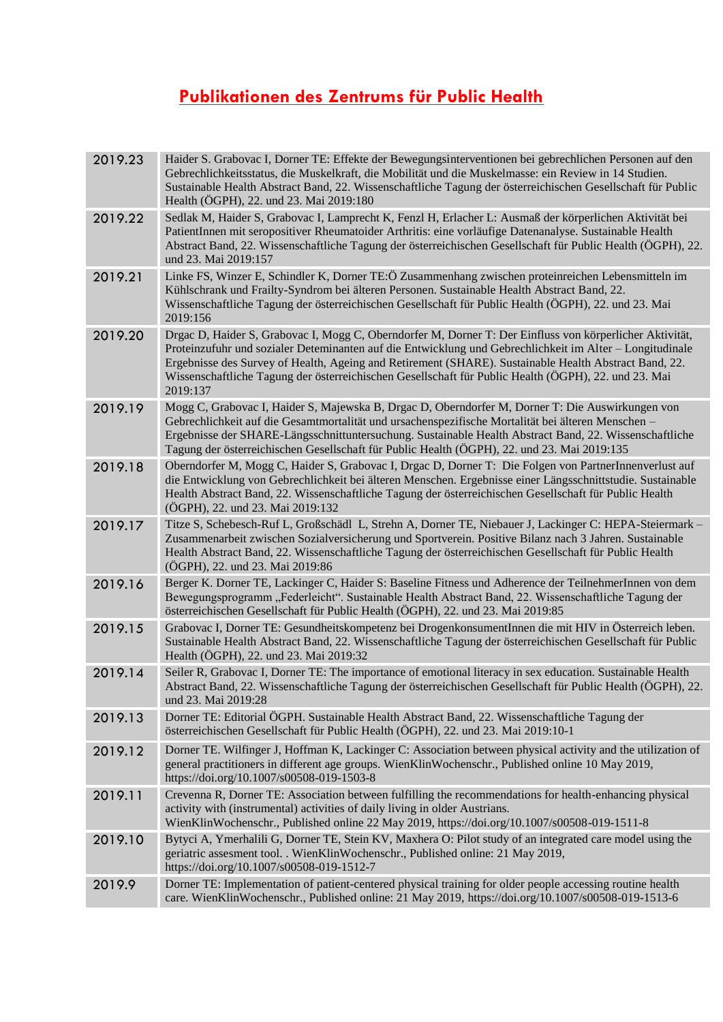## **Publikationen des Zentrums für Public Health**

| 2019.23 | Haider S. Grabovac I, Dorner TE: Effekte der Bewegungsinterventionen bei gebrechlichen Personen auf den<br>Gebrechlichkeitsstatus, die Muskelkraft, die Mobilität und die Muskelmasse: ein Review in 14 Studien.<br>Sustainable Health Abstract Band, 22. Wissenschaftliche Tagung der österreichischen Gesellschaft für Public<br>Health (ÖGPH), 22. und 23. Mai 2019:180                                                                        |
|---------|---------------------------------------------------------------------------------------------------------------------------------------------------------------------------------------------------------------------------------------------------------------------------------------------------------------------------------------------------------------------------------------------------------------------------------------------------|
| 2019.22 | Sedlak M, Haider S, Grabovac I, Lamprecht K, Fenzl H, Erlacher L: Ausmaß der körperlichen Aktivität bei<br>PatientInnen mit seropositiver Rheumatoider Arthritis: eine vorläufige Datenanalyse. Sustainable Health<br>Abstract Band, 22. Wissenschaftliche Tagung der österreichischen Gesellschaft für Public Health (ÖGPH), 22.<br>und 23. Mai 2019:157                                                                                         |
| 2019.21 | Linke FS, Winzer E, Schindler K, Dorner TE:Ö Zusammenhang zwischen proteinreichen Lebensmitteln im<br>Kühlschrank und Frailty-Syndrom bei älteren Personen. Sustainable Health Abstract Band, 22.<br>Wissenschaftliche Tagung der österreichischen Gesellschaft für Public Health (ÖGPH), 22. und 23. Mai<br>2019:156                                                                                                                             |
| 2019.20 | Drgac D, Haider S, Grabovac I, Mogg C, Oberndorfer M, Dorner T: Der Einfluss von körperlicher Aktivität,<br>Proteinzufuhr und sozialer Deteminanten auf die Entwicklung und Gebrechlichkeit im Alter – Longitudinale<br>Ergebnisse des Survey of Health, Ageing and Retirement (SHARE). Sustainable Health Abstract Band, 22.<br>Wissenschaftliche Tagung der österreichischen Gesellschaft für Public Health (ÖGPH), 22. und 23. Mai<br>2019:137 |
| 2019.19 | Mogg C, Grabovac I, Haider S, Majewska B, Drgac D, Oberndorfer M, Dorner T: Die Auswirkungen von<br>Gebrechlichkeit auf die Gesamtmortalität und ursachenspezifische Mortalität bei älteren Menschen -<br>Ergebnisse der SHARE-Längsschnittuntersuchung. Sustainable Health Abstract Band, 22. Wissenschaftliche<br>Tagung der österreichischen Gesellschaft für Public Health (ÖGPH), 22. und 23. Mai 2019:135                                   |
| 2019.18 | Oberndorfer M, Mogg C, Haider S, Grabovac I, Drgac D, Dorner T: Die Folgen von PartnerInnenverlust auf<br>die Entwicklung von Gebrechlichkeit bei älteren Menschen. Ergebnisse einer Längsschnittstudie. Sustainable<br>Health Abstract Band, 22. Wissenschaftliche Tagung der österreichischen Gesellschaft für Public Health<br>(ÖGPH), 22. und 23. Mai 2019:132                                                                                |
| 2019.17 | Titze S, Schebesch-Ruf L, Großschädl L, Strehn A, Dorner TE, Niebauer J, Lackinger C: HEPA-Steiermark -<br>Zusammenarbeit zwischen Sozialversicherung und Sportverein. Positive Bilanz nach 3 Jahren. Sustainable<br>Health Abstract Band, 22. Wissenschaftliche Tagung der österreichischen Gesellschaft für Public Health<br>(ÖGPH), 22. und 23. Mai 2019:86                                                                                    |
| 2019.16 | Berger K. Dorner TE, Lackinger C, Haider S: Baseline Fitness und Adherence der TeilnehmerInnen von dem<br>Bewegungsprogramm "Federleicht". Sustainable Health Abstract Band, 22. Wissenschaftliche Tagung der<br>österreichischen Gesellschaft für Public Health (ÖGPH), 22. und 23. Mai 2019:85                                                                                                                                                  |
| 2019.15 | Grabovac I, Dorner TE: Gesundheitskompetenz bei DrogenkonsumentInnen die mit HIV in Österreich leben.<br>Sustainable Health Abstract Band, 22. Wissenschaftliche Tagung der österreichischen Gesellschaft für Public<br>Health (ÖGPH), 22. und 23. Mai 2019:32                                                                                                                                                                                    |
| 2019.14 | Seiler R, Grabovac I, Dorner TE: The importance of emotional literacy in sex education. Sustainable Health<br>Abstract Band, 22. Wissenschaftliche Tagung der österreichischen Gesellschaft für Public Health (ÖGPH), 22.<br>und 23. Mai 2019:28                                                                                                                                                                                                  |
| 2019.13 | Dorner TE: Editorial ÖGPH. Sustainable Health Abstract Band, 22. Wissenschaftliche Tagung der<br>österreichischen Gesellschaft für Public Health (ÖGPH), 22. und 23. Mai 2019:10-1                                                                                                                                                                                                                                                                |
| 2019.12 | Dorner TE. Wilfinger J, Hoffman K, Lackinger C: Association between physical activity and the utilization of<br>general practitioners in different age groups. WienKlinWochenschr., Published online 10 May 2019,<br>https://doi.org/10.1007/s00508-019-1503-8                                                                                                                                                                                    |
| 2019.11 | Crevenna R, Dorner TE: Association between fulfilling the recommendations for health-enhancing physical<br>activity with (instrumental) activities of daily living in older Austrians.<br>WienKlinWochenschr., Published online 22 May 2019, https://doi.org/10.1007/s00508-019-1511-8                                                                                                                                                            |
| 2019.10 | Bytyci A, Ymerhalili G, Dorner TE, Stein KV, Maxhera O: Pilot study of an integrated care model using the<br>geriatric assesment tool. . WienKlinWochenschr., Published online: 21 May 2019,<br>https://doi.org/10.1007/s00508-019-1512-7                                                                                                                                                                                                         |
| 2019.9  | Dorner TE: Implementation of patient-centered physical training for older people accessing routine health<br>care. WienKlinWochenschr., Published online: 21 May 2019, https://doi.org/10.1007/s00508-019-1513-6                                                                                                                                                                                                                                  |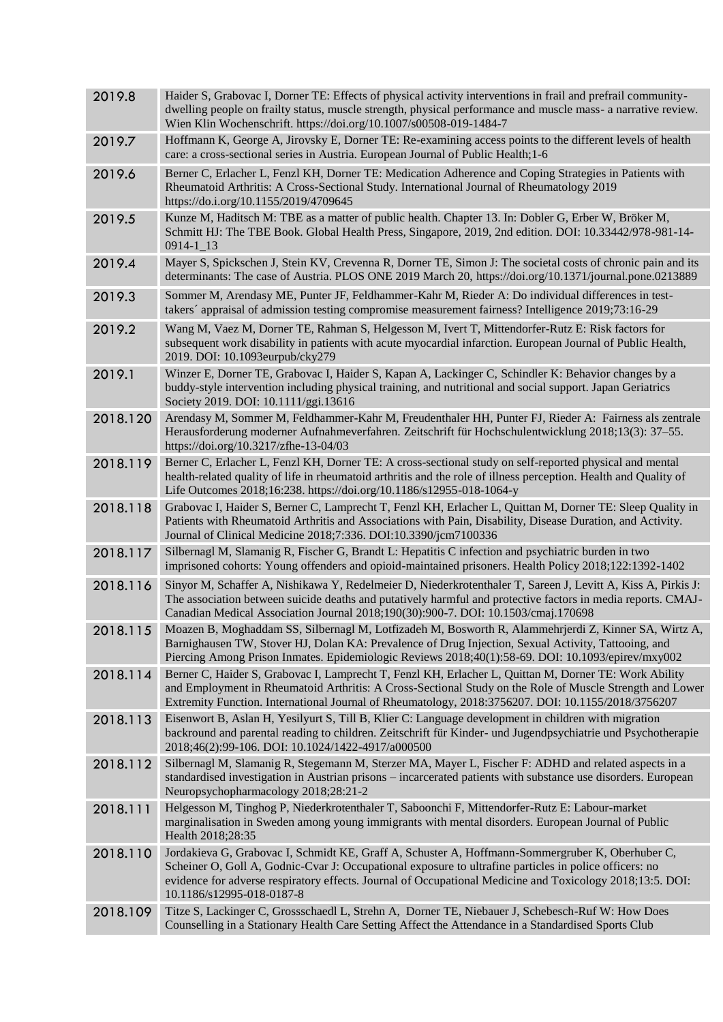| 2019.8   | Haider S, Grabovac I, Dorner TE: Effects of physical activity interventions in frail and prefrail community-<br>dwelling people on frailty status, muscle strength, physical performance and muscle mass- a narrative review.<br>Wien Klin Wochenschrift. https://doi.org/10.1007/s00508-019-1484-7                                                  |
|----------|------------------------------------------------------------------------------------------------------------------------------------------------------------------------------------------------------------------------------------------------------------------------------------------------------------------------------------------------------|
| 2019.7   | Hoffmann K, George A, Jirovsky E, Dorner TE: Re-examining access points to the different levels of health<br>care: a cross-sectional series in Austria. European Journal of Public Health;1-6                                                                                                                                                        |
| 2019.6   | Berner C, Erlacher L, Fenzl KH, Dorner TE: Medication Adherence and Coping Strategies in Patients with<br>Rheumatoid Arthritis: A Cross-Sectional Study. International Journal of Rheumatology 2019<br>https://do.i.org/10.1155/2019/4709645                                                                                                         |
| 2019.5   | Kunze M, Haditsch M: TBE as a matter of public health. Chapter 13. In: Dobler G, Erber W, Bröker M,<br>Schmitt HJ: The TBE Book. Global Health Press, Singapore, 2019, 2nd edition. DOI: 10.33442/978-981-14-<br>$0914 - 1$ <sup>13</sup>                                                                                                            |
| 2019.4   | Mayer S, Spickschen J, Stein KV, Crevenna R, Dorner TE, Simon J: The societal costs of chronic pain and its<br>determinants: The case of Austria. PLOS ONE 2019 March 20, https://doi.org/10.1371/journal.pone.0213889                                                                                                                               |
| 2019.3   | Sommer M, Arendasy ME, Punter JF, Feldhammer-Kahr M, Rieder A: Do individual differences in test-<br>takers' appraisal of admission testing compromise measurement fairness? Intelligence 2019;73:16-29                                                                                                                                              |
| 2019.2   | Wang M, Vaez M, Dorner TE, Rahman S, Helgesson M, Ivert T, Mittendorfer-Rutz E: Risk factors for<br>subsequent work disability in patients with acute myocardial infarction. European Journal of Public Health,<br>2019. DOI: 10.1093eurpub/cky279                                                                                                   |
| 2019.1   | Winzer E, Dorner TE, Grabovac I, Haider S, Kapan A, Lackinger C, Schindler K: Behavior changes by a<br>buddy-style intervention including physical training, and nutritional and social support. Japan Geriatrics<br>Society 2019. DOI: 10.1111/ggi.13616                                                                                            |
| 2018.120 | Arendasy M, Sommer M, Feldhammer-Kahr M, Freudenthaler HH, Punter FJ, Rieder A: Fairness als zentrale<br>Herausforderung moderner Aufnahmeverfahren. Zeitschrift für Hochschulentwicklung 2018;13(3): 37–55.<br>https://doi.org/10.3217/zfhe-13-04/03                                                                                                |
| 2018.119 | Berner C, Erlacher L, Fenzl KH, Dorner TE: A cross-sectional study on self-reported physical and mental<br>health-related quality of life in rheumatoid arthritis and the role of illness perception. Health and Quality of<br>Life Outcomes 2018;16:238. https://doi.org/10.1186/s12955-018-1064-y                                                  |
| 2018.118 | Grabovac I, Haider S, Berner C, Lamprecht T, Fenzl KH, Erlacher L, Quittan M, Dorner TE: Sleep Quality in<br>Patients with Rheumatoid Arthritis and Associations with Pain, Disability, Disease Duration, and Activity.<br>Journal of Clinical Medicine 2018;7:336. DOI:10.3390/jcm7100336                                                           |
| 2018.117 | Silbernagl M, Slamanig R, Fischer G, Brandt L: Hepatitis C infection and psychiatric burden in two<br>imprisoned cohorts: Young offenders and opioid-maintained prisoners. Health Policy 2018;122:1392-1402                                                                                                                                          |
| 2018.116 | Sinyor M, Schaffer A, Nishikawa Y, Redelmeier D, Niederkrotenthaler T, Sareen J, Levitt A, Kiss A, Pirkis J:<br>The association between suicide deaths and putatively harmful and protective factors in media reports. CMAJ-<br>Canadian Medical Association Journal 2018;190(30):900-7. DOI: 10.1503/cmaj.170698                                    |
| 2018.115 | Moazen B, Moghaddam SS, Silbernagl M, Lotfizadeh M, Bosworth R, Alammehrjerdi Z, Kinner SA, Wirtz A,<br>Barnighausen TW, Stover HJ, Dolan KA: Prevalence of Drug Injection, Sexual Activity, Tattooing, and<br>Piercing Among Prison Inmates. Epidemiologic Reviews 2018;40(1):58-69. DOI: 10.1093/epirev/mxy002                                     |
| 2018.114 | Berner C, Haider S, Grabovac I, Lamprecht T, Fenzl KH, Erlacher L, Quittan M, Dorner TE: Work Ability<br>and Employment in Rheumatoid Arthritis: A Cross-Sectional Study on the Role of Muscle Strength and Lower<br>Extremity Function. International Journal of Rheumatology, 2018:3756207. DOI: 10.1155/2018/3756207                              |
| 2018.113 | Eisenwort B, Aslan H, Yesilyurt S, Till B, Klier C: Language development in children with migration<br>backround and parental reading to children. Zeitschrift für Kinder- und Jugendpsychiatrie und Psychotherapie<br>2018;46(2):99-106. DOI: 10.1024/1422-4917/a000500                                                                             |
| 2018.112 | Silbernagl M, Slamanig R, Stegemann M, Sterzer MA, Mayer L, Fischer F: ADHD and related aspects in a<br>standardised investigation in Austrian prisons - incarcerated patients with substance use disorders. European<br>Neuropsychopharmacology 2018;28:21-2                                                                                        |
| 2018.111 | Helgesson M, Tinghog P, Niederkrotenthaler T, Saboonchi F, Mittendorfer-Rutz E: Labour-market<br>marginalisation in Sweden among young immigrants with mental disorders. European Journal of Public<br>Health 2018;28:35                                                                                                                             |
| 2018.110 | Jordakieva G, Grabovac I, Schmidt KE, Graff A, Schuster A, Hoffmann-Sommergruber K, Oberhuber C,<br>Scheiner O, Goll A, Godnic-Cvar J: Occupational exposure to ultrafine particles in police officers: no<br>evidence for adverse respiratory effects. Journal of Occupational Medicine and Toxicology 2018;13:5. DOI:<br>10.1186/s12995-018-0187-8 |
| 2018.109 | Titze S, Lackinger C, Grossschaedl L, Strehn A, Dorner TE, Niebauer J, Schebesch-Ruf W: How Does<br>Counselling in a Stationary Health Care Setting Affect the Attendance in a Standardised Sports Club                                                                                                                                              |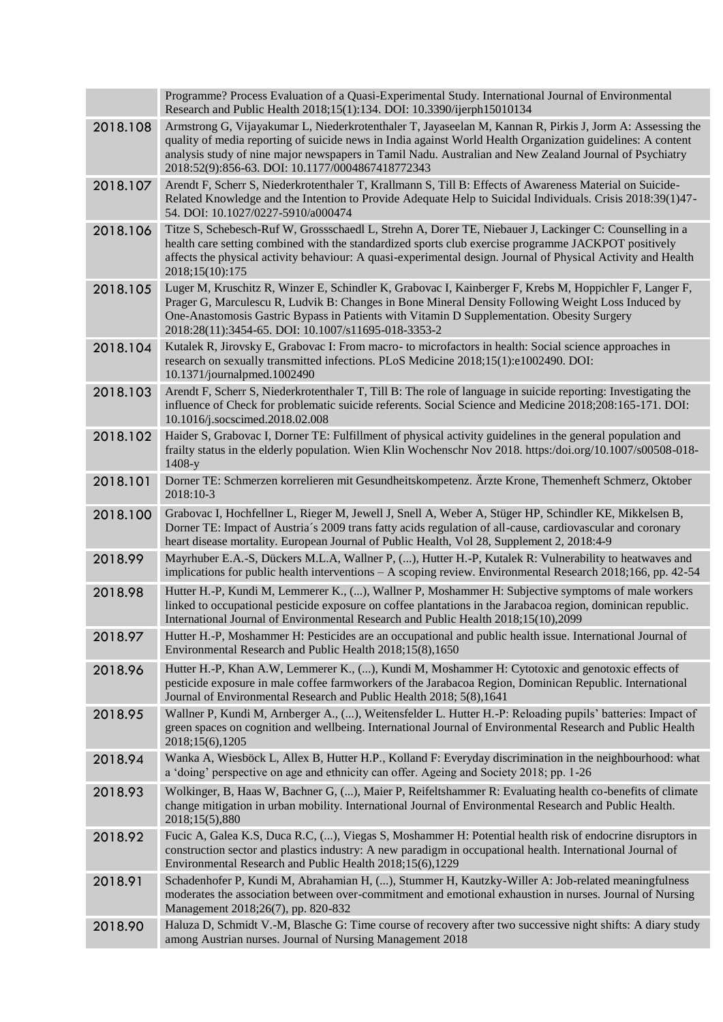|          | Programme? Process Evaluation of a Quasi-Experimental Study. International Journal of Environmental<br>Research and Public Health 2018;15(1):134. DOI: 10.3390/ijerph15010134                                                                                                                                                                                                           |
|----------|-----------------------------------------------------------------------------------------------------------------------------------------------------------------------------------------------------------------------------------------------------------------------------------------------------------------------------------------------------------------------------------------|
| 2018.108 | Armstrong G, Vijayakumar L, Niederkrotenthaler T, Jayaseelan M, Kannan R, Pirkis J, Jorm A: Assessing the<br>quality of media reporting of suicide news in India against World Health Organization guidelines: A content<br>analysis study of nine major newspapers in Tamil Nadu. Australian and New Zealand Journal of Psychiatry<br>2018:52(9):856-63. DOI: 10.1177/0004867418772343 |
| 2018.107 | Arendt F, Scherr S, Niederkrotenthaler T, Krallmann S, Till B: Effects of Awareness Material on Suicide-<br>Related Knowledge and the Intention to Provide Adequate Help to Suicidal Individuals. Crisis 2018:39(1)47-<br>54. DOI: 10.1027/0227-5910/a000474                                                                                                                            |
| 2018.106 | Titze S, Schebesch-Ruf W, Grossschaedl L, Strehn A, Dorer TE, Niebauer J, Lackinger C: Counselling in a<br>health care setting combined with the standardized sports club exercise programme JACKPOT positively<br>affects the physical activity behaviour: A quasi-experimental design. Journal of Physical Activity and Health<br>2018;15(10):175                                     |
| 2018.105 | Luger M, Kruschitz R, Winzer E, Schindler K, Grabovac I, Kainberger F, Krebs M, Hoppichler F, Langer F,<br>Prager G, Marculescu R, Ludvik B: Changes in Bone Mineral Density Following Weight Loss Induced by<br>One-Anastomosis Gastric Bypass in Patients with Vitamin D Supplementation. Obesity Surgery<br>2018:28(11):3454-65. DOI: 10.1007/s11695-018-3353-2                      |
| 2018.104 | Kutalek R, Jirovsky E, Grabovac I: From macro- to microfactors in health: Social science approaches in<br>research on sexually transmitted infections. PLoS Medicine 2018;15(1):e1002490. DOI:<br>10.1371/journalpmed.1002490                                                                                                                                                           |
| 2018.103 | Arendt F, Scherr S, Niederkrotenthaler T, Till B: The role of language in suicide reporting: Investigating the<br>influence of Check for problematic suicide referents. Social Science and Medicine 2018;208:165-171. DOI:<br>10.1016/j.socscimed.2018.02.008                                                                                                                           |
| 2018.102 | Haider S, Grabovac I, Dorner TE: Fulfillment of physical activity guidelines in the general population and<br>frailty status in the elderly population. Wien Klin Wochenschr Nov 2018. https://doi.org/10.1007/s00508-018-<br>$1408-y$                                                                                                                                                  |
| 2018.101 | Dorner TE: Schmerzen korrelieren mit Gesundheitskompetenz. Ärzte Krone, Themenheft Schmerz, Oktober<br>2018:10-3                                                                                                                                                                                                                                                                        |
| 2018.100 | Grabovac I, Hochfellner L, Rieger M, Jewell J, Snell A, Weber A, Stüger HP, Schindler KE, Mikkelsen B,<br>Dorner TE: Impact of Austria's 2009 trans fatty acids regulation of all-cause, cardiovascular and coronary<br>heart disease mortality. European Journal of Public Health, Vol 28, Supplement 2, 2018:4-9                                                                      |
| 2018.99  | Mayrhuber E.A.-S, Dückers M.L.A, Wallner P, (), Hutter H.-P, Kutalek R: Vulnerability to heatwaves and<br>implications for public health interventions $- A$ scoping review. Environmental Research 2018;166, pp. 42-54                                                                                                                                                                 |
| 2018.98  | Hutter H.-P, Kundi M, Lemmerer K., (), Wallner P, Moshammer H: Subjective symptoms of male workers<br>linked to occupational pesticide exposure on coffee plantations in the Jarabacoa region, dominican republic.<br>International Journal of Environmental Research and Public Health 2018;15(10),2099                                                                                |
| 2018.97  | Hutter H.-P, Moshammer H: Pesticides are an occupational and public health issue. International Journal of<br>Environmental Research and Public Health 2018;15(8),1650                                                                                                                                                                                                                  |
| 2018.96  | Hutter H.-P, Khan A.W, Lemmerer K., (), Kundi M, Moshammer H: Cytotoxic and genotoxic effects of<br>pesticide exposure in male coffee farmworkers of the Jarabacoa Region, Dominican Republic. International<br>Journal of Environmental Research and Public Health 2018; 5(8),1641                                                                                                     |
| 2018.95  | Wallner P, Kundi M, Arnberger A., (), Weitensfelder L. Hutter H.-P: Reloading pupils' batteries: Impact of<br>green spaces on cognition and wellbeing. International Journal of Environmental Research and Public Health<br>2018;15(6),1205                                                                                                                                             |
| 2018.94  | Wanka A, Wiesböck L, Allex B, Hutter H.P., Kolland F: Everyday discrimination in the neighbourhood: what<br>a 'doing' perspective on age and ethnicity can offer. Ageing and Society 2018; pp. 1-26                                                                                                                                                                                     |
| 2018.93  | Wolkinger, B, Haas W, Bachner G, (), Maier P, Reifeltshammer R: Evaluating health co-benefits of climate<br>change mitigation in urban mobility. International Journal of Environmental Research and Public Health.<br>2018;15(5),880                                                                                                                                                   |
| 2018.92  | Fucic A, Galea K.S, Duca R.C, (), Viegas S, Moshammer H: Potential health risk of endocrine disruptors in<br>construction sector and plastics industry: A new paradigm in occupational health. International Journal of<br>Environmental Research and Public Health 2018;15(6),1229                                                                                                     |
| 2018.91  | Schadenhofer P, Kundi M, Abrahamian H, (), Stummer H, Kautzky-Willer A: Job-related meaningfulness<br>moderates the association between over-commitment and emotional exhaustion in nurses. Journal of Nursing<br>Management 2018;26(7), pp. 820-832                                                                                                                                    |
| 2018.90  | Haluza D, Schmidt V.-M, Blasche G: Time course of recovery after two successive night shifts: A diary study<br>among Austrian nurses. Journal of Nursing Management 2018                                                                                                                                                                                                                |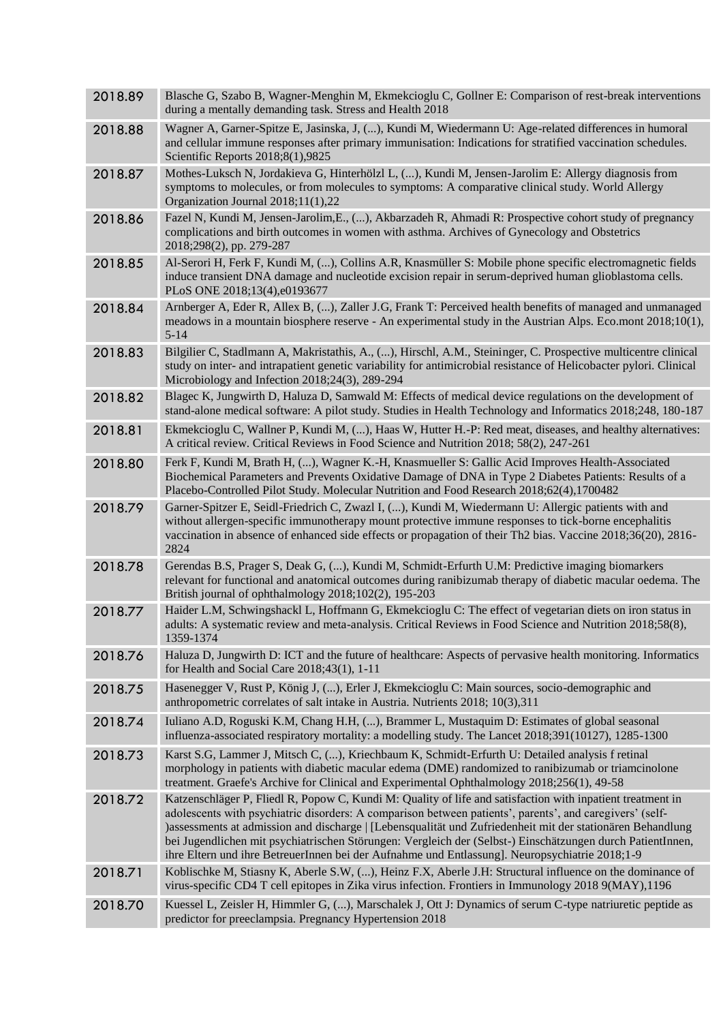| 2018.89 | Blasche G, Szabo B, Wagner-Menghin M, Ekmekcioglu C, Gollner E: Comparison of rest-break interventions<br>during a mentally demanding task. Stress and Health 2018                                                                                                                                                                                                                                                                                                                                                                                    |
|---------|-------------------------------------------------------------------------------------------------------------------------------------------------------------------------------------------------------------------------------------------------------------------------------------------------------------------------------------------------------------------------------------------------------------------------------------------------------------------------------------------------------------------------------------------------------|
| 2018.88 | Wagner A, Garner-Spitze E, Jasinska, J, (), Kundi M, Wiedermann U: Age-related differences in humoral<br>and cellular immune responses after primary immunisation: Indications for stratified vaccination schedules.<br>Scientific Reports 2018;8(1),9825                                                                                                                                                                                                                                                                                             |
| 2018.87 | Mothes-Luksch N, Jordakieva G, Hinterhölzl L, (), Kundi M, Jensen-Jarolim E: Allergy diagnosis from<br>symptoms to molecules, or from molecules to symptoms: A comparative clinical study. World Allergy<br>Organization Journal 2018;11(1),22                                                                                                                                                                                                                                                                                                        |
| 2018.86 | Fazel N, Kundi M, Jensen-Jarolim, E., (), Akbarzadeh R, Ahmadi R: Prospective cohort study of pregnancy<br>complications and birth outcomes in women with asthma. Archives of Gynecology and Obstetrics<br>2018;298(2), pp. 279-287                                                                                                                                                                                                                                                                                                                   |
| 2018.85 | Al-Serori H, Ferk F, Kundi M, (), Collins A.R, Knasmüller S: Mobile phone specific electromagnetic fields<br>induce transient DNA damage and nucleotide excision repair in serum-deprived human glioblastoma cells.<br>PLoS ONE 2018;13(4), e0193677                                                                                                                                                                                                                                                                                                  |
| 2018.84 | Arnberger A, Eder R, Allex B, (), Zaller J.G, Frank T: Perceived health benefits of managed and unmanaged<br>meadows in a mountain biosphere reserve - An experimental study in the Austrian Alps. Eco.mont 2018;10(1),<br>$5 - 14$                                                                                                                                                                                                                                                                                                                   |
| 2018.83 | Bilgilier C, Stadlmann A, Makristathis, A., (), Hirschl, A.M., Steininger, C. Prospective multicentre clinical<br>study on inter- and intrapatient genetic variability for antimicrobial resistance of Helicobacter pylori. Clinical<br>Microbiology and Infection 2018;24(3), 289-294                                                                                                                                                                                                                                                                |
| 2018.82 | Blagec K, Jungwirth D, Haluza D, Samwald M: Effects of medical device regulations on the development of<br>stand-alone medical software: A pilot study. Studies in Health Technology and Informatics 2018;248, 180-187                                                                                                                                                                                                                                                                                                                                |
| 2018.81 | Ekmekcioglu C, Wallner P, Kundi M, (), Haas W, Hutter H.-P: Red meat, diseases, and healthy alternatives:<br>A critical review. Critical Reviews in Food Science and Nutrition 2018; 58(2), 247-261                                                                                                                                                                                                                                                                                                                                                   |
| 2018.80 | Ferk F, Kundi M, Brath H, (), Wagner K.-H, Knasmueller S: Gallic Acid Improves Health-Associated<br>Biochemical Parameters and Prevents Oxidative Damage of DNA in Type 2 Diabetes Patients: Results of a<br>Placebo-Controlled Pilot Study. Molecular Nutrition and Food Research 2018;62(4),1700482                                                                                                                                                                                                                                                 |
| 2018.79 | Garner-Spitzer E, Seidl-Friedrich C, Zwazl I, (), Kundi M, Wiedermann U: Allergic patients with and<br>without allergen-specific immunotherapy mount protective immune responses to tick-borne encephalitis<br>vaccination in absence of enhanced side effects or propagation of their Th2 bias. Vaccine 2018;36(20), 2816-<br>2824                                                                                                                                                                                                                   |
| 2018.78 | Gerendas B.S, Prager S, Deak G, (), Kundi M, Schmidt-Erfurth U.M: Predictive imaging biomarkers<br>relevant for functional and anatomical outcomes during ranibizumab therapy of diabetic macular oedema. The<br>British journal of ophthalmology 2018;102(2), 195-203                                                                                                                                                                                                                                                                                |
| 2018.77 | Haider L.M, Schwingshackl L, Hoffmann G, Ekmekcioglu C: The effect of vegetarian diets on iron status in<br>adults: A systematic review and meta-analysis. Critical Reviews in Food Science and Nutrition 2018;58(8),<br>1359-1374                                                                                                                                                                                                                                                                                                                    |
| 2018.76 | Haluza D, Jungwirth D: ICT and the future of healthcare: Aspects of pervasive health monitoring. Informatics<br>for Health and Social Care 2018;43(1), 1-11                                                                                                                                                                                                                                                                                                                                                                                           |
| 2018.75 | Hasenegger V, Rust P, König J, (), Erler J, Ekmekcioglu C: Main sources, socio-demographic and<br>anthropometric correlates of salt intake in Austria. Nutrients 2018; 10(3),311                                                                                                                                                                                                                                                                                                                                                                      |
| 2018.74 | Iuliano A.D, Roguski K.M, Chang H.H, (), Brammer L, Mustaquim D: Estimates of global seasonal<br>influenza-associated respiratory mortality: a modelling study. The Lancet 2018;391(10127), 1285-1300                                                                                                                                                                                                                                                                                                                                                 |
| 2018.73 | Karst S.G, Lammer J, Mitsch C, (), Kriechbaum K, Schmidt-Erfurth U: Detailed analysis f retinal<br>morphology in patients with diabetic macular edema (DME) randomized to ranibizumab or triamcinolone<br>treatment. Graefe's Archive for Clinical and Experimental Ophthalmology 2018;256(1), 49-58                                                                                                                                                                                                                                                  |
| 2018.72 | Katzenschläger P, Fliedl R, Popow C, Kundi M: Quality of life and satisfaction with inpatient treatment in<br>adolescents with psychiatric disorders: A comparison between patients', parents', and caregivers' (self-<br>) assessments at admission and discharge   [Lebensqualität und Zufriedenheit mit der stationären Behandlung<br>bei Jugendlichen mit psychiatrischen Störungen: Vergleich der (Selbst-) Einschätzungen durch PatientInnen,<br>ihre Eltern und ihre BetreuerInnen bei der Aufnahme und Entlassung]. Neuropsychiatrie 2018;1-9 |
| 2018.71 | Koblischke M, Stiasny K, Aberle S.W, (), Heinz F.X, Aberle J.H: Structural influence on the dominance of<br>virus-specific CD4 T cell epitopes in Zika virus infection. Frontiers in Immunology 2018 9(MAY), 1196                                                                                                                                                                                                                                                                                                                                     |
| 2018.70 | Kuessel L, Zeisler H, Himmler G, (), Marschalek J, Ott J: Dynamics of serum C-type natriuretic peptide as<br>predictor for preeclampsia. Pregnancy Hypertension 2018                                                                                                                                                                                                                                                                                                                                                                                  |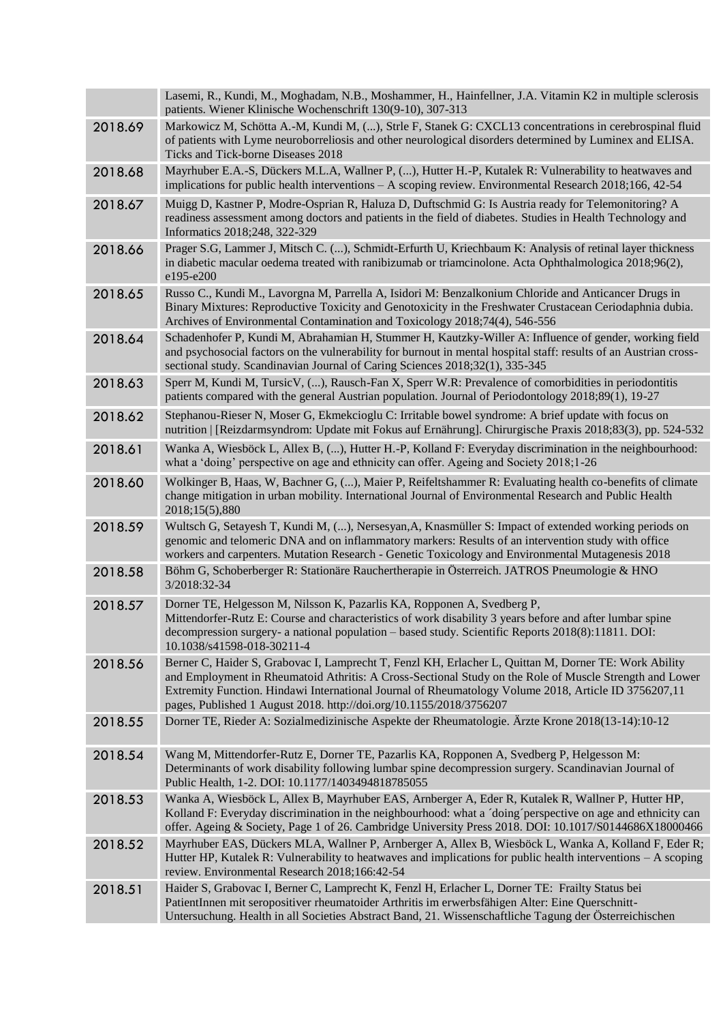|         | Lasemi, R., Kundi, M., Moghadam, N.B., Moshammer, H., Hainfellner, J.A. Vitamin K2 in multiple sclerosis<br>patients. Wiener Klinische Wochenschrift 130(9-10), 307-313                                                                                                                                                                                                                         |
|---------|-------------------------------------------------------------------------------------------------------------------------------------------------------------------------------------------------------------------------------------------------------------------------------------------------------------------------------------------------------------------------------------------------|
| 2018.69 | Markowicz M, Schötta A.-M, Kundi M, (), Strle F, Stanek G: CXCL13 concentrations in cerebrospinal fluid<br>of patients with Lyme neuroborreliosis and other neurological disorders determined by Luminex and ELISA.<br>Ticks and Tick-borne Diseases 2018                                                                                                                                       |
| 2018.68 | Mayrhuber E.A.-S, Dückers M.L.A, Wallner P, (), Hutter H.-P, Kutalek R: Vulnerability to heatwaves and<br>implications for public health interventions - A scoping review. Environmental Research 2018;166, 42-54                                                                                                                                                                               |
| 2018.67 | Muigg D, Kastner P, Modre-Osprian R, Haluza D, Duftschmid G: Is Austria ready for Telemonitoring? A<br>readiness assessment among doctors and patients in the field of diabetes. Studies in Health Technology and<br>Informatics 2018;248, 322-329                                                                                                                                              |
| 2018.66 | Prager S.G, Lammer J, Mitsch C. (), Schmidt-Erfurth U, Kriechbaum K: Analysis of retinal layer thickness<br>in diabetic macular oedema treated with ranibizumab or triamcinolone. Acta Ophthalmologica 2018;96(2),<br>e195-e200                                                                                                                                                                 |
| 2018.65 | Russo C., Kundi M., Lavorgna M, Parrella A, Isidori M: Benzalkonium Chloride and Anticancer Drugs in<br>Binary Mixtures: Reproductive Toxicity and Genotoxicity in the Freshwater Crustacean Ceriodaphnia dubia.<br>Archives of Environmental Contamination and Toxicology 2018;74(4), 546-556                                                                                                  |
| 2018.64 | Schadenhofer P, Kundi M, Abrahamian H, Stummer H, Kautzky-Willer A: Influence of gender, working field<br>and psychosocial factors on the vulnerability for burnout in mental hospital staff: results of an Austrian cross-<br>sectional study. Scandinavian Journal of Caring Sciences 2018;32(1), 335-345                                                                                     |
| 2018.63 | Sperr M, Kundi M, TursicV, (), Rausch-Fan X, Sperr W.R: Prevalence of comorbidities in periodontitis<br>patients compared with the general Austrian population. Journal of Periodontology 2018;89(1), 19-27                                                                                                                                                                                     |
| 2018.62 | Stephanou-Rieser N, Moser G, Ekmekcioglu C: Irritable bowel syndrome: A brief update with focus on<br>nutrition   [Reizdarmsyndrom: Update mit Fokus auf Ernährung]. Chirurgische Praxis 2018;83(3), pp. 524-532                                                                                                                                                                                |
| 2018.61 | Wanka A, Wiesböck L, Allex B, (), Hutter H.-P, Kolland F: Everyday discrimination in the neighbourhood:<br>what a 'doing' perspective on age and ethnicity can offer. Ageing and Society 2018;1-26                                                                                                                                                                                              |
| 2018.60 | Wolkinger B, Haas, W, Bachner G, (), Maier P, Reifeltshammer R: Evaluating health co-benefits of climate<br>change mitigation in urban mobility. International Journal of Environmental Research and Public Health<br>2018;15(5),880                                                                                                                                                            |
| 2018.59 | Wultsch G, Setayesh T, Kundi M, (), Nersesyan, A, Knasmüller S: Impact of extended working periods on<br>genomic and telomeric DNA and on inflammatory markers: Results of an intervention study with office<br>workers and carpenters. Mutation Research - Genetic Toxicology and Environmental Mutagenesis 2018                                                                               |
| 2018.58 | Böhm G, Schoberberger R: Stationäre Rauchertherapie in Österreich. JATROS Pneumologie & HNO<br>3/2018:32-34                                                                                                                                                                                                                                                                                     |
| 2018.57 | Dorner TE, Helgesson M, Nilsson K, Pazarlis KA, Ropponen A, Svedberg P,<br>Mittendorfer-Rutz E: Course and characteristics of work disability 3 years before and after lumbar spine<br>decompression surgery- a national population – based study. Scientific Reports 2018(8):11811. DOI:<br>10.1038/s41598-018-30211-4                                                                         |
| 2018.56 | Berner C, Haider S, Grabovac I, Lamprecht T, Fenzl KH, Erlacher L, Quittan M, Dorner TE: Work Ability<br>and Employment in Rheumatoid Athritis: A Cross-Sectional Study on the Role of Muscle Strength and Lower<br>Extremity Function. Hindawi International Journal of Rheumatology Volume 2018, Article ID 3756207,11<br>pages, Published 1 August 2018. http://doi.org/10.1155/2018/3756207 |
| 2018.55 | Dorner TE, Rieder A: Sozialmedizinische Aspekte der Rheumatologie. Ärzte Krone 2018(13-14):10-12                                                                                                                                                                                                                                                                                                |
| 2018.54 | Wang M, Mittendorfer-Rutz E, Dorner TE, Pazarlis KA, Ropponen A, Svedberg P, Helgesson M:<br>Determinants of work disability following lumbar spine decompression surgery. Scandinavian Journal of<br>Public Health, 1-2. DOI: 10.1177/1403494818785055                                                                                                                                         |
| 2018.53 | Wanka A, Wiesböck L, Allex B, Mayrhuber EAS, Arnberger A, Eder R, Kutalek R, Wallner P, Hutter HP,<br>Kolland F: Everyday discrimination in the neighbourhood: what a 'doing' perspective on age and ethnicity can<br>offer. Ageing & Society, Page 1 of 26. Cambridge University Press 2018. DOI: 10.1017/S0144686X18000466                                                                    |
| 2018.52 | Mayrhuber EAS, Dückers MLA, Wallner P, Arnberger A, Allex B, Wiesböck L, Wanka A, Kolland F, Eder R;<br>Hutter HP, Kutalek R: Vulnerability to heatwaves and implications for public health interventions - A scoping<br>review. Environmental Research 2018;166:42-54                                                                                                                          |
| 2018.51 | Haider S, Grabovac I, Berner C, Lamprecht K, Fenzl H, Erlacher L, Dorner TE: Frailty Status bei<br>PatientInnen mit seropositiver rheumatoider Arthritis im erwerbsfähigen Alter: Eine Querschnitt-<br>Untersuchung. Health in all Societies Abstract Band, 21. Wissenschaftliche Tagung der Österreichischen                                                                                   |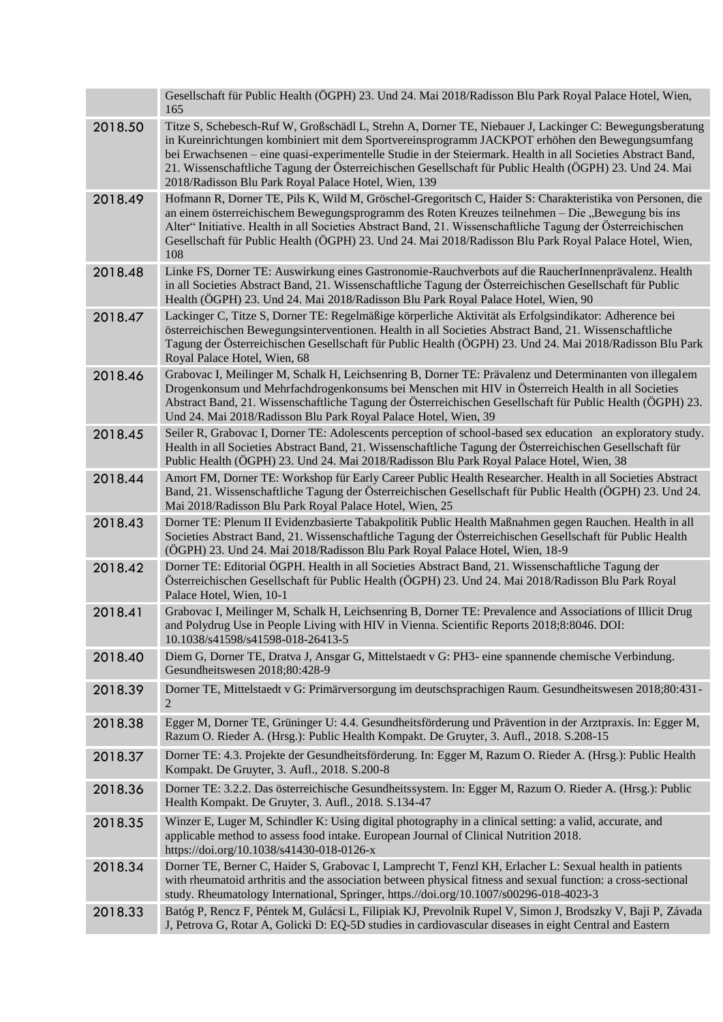|         | Gesellschaft für Public Health (ÖGPH) 23. Und 24. Mai 2018/Radisson Blu Park Royal Palace Hotel, Wien,<br>165                                                                                                                                                                                                                                                                                                                                                                                 |
|---------|-----------------------------------------------------------------------------------------------------------------------------------------------------------------------------------------------------------------------------------------------------------------------------------------------------------------------------------------------------------------------------------------------------------------------------------------------------------------------------------------------|
| 2018.50 | Titze S, Schebesch-Ruf W, Großschädl L, Strehn A, Dorner TE, Niebauer J, Lackinger C: Bewegungsberatung<br>in Kureinrichtungen kombiniert mit dem Sportvereinsprogramm JACKPOT erhöhen den Bewegungsumfang<br>bei Erwachsenen - eine quasi-experimentelle Studie in der Steiermark. Health in all Societies Abstract Band,<br>21. Wissenschaftliche Tagung der Österreichischen Gesellschaft für Public Health (ÖGPH) 23. Und 24. Mai<br>2018/Radisson Blu Park Royal Palace Hotel, Wien, 139 |
| 2018.49 | Hofmann R, Dorner TE, Pils K, Wild M, Gröschel-Gregoritsch C, Haider S: Charakteristika von Personen, die<br>an einem österreichischem Bewegungsprogramm des Roten Kreuzes teilnehmen - Die "Bewegung bis ins<br>Alter" Initiative. Health in all Societies Abstract Band, 21. Wissenschaftliche Tagung der Österreichischen<br>Gesellschaft für Public Health (ÖGPH) 23. Und 24. Mai 2018/Radisson Blu Park Royal Palace Hotel, Wien,<br>108                                                 |
| 2018.48 | Linke FS, Dorner TE: Auswirkung eines Gastronomie-Rauchverbots auf die RaucherInnenprävalenz. Health<br>in all Societies Abstract Band, 21. Wissenschaftliche Tagung der Österreichischen Gesellschaft für Public<br>Health (ÖGPH) 23. Und 24. Mai 2018/Radisson Blu Park Royal Palace Hotel, Wien, 90                                                                                                                                                                                        |
| 2018.47 | Lackinger C, Titze S, Dorner TE: Regelmäßige körperliche Aktivität als Erfolgsindikator: Adherence bei<br>österreichischen Bewegungsinterventionen. Health in all Societies Abstract Band, 21. Wissenschaftliche<br>Tagung der Österreichischen Gesellschaft für Public Health (ÖGPH) 23. Und 24. Mai 2018/Radisson Blu Park<br>Royal Palace Hotel, Wien, 68                                                                                                                                  |
| 2018.46 | Grabovac I, Meilinger M, Schalk H, Leichsenring B, Dorner TE: Prävalenz und Determinanten von illegalem<br>Drogenkonsum und Mehrfachdrogenkonsums bei Menschen mit HIV in Österreich Health in all Societies<br>Abstract Band, 21. Wissenschaftliche Tagung der Österreichischen Gesellschaft für Public Health (ÖGPH) 23.<br>Und 24. Mai 2018/Radisson Blu Park Royal Palace Hotel, Wien, 39                                                                                                 |
| 2018.45 | Seiler R, Grabovac I, Dorner TE: Adolescents perception of school-based sex education an exploratory study.<br>Health in all Societies Abstract Band, 21. Wissenschaftliche Tagung der Österreichischen Gesellschaft für<br>Public Health (ÖGPH) 23. Und 24. Mai 2018/Radisson Blu Park Royal Palace Hotel, Wien, 38                                                                                                                                                                          |
| 2018.44 | Amort FM, Dorner TE: Workshop für Early Career Public Health Researcher. Health in all Societies Abstract<br>Band, 21. Wissenschaftliche Tagung der Österreichischen Gesellschaft für Public Health (ÖGPH) 23. Und 24.<br>Mai 2018/Radisson Blu Park Royal Palace Hotel, Wien, 25                                                                                                                                                                                                             |
| 2018.43 | Dorner TE: Plenum II Evidenzbasierte Tabakpolitik Public Health Maßnahmen gegen Rauchen. Health in all<br>Societies Abstract Band, 21. Wissenschaftliche Tagung der Österreichischen Gesellschaft für Public Health<br>(ÖGPH) 23. Und 24. Mai 2018/Radisson Blu Park Royal Palace Hotel, Wien, 18-9                                                                                                                                                                                           |
| 2018.42 | Dorner TE: Editorial ÖGPH. Health in all Societies Abstract Band, 21. Wissenschaftliche Tagung der<br>Österreichischen Gesellschaft für Public Health (ÖGPH) 23. Und 24. Mai 2018/Radisson Blu Park Royal<br>Palace Hotel, Wien, 10-1                                                                                                                                                                                                                                                         |
| 2018.41 | Grabovac I, Meilinger M, Schalk H, Leichsenring B, Dorner TE: Prevalence and Associations of Illicit Drug<br>and Polydrug Use in People Living with HIV in Vienna. Scientific Reports 2018;8:8046. DOI:<br>10.1038/s41598/s41598-018-26413-5                                                                                                                                                                                                                                                  |
| 2018.40 | Diem G, Dorner TE, Dratva J, Ansgar G, Mittelstaedt v G: PH3- eine spannende chemische Verbindung.<br>Gesundheitswesen 2018;80:428-9                                                                                                                                                                                                                                                                                                                                                          |
| 2018.39 | Dorner TE, Mittelstaedt v G: Primärversorgung im deutschsprachigen Raum. Gesundheitswesen 2018;80:431-<br>$\overline{2}$                                                                                                                                                                                                                                                                                                                                                                      |
| 2018.38 | Egger M, Dorner TE, Grüninger U: 4.4. Gesundheitsförderung und Prävention in der Arztpraxis. In: Egger M,<br>Razum O. Rieder A. (Hrsg.): Public Health Kompakt. De Gruyter, 3. Aufl., 2018. S.208-15                                                                                                                                                                                                                                                                                          |
| 2018.37 | Dorner TE: 4.3. Projekte der Gesundheitsförderung. In: Egger M, Razum O. Rieder A. (Hrsg.): Public Health<br>Kompakt. De Gruyter, 3. Aufl., 2018. S.200-8                                                                                                                                                                                                                                                                                                                                     |
| 2018.36 | Dorner TE: 3.2.2. Das österreichische Gesundheitssystem. In: Egger M, Razum O. Rieder A. (Hrsg.): Public<br>Health Kompakt. De Gruyter, 3. Aufl., 2018. S.134-47                                                                                                                                                                                                                                                                                                                              |
| 2018.35 | Winzer E, Luger M, Schindler K: Using digital photography in a clinical setting: a valid, accurate, and<br>applicable method to assess food intake. European Journal of Clinical Nutrition 2018.<br>https://doi.org/10.1038/s41430-018-0126-x                                                                                                                                                                                                                                                 |
| 2018.34 | Dorner TE, Berner C, Haider S, Grabovac I, Lamprecht T, Fenzl KH, Erlacher L: Sexual health in patients<br>with rheumatoid arthritis and the association between physical fitness and sexual function: a cross-sectional<br>study. Rheumatology International, Springer, https://doi.org/10.1007/s00296-018-4023-3                                                                                                                                                                            |
| 2018.33 | Batóg P, Rencz F, Péntek M, Gulácsi L, Filipiak KJ, Prevolnik Rupel V, Simon J, Brodszky V, Baji P, Závada<br>J, Petrova G, Rotar A, Golicki D: EQ-5D studies in cardiovascular diseases in eight Central and Eastern                                                                                                                                                                                                                                                                         |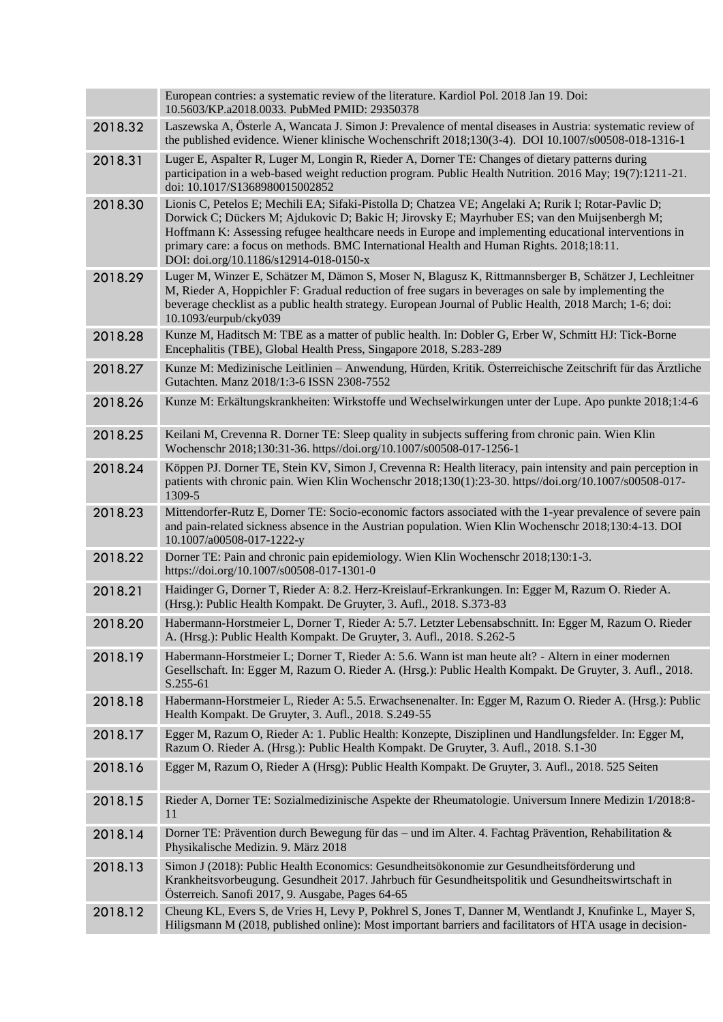|         | European contries: a systematic review of the literature. Kardiol Pol. 2018 Jan 19. Doi:<br>10.5603/KP.a2018.0033. PubMed PMID: 29350378                                                                                                                                                                                                                                                                                                              |
|---------|-------------------------------------------------------------------------------------------------------------------------------------------------------------------------------------------------------------------------------------------------------------------------------------------------------------------------------------------------------------------------------------------------------------------------------------------------------|
| 2018.32 | Laszewska A, Österle A, Wancata J. Simon J: Prevalence of mental diseases in Austria: systematic review of<br>the published evidence. Wiener klinische Wochenschrift 2018;130(3-4). DOI 10.1007/s00508-018-1316-1                                                                                                                                                                                                                                     |
| 2018.31 | Luger E, Aspalter R, Luger M, Longin R, Rieder A, Dorner TE: Changes of dietary patterns during<br>participation in a web-based weight reduction program. Public Health Nutrition. 2016 May; 19(7):1211-21.<br>doi: 10.1017/S1368980015002852                                                                                                                                                                                                         |
| 2018.30 | Lionis C, Petelos E; Mechili EA; Sifaki-Pistolla D; Chatzea VE; Angelaki A; Rurik I; Rotar-Pavlic D;<br>Dorwick C; Dückers M; Ajdukovic D; Bakic H; Jirovsky E; Mayrhuber ES; van den Muijsenbergh M;<br>Hoffmann K: Assessing refugee healthcare needs in Europe and implementing educational interventions in<br>primary care: a focus on methods. BMC International Health and Human Rights. 2018;18:11.<br>DOI: doi.org/10.1186/s12914-018-0150-x |
| 2018.29 | Luger M, Winzer E, Schätzer M, Dämon S, Moser N, Blagusz K, Rittmannsberger B, Schätzer J, Lechleitner<br>M, Rieder A, Hoppichler F: Gradual reduction of free sugars in beverages on sale by implementing the<br>beverage checklist as a public health strategy. European Journal of Public Health, 2018 March; 1-6; doi:<br>10.1093/eurpub/cky039                                                                                                   |
| 2018.28 | Kunze M, Haditsch M: TBE as a matter of public health. In: Dobler G, Erber W, Schmitt HJ: Tick-Borne<br>Encephalitis (TBE), Global Health Press, Singapore 2018, S.283-289                                                                                                                                                                                                                                                                            |
| 2018.27 | Kunze M: Medizinische Leitlinien - Anwendung, Hürden, Kritik. Österreichische Zeitschrift für das Ärztliche<br>Gutachten. Manz 2018/1:3-6 ISSN 2308-7552                                                                                                                                                                                                                                                                                              |
| 2018.26 | Kunze M: Erkältungskrankheiten: Wirkstoffe und Wechselwirkungen unter der Lupe. Apo punkte 2018;1:4-6                                                                                                                                                                                                                                                                                                                                                 |
| 2018.25 | Keilani M, Crevenna R. Dorner TE: Sleep quality in subjects suffering from chronic pain. Wien Klin<br>Wochenschr 2018;130:31-36. https//doi.org/10.1007/s00508-017-1256-1                                                                                                                                                                                                                                                                             |
| 2018.24 | Köppen PJ. Dorner TE, Stein KV, Simon J, Crevenna R: Health literacy, pain intensity and pain perception in<br>patients with chronic pain. Wien Klin Wochenschr 2018;130(1):23-30. https//doi.org/10.1007/s00508-017-<br>1309-5                                                                                                                                                                                                                       |
| 2018.23 | Mittendorfer-Rutz E, Dorner TE: Socio-economic factors associated with the 1-year prevalence of severe pain<br>and pain-related sickness absence in the Austrian population. Wien Klin Wochenschr 2018;130:4-13. DOI<br>10.1007/a00508-017-1222-y                                                                                                                                                                                                     |
| 2018.22 | Dorner TE: Pain and chronic pain epidemiology. Wien Klin Wochenschr 2018;130:1-3.<br>https://doi.org/10.1007/s00508-017-1301-0                                                                                                                                                                                                                                                                                                                        |
| 2018.21 | Haidinger G, Dorner T, Rieder A: 8.2. Herz-Kreislauf-Erkrankungen. In: Egger M, Razum O. Rieder A.<br>(Hrsg.): Public Health Kompakt. De Gruyter, 3. Aufl., 2018. S.373-83                                                                                                                                                                                                                                                                            |
| 2018.20 | Habermann-Horstmeier L, Dorner T, Rieder A: 5.7. Letzter Lebensabschnitt. In: Egger M, Razum O. Rieder<br>A. (Hrsg.): Public Health Kompakt. De Gruyter, 3. Aufl., 2018. S.262-5                                                                                                                                                                                                                                                                      |
| 2018.19 | Habermann-Horstmeier L; Dorner T, Rieder A: 5.6. Wann ist man heute alt? - Altern in einer modernen<br>Gesellschaft. In: Egger M, Razum O. Rieder A. (Hrsg.): Public Health Kompakt. De Gruyter, 3. Aufl., 2018.<br>S.255-61                                                                                                                                                                                                                          |
| 2018.18 | Habermann-Horstmeier L, Rieder A: 5.5. Erwachsenenalter. In: Egger M, Razum O. Rieder A. (Hrsg.): Public<br>Health Kompakt. De Gruyter, 3. Aufl., 2018. S.249-55                                                                                                                                                                                                                                                                                      |
| 2018.17 | Egger M, Razum O, Rieder A: 1. Public Health: Konzepte, Disziplinen und Handlungsfelder. In: Egger M,<br>Razum O. Rieder A. (Hrsg.): Public Health Kompakt. De Gruyter, 3. Aufl., 2018. S.1-30                                                                                                                                                                                                                                                        |
| 2018.16 | Egger M, Razum O, Rieder A (Hrsg): Public Health Kompakt. De Gruyter, 3. Aufl., 2018. 525 Seiten                                                                                                                                                                                                                                                                                                                                                      |
| 2018.15 | Rieder A, Dorner TE: Sozialmedizinische Aspekte der Rheumatologie. Universum Innere Medizin 1/2018:8-<br>11                                                                                                                                                                                                                                                                                                                                           |
| 2018.14 | Dorner TE: Prävention durch Bewegung für das – und im Alter. 4. Fachtag Prävention, Rehabilitation &<br>Physikalische Medizin. 9. März 2018                                                                                                                                                                                                                                                                                                           |
| 2018.13 | Simon J (2018): Public Health Economics: Gesundheitsökonomie zur Gesundheitsförderung und<br>Krankheitsvorbeugung. Gesundheit 2017. Jahrbuch für Gesundheitspolitik und Gesundheitswirtschaft in<br>Österreich. Sanofi 2017, 9. Ausgabe, Pages 64-65                                                                                                                                                                                                  |
| 2018.12 | Cheung KL, Evers S, de Vries H, Levy P, Pokhrel S, Jones T, Danner M, Wentlandt J, Knufinke L, Mayer S,<br>Hiligsmann M (2018, published online): Most important barriers and facilitators of HTA usage in decision-                                                                                                                                                                                                                                  |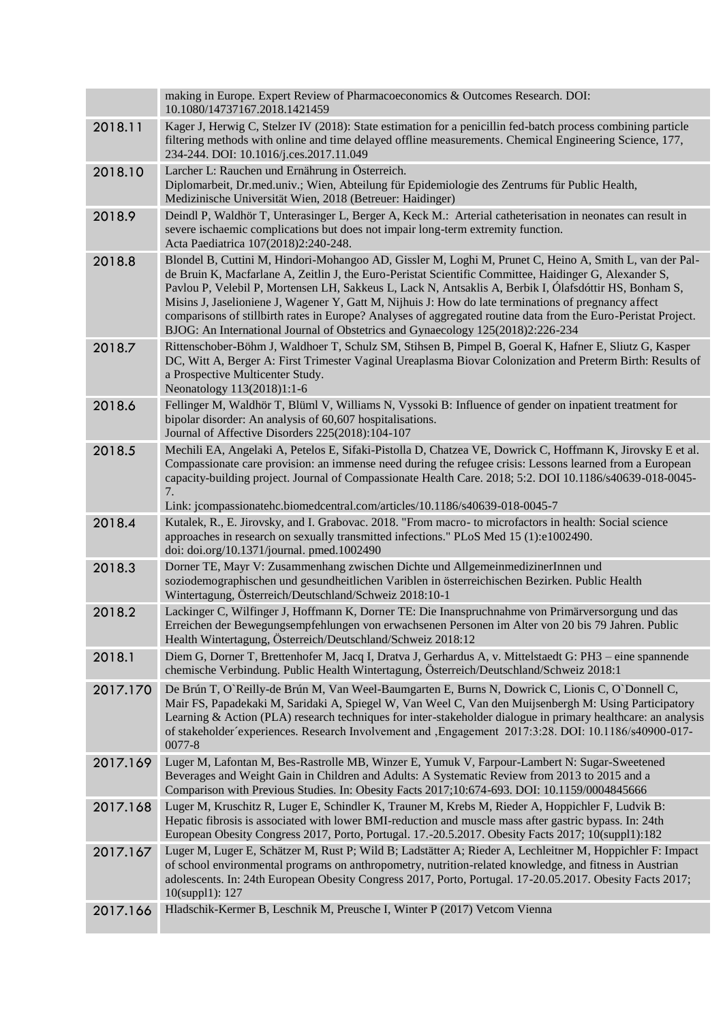|          | making in Europe. Expert Review of Pharmacoeconomics & Outcomes Research. DOI:<br>10.1080/14737167.2018.1421459                                                                                                                                                                                                                                                                                                                                                                                                                                                                                                                          |
|----------|------------------------------------------------------------------------------------------------------------------------------------------------------------------------------------------------------------------------------------------------------------------------------------------------------------------------------------------------------------------------------------------------------------------------------------------------------------------------------------------------------------------------------------------------------------------------------------------------------------------------------------------|
| 2018.11  | Kager J, Herwig C, Stelzer IV (2018): State estimation for a penicillin fed-batch process combining particle<br>filtering methods with online and time delayed offline measurements. Chemical Engineering Science, 177,<br>234-244. DOI: 10.1016/j.ces.2017.11.049                                                                                                                                                                                                                                                                                                                                                                       |
| 2018.10  | Larcher L: Rauchen und Ernährung in Österreich.<br>Diplomarbeit, Dr.med.univ.; Wien, Abteilung für Epidemiologie des Zentrums für Public Health,<br>Medizinische Universität Wien, 2018 (Betreuer: Haidinger)                                                                                                                                                                                                                                                                                                                                                                                                                            |
| 2018.9   | Deindl P, Waldhör T, Unterasinger L, Berger A, Keck M.: Arterial catheterisation in neonates can result in<br>severe ischaemic complications but does not impair long-term extremity function.<br>Acta Paediatrica 107(2018)2:240-248.                                                                                                                                                                                                                                                                                                                                                                                                   |
| 2018.8   | Blondel B, Cuttini M, Hindori-Mohangoo AD, Gissler M, Loghi M, Prunet C, Heino A, Smith L, van der Pal-<br>de Bruin K, Macfarlane A, Zeitlin J, the Euro-Peristat Scientific Committee, Haidinger G, Alexander S,<br>Pavlou P, Velebil P, Mortensen LH, Sakkeus L, Lack N, Antsaklis A, Berbik I, Ólafsdóttir HS, Bonham S,<br>Misins J, Jaselioniene J, Wagener Y, Gatt M, Nijhuis J: How do late terminations of pregnancy affect<br>comparisons of stillbirth rates in Europe? Analyses of aggregated routine data from the Euro-Peristat Project.<br>BJOG: An International Journal of Obstetrics and Gynaecology 125(2018)2:226-234 |
| 2018.7   | Rittenschober-Böhm J, Waldhoer T, Schulz SM, Stihsen B, Pimpel B, Goeral K, Hafner E, Sliutz G, Kasper<br>DC, Witt A, Berger A: First Trimester Vaginal Ureaplasma Biovar Colonization and Preterm Birth: Results of<br>a Prospective Multicenter Study.<br>Neonatology 113(2018)1:1-6                                                                                                                                                                                                                                                                                                                                                   |
| 2018.6   | Fellinger M, Waldhör T, Blüml V, Williams N, Vyssoki B: Influence of gender on inpatient treatment for<br>bipolar disorder: An analysis of 60,607 hospitalisations.<br>Journal of Affective Disorders 225(2018):104-107                                                                                                                                                                                                                                                                                                                                                                                                                  |
| 2018.5   | Mechili EA, Angelaki A, Petelos E, Sifaki-Pistolla D, Chatzea VE, Dowrick C, Hoffmann K, Jirovsky E et al.<br>Compassionate care provision: an immense need during the refugee crisis: Lessons learned from a European<br>capacity-building project. Journal of Compassionate Health Care. 2018; 5:2. DOI 10.1186/s40639-018-0045-<br>7.<br>Link: jcompassionatehc.biomedcentral.com/articles/10.1186/s40639-018-0045-7                                                                                                                                                                                                                  |
| 2018.4   | Kutalek, R., E. Jirovsky, and I. Grabovac. 2018. "From macro- to microfactors in health: Social science<br>approaches in research on sexually transmitted infections." PLoS Med 15 (1):e1002490.<br>doi: doi.org/10.1371/journal. pmed.1002490                                                                                                                                                                                                                                                                                                                                                                                           |
| 2018.3   | Dorner TE, Mayr V: Zusammenhang zwischen Dichte und AllgemeinmedizinerInnen und<br>soziodemographischen und gesundheitlichen Variblen in österreichischen Bezirken. Public Health<br>Wintertagung, Österreich/Deutschland/Schweiz 2018:10-1                                                                                                                                                                                                                                                                                                                                                                                              |
| 2018.2   | Lackinger C, Wilfinger J, Hoffmann K, Dorner TE: Die Inanspruchnahme von Primärversorgung und das<br>Erreichen der Bewegungsempfehlungen von erwachsenen Personen im Alter von 20 bis 79 Jahren. Public<br>Health Wintertagung, Österreich/Deutschland/Schweiz 2018:12                                                                                                                                                                                                                                                                                                                                                                   |
| 2018.1   | Diem G, Dorner T, Brettenhofer M, Jacq I, Dratva J, Gerhardus A, v. Mittelstaedt G: PH3 – eine spannende<br>chemische Verbindung. Public Health Wintertagung, Österreich/Deutschland/Schweiz 2018:1                                                                                                                                                                                                                                                                                                                                                                                                                                      |
| 2017.170 | De Brún T, O'Reilly-de Brún M, Van Weel-Baumgarten E, Burns N, Dowrick C, Lionis C, O'Donnell C,<br>Mair FS, Papadekaki M, Saridaki A, Spiegel W, Van Weel C, Van den Muijsenbergh M: Using Participatory<br>Learning & Action (PLA) research techniques for inter-stakeholder dialogue in primary healthcare: an analysis<br>of stakeholder experiences. Research Involvement and , Engagement 2017:3:28. DOI: 10.1186/s40900-017-<br>0077-8                                                                                                                                                                                            |
| 2017.169 | Luger M, Lafontan M, Bes-Rastrolle MB, Winzer E, Yumuk V, Farpour-Lambert N: Sugar-Sweetened<br>Beverages and Weight Gain in Children and Adults: A Systematic Review from 2013 to 2015 and a<br>Comparison with Previous Studies. In: Obesity Facts 2017;10:674-693. DOI: 10.1159/0004845666                                                                                                                                                                                                                                                                                                                                            |
| 2017.168 | Luger M, Kruschitz R, Luger E, Schindler K, Trauner M, Krebs M, Rieder A, Hoppichler F, Ludvik B:<br>Hepatic fibrosis is associated with lower BMI-reduction and muscle mass after gastric bypass. In: 24th<br>European Obesity Congress 2017, Porto, Portugal. 17.-20.5.2017. Obesity Facts 2017; 10(suppl1):182                                                                                                                                                                                                                                                                                                                        |
| 2017.167 | Luger M, Luger E, Schätzer M, Rust P; Wild B; Ladstätter A; Rieder A, Lechleitner M, Hoppichler F: Impact<br>of school environmental programs on anthropometry, nutrition-related knowledge, and fitness in Austrian<br>adolescents. In: 24th European Obesity Congress 2017, Porto, Portugal. 17-20.05.2017. Obesity Facts 2017;<br>10(suppl1): 127                                                                                                                                                                                                                                                                                     |
| 2017.166 | Hladschik-Kermer B, Leschnik M, Preusche I, Winter P (2017) Vetcom Vienna                                                                                                                                                                                                                                                                                                                                                                                                                                                                                                                                                                |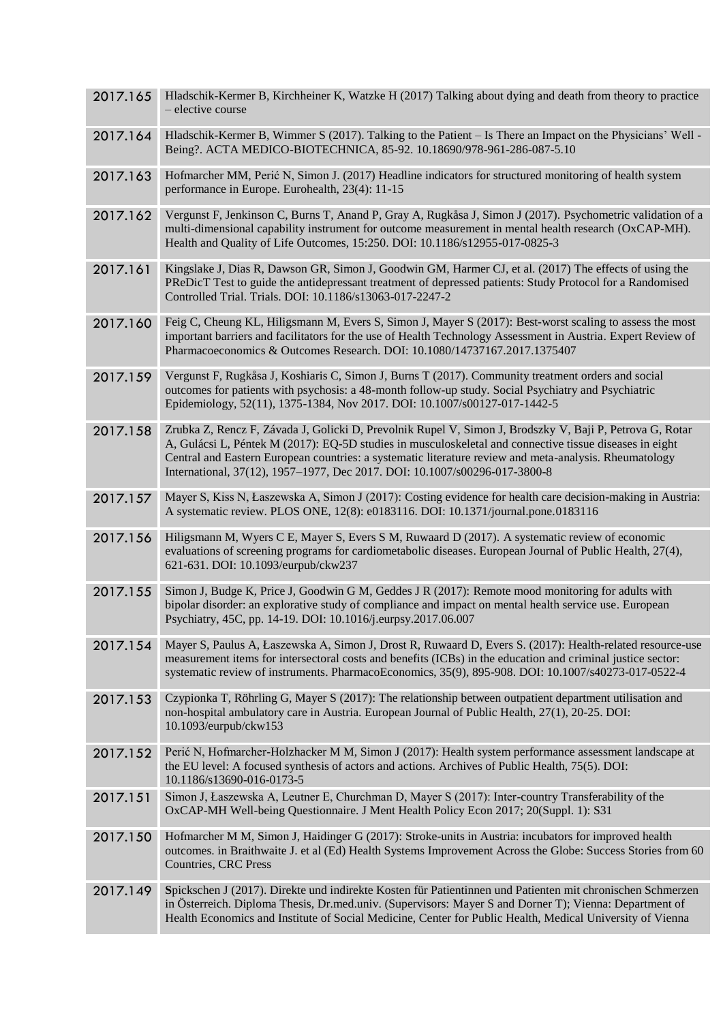| 2017.165 | Hladschik-Kermer B, Kirchheiner K, Watzke H (2017) Talking about dying and death from theory to practice<br>- elective course                                                                                                                                                                                                                                                                               |
|----------|-------------------------------------------------------------------------------------------------------------------------------------------------------------------------------------------------------------------------------------------------------------------------------------------------------------------------------------------------------------------------------------------------------------|
| 2017.164 | Hladschik-Kermer B, Wimmer S (2017). Talking to the Patient – Is There an Impact on the Physicians' Well -<br>Being?. ACTA MEDICO-BIOTECHNICA, 85-92. 10.18690/978-961-286-087-5.10                                                                                                                                                                                                                         |
| 2017.163 | Hofmarcher MM, Perić N, Simon J. (2017) Headline indicators for structured monitoring of health system<br>performance in Europe. Eurohealth, 23(4): 11-15                                                                                                                                                                                                                                                   |
| 2017.162 | Vergunst F, Jenkinson C, Burns T, Anand P, Gray A, Rugkåsa J, Simon J (2017). Psychometric validation of a<br>multi-dimensional capability instrument for outcome measurement in mental health research (OxCAP-MH).<br>Health and Quality of Life Outcomes, 15:250. DOI: 10.1186/s12955-017-0825-3                                                                                                          |
| 2017.161 | Kingslake J, Dias R, Dawson GR, Simon J, Goodwin GM, Harmer CJ, et al. (2017) The effects of using the<br>PReDicT Test to guide the antidepressant treatment of depressed patients: Study Protocol for a Randomised<br>Controlled Trial. Trials. DOI: 10.1186/s13063-017-2247-2                                                                                                                             |
| 2017.160 | Feig C, Cheung KL, Hiligsmann M, Evers S, Simon J, Mayer S (2017): Best-worst scaling to assess the most<br>important barriers and facilitators for the use of Health Technology Assessment in Austria. Expert Review of<br>Pharmacoeconomics & Outcomes Research. DOI: 10.1080/14737167.2017.1375407                                                                                                       |
| 2017.159 | Vergunst F, Rugkåsa J, Koshiaris C, Simon J, Burns T (2017). Community treatment orders and social<br>outcomes for patients with psychosis: a 48-month follow-up study. Social Psychiatry and Psychiatric<br>Epidemiology, 52(11), 1375-1384, Nov 2017. DOI: 10.1007/s00127-017-1442-5                                                                                                                      |
| 2017.158 | Zrubka Z, Rencz F, Závada J, Golicki D, Prevolnik Rupel V, Simon J, Brodszky V, Baji P, Petrova G, Rotar<br>A, Gulácsi L, Péntek M (2017): EQ-5D studies in musculoskeletal and connective tissue diseases in eight<br>Central and Eastern European countries: a systematic literature review and meta-analysis. Rheumatology<br>International, 37(12), 1957-1977, Dec 2017. DOI: 10.1007/s00296-017-3800-8 |
| 2017.157 | Mayer S, Kiss N, Łaszewska A, Simon J (2017): Costing evidence for health care decision-making in Austria:<br>A systematic review. PLOS ONE, 12(8): e0183116. DOI: 10.1371/journal.pone.0183116                                                                                                                                                                                                             |
| 2017.156 | Hiligsmann M, Wyers C E, Mayer S, Evers S M, Ruwaard D (2017). A systematic review of economic<br>evaluations of screening programs for cardiometabolic diseases. European Journal of Public Health, 27(4),<br>621-631. DOI: 10.1093/eurpub/ckw237                                                                                                                                                          |
| 2017.155 | Simon J, Budge K, Price J, Goodwin G M, Geddes J R (2017): Remote mood monitoring for adults with<br>bipolar disorder: an explorative study of compliance and impact on mental health service use. European<br>Psychiatry, 45C, pp. 14-19. DOI: 10.1016/j.eurpsy.2017.06.007                                                                                                                                |
| 2017.154 | Mayer S, Paulus A, Łaszewska A, Simon J, Drost R, Ruwaard D, Evers S. (2017): Health-related resource-use<br>measurement items for intersectoral costs and benefits (ICBs) in the education and criminal justice sector:<br>systematic review of instruments. PharmacoEconomics, 35(9), 895-908. DOI: 10.1007/s40273-017-0522-4                                                                             |
| 2017.153 | Czypionka T, Röhrling G, Mayer S (2017): The relationship between outpatient department utilisation and<br>non-hospital ambulatory care in Austria. European Journal of Public Health, 27(1), 20-25. DOI:<br>10.1093/eurpub/ckw153                                                                                                                                                                          |
| 2017.152 | Perić N, Hofmarcher-Holzhacker M M, Simon J (2017): Health system performance assessment landscape at<br>the EU level: A focused synthesis of actors and actions. Archives of Public Health, 75(5). DOI:<br>10.1186/s13690-016-0173-5                                                                                                                                                                       |
| 2017.151 | Simon J, Łaszewska A, Leutner E, Churchman D, Mayer S (2017): Inter-country Transferability of the<br>OxCAP-MH Well-being Questionnaire. J Ment Health Policy Econ 2017; 20(Suppl. 1): S31                                                                                                                                                                                                                  |
| 2017.150 | Hofmarcher M M, Simon J, Haidinger G (2017): Stroke-units in Austria: incubators for improved health<br>outcomes. in Braithwaite J. et al (Ed) Health Systems Improvement Across the Globe: Success Stories from 60<br><b>Countries, CRC Press</b>                                                                                                                                                          |
| 2017.149 | Spickschen J (2017). Direkte und indirekte Kosten für Patientinnen und Patienten mit chronischen Schmerzen<br>in Österreich. Diploma Thesis, Dr.med.univ. (Supervisors: Mayer S and Dorner T); Vienna: Department of<br>Health Economics and Institute of Social Medicine, Center for Public Health, Medical University of Vienna                                                                           |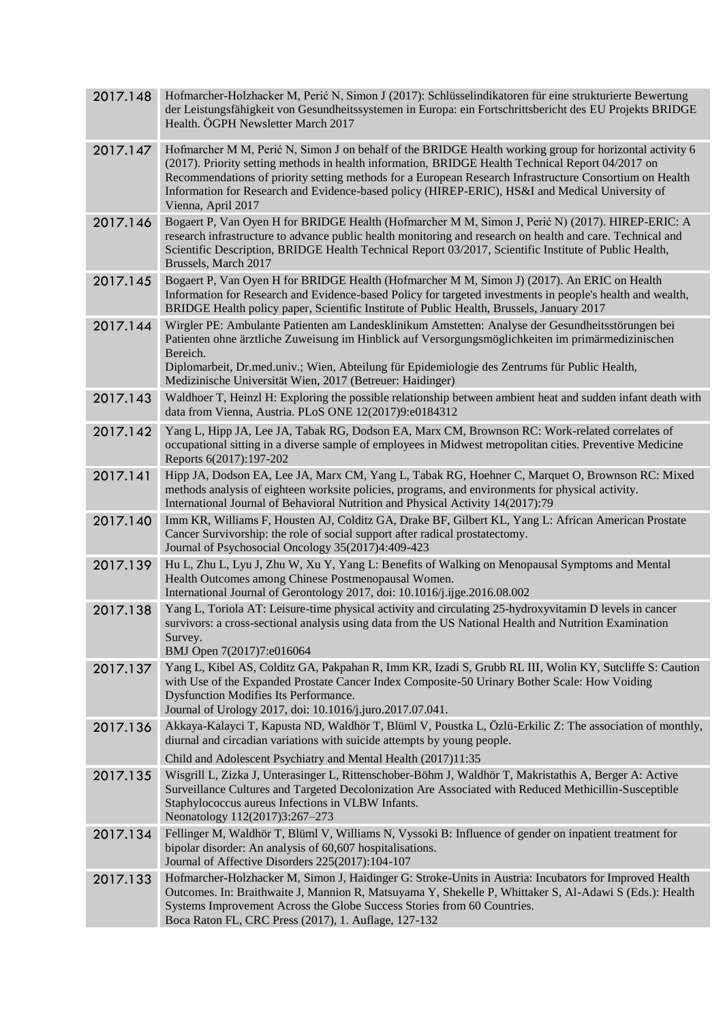| 2017.148 | Hofmarcher-Holzhacker M, Perić N, Simon J (2017): Schlüsselindikatoren für eine strukturierte Bewertung<br>der Leistungsfähigkeit von Gesundheitssystemen in Europa: ein Fortschrittsbericht des EU Projekts BRIDGE<br>Health. ÖGPH Newsletter March 2017                                                                                                                                                                                        |
|----------|--------------------------------------------------------------------------------------------------------------------------------------------------------------------------------------------------------------------------------------------------------------------------------------------------------------------------------------------------------------------------------------------------------------------------------------------------|
| 2017.147 | Hofmarcher M M, Perić N, Simon J on behalf of the BRIDGE Health working group for horizontal activity 6<br>(2017). Priority setting methods in health information, BRIDGE Health Technical Report 04/2017 on<br>Recommendations of priority setting methods for a European Research Infrastructure Consortium on Health<br>Information for Research and Evidence-based policy (HIREP-ERIC), HS&I and Medical University of<br>Vienna, April 2017 |
| 2017.146 | Bogaert P, Van Oyen H for BRIDGE Health (Hofmarcher M M, Simon J, Perić N) (2017). HIREP-ERIC: A<br>research infrastructure to advance public health monitoring and research on health and care. Technical and<br>Scientific Description, BRIDGE Health Technical Report 03/2017, Scientific Institute of Public Health,<br>Brussels, March 2017                                                                                                 |
| 2017.145 | Bogaert P, Van Oyen H for BRIDGE Health (Hofmarcher M M, Simon J) (2017). An ERIC on Health<br>Information for Research and Evidence-based Policy for targeted investments in people's health and wealth,<br>BRIDGE Health policy paper, Scientific Institute of Public Health, Brussels, January 2017                                                                                                                                           |
| 2017.144 | Wirgler PE: Ambulante Patienten am Landesklinikum Amstetten: Analyse der Gesundheitsstörungen bei<br>Patienten ohne ärztliche Zuweisung im Hinblick auf Versorgungsmöglichkeiten im primärmedizinischen<br>Bereich.<br>Diplomarbeit, Dr.med.univ.; Wien, Abteilung für Epidemiologie des Zentrums für Public Health,<br>Medizinische Universität Wien, 2017 (Betreuer: Haidinger)                                                                |
| 2017.143 | Waldhoer T, Heinzl H: Exploring the possible relationship between ambient heat and sudden infant death with<br>data from Vienna, Austria. PLoS ONE 12(2017)9:e0184312                                                                                                                                                                                                                                                                            |
| 2017.142 | Yang L, Hipp JA, Lee JA, Tabak RG, Dodson EA, Marx CM, Brownson RC: Work-related correlates of<br>occupational sitting in a diverse sample of employees in Midwest metropolitan cities. Preventive Medicine<br>Reports 6(2017):197-202                                                                                                                                                                                                           |
| 2017.141 | Hipp JA, Dodson EA, Lee JA, Marx CM, Yang L, Tabak RG, Hoehner C, Marquet O, Brownson RC: Mixed<br>methods analysis of eighteen worksite policies, programs, and environments for physical activity.<br>International Journal of Behavioral Nutrition and Physical Activity 14(2017):79                                                                                                                                                          |
| 2017.140 | Imm KR, Williams F, Housten AJ, Colditz GA, Drake BF, Gilbert KL, Yang L: African American Prostate<br>Cancer Survivorship: the role of social support after radical prostatectomy.<br>Journal of Psychosocial Oncology 35(2017)4:409-423                                                                                                                                                                                                        |
| 2017.139 | Hu L, Zhu L, Lyu J, Zhu W, Xu Y, Yang L: Benefits of Walking on Menopausal Symptoms and Mental<br>Health Outcomes among Chinese Postmenopausal Women.<br>International Journal of Gerontology 2017, doi: 10.1016/j.ijge.2016.08.002                                                                                                                                                                                                              |
| 2017.138 | Yang L, Toriola AT: Leisure-time physical activity and circulating 25-hydroxyvitamin D levels in cancer<br>survivors: a cross-sectional analysis using data from the US National Health and Nutrition Examination<br>Survey.<br>BMJ Open 7(2017)7:e016064                                                                                                                                                                                        |
| 2017.137 | Yang L, Kibel AS, Colditz GA, Pakpahan R, Imm KR, Izadi S, Grubb RL III, Wolin KY, Sutcliffe S: Caution<br>with Use of the Expanded Prostate Cancer Index Composite-50 Urinary Bother Scale: How Voiding<br><b>Dysfunction Modifies Its Performance.</b><br>Journal of Urology 2017, doi: 10.1016/j.juro.2017.07.041.                                                                                                                            |
| 2017.136 | Akkaya-Kalayci T, Kapusta ND, Waldhör T, Blüml V, Poustka L, Özlü-Erkilic Z: The association of monthly,<br>diurnal and circadian variations with suicide attempts by young people.                                                                                                                                                                                                                                                              |
|          | Child and Adolescent Psychiatry and Mental Health (2017)11:35                                                                                                                                                                                                                                                                                                                                                                                    |
| 2017.135 | Wisgrill L, Zizka J, Unterasinger L, Rittenschober-Böhm J, Waldhör T, Makristathis A, Berger A: Active<br>Surveillance Cultures and Targeted Decolonization Are Associated with Reduced Methicillin-Susceptible<br>Staphylococcus aureus Infections in VLBW Infants.<br>Neonatology 112(2017)3:267-273                                                                                                                                           |
| 2017.134 | Fellinger M, Waldhör T, Blüml V, Williams N, Vyssoki B: Influence of gender on inpatient treatment for<br>bipolar disorder: An analysis of 60,607 hospitalisations.<br>Journal of Affective Disorders 225(2017):104-107                                                                                                                                                                                                                          |
| 2017.133 | Hofmarcher-Holzhacker M, Simon J, Haidinger G: Stroke-Units in Austria: Incubators for Improved Health<br>Outcomes. In: Braithwaite J, Mannion R, Matsuyama Y, Shekelle P, Whittaker S, Al-Adawi S (Eds.): Health<br>Systems Improvement Across the Globe Success Stories from 60 Countries.<br>Boca Raton FL, CRC Press (2017), 1. Auflage, 127-132                                                                                             |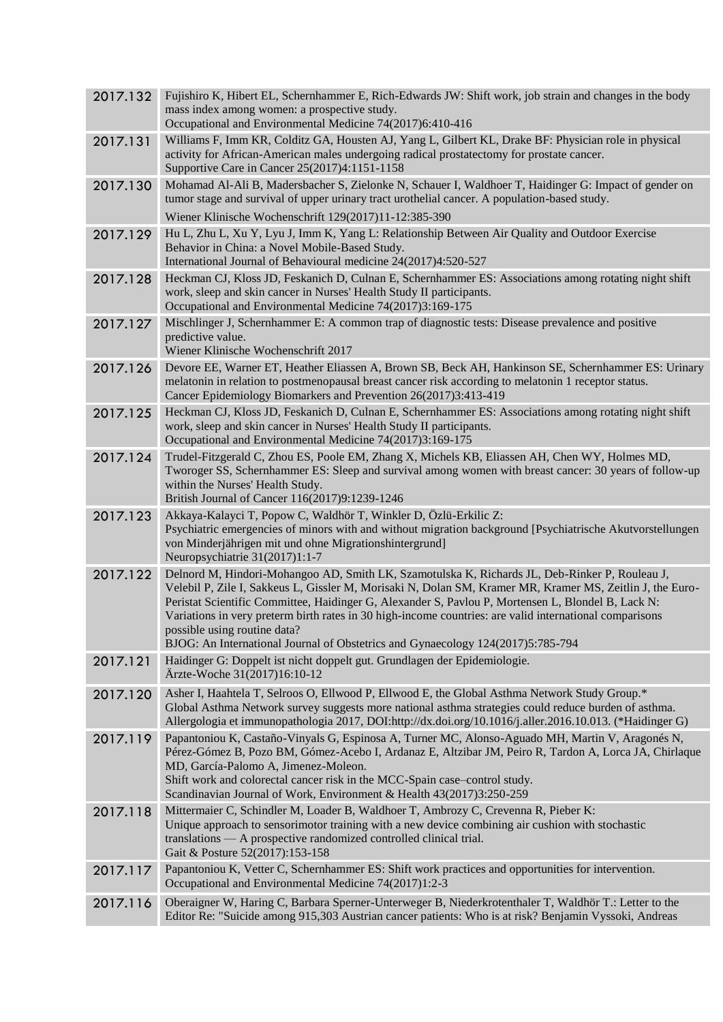| 2017.132 | Fujishiro K, Hibert EL, Schernhammer E, Rich-Edwards JW: Shift work, job strain and changes in the body<br>mass index among women: a prospective study.<br>Occupational and Environmental Medicine 74(2017)6:410-416                                                                                                                                                                                                                                                                                                                            |
|----------|-------------------------------------------------------------------------------------------------------------------------------------------------------------------------------------------------------------------------------------------------------------------------------------------------------------------------------------------------------------------------------------------------------------------------------------------------------------------------------------------------------------------------------------------------|
| 2017.131 | Williams F, Imm KR, Colditz GA, Housten AJ, Yang L, Gilbert KL, Drake BF: Physician role in physical<br>activity for African-American males undergoing radical prostatectomy for prostate cancer.<br>Supportive Care in Cancer 25(2017)4:1151-1158                                                                                                                                                                                                                                                                                              |
| 2017.130 | Mohamad Al-Ali B, Madersbacher S, Zielonke N, Schauer I, Waldhoer T, Haidinger G: Impact of gender on<br>tumor stage and survival of upper urinary tract urothelial cancer. A population-based study.<br>Wiener Klinische Wochenschrift 129(2017)11-12:385-390                                                                                                                                                                                                                                                                                  |
|          |                                                                                                                                                                                                                                                                                                                                                                                                                                                                                                                                                 |
| 2017.129 | Hu L, Zhu L, Xu Y, Lyu J, Imm K, Yang L: Relationship Between Air Quality and Outdoor Exercise<br>Behavior in China: a Novel Mobile-Based Study.<br>International Journal of Behavioural medicine 24(2017)4:520-527                                                                                                                                                                                                                                                                                                                             |
| 2017.128 | Heckman CJ, Kloss JD, Feskanich D, Culnan E, Schernhammer ES: Associations among rotating night shift<br>work, sleep and skin cancer in Nurses' Health Study II participants.<br>Occupational and Environmental Medicine 74(2017)3:169-175                                                                                                                                                                                                                                                                                                      |
| 2017.127 | Mischlinger J, Schernhammer E: A common trap of diagnostic tests: Disease prevalence and positive<br>predictive value.<br>Wiener Klinische Wochenschrift 2017                                                                                                                                                                                                                                                                                                                                                                                   |
| 2017.126 | Devore EE, Warner ET, Heather Eliassen A, Brown SB, Beck AH, Hankinson SE, Schernhammer ES: Urinary<br>melatonin in relation to postmenopausal breast cancer risk according to melatonin 1 receptor status.<br>Cancer Epidemiology Biomarkers and Prevention 26(2017)3:413-419                                                                                                                                                                                                                                                                  |
| 2017.125 | Heckman CJ, Kloss JD, Feskanich D, Culnan E, Schernhammer ES: Associations among rotating night shift<br>work, sleep and skin cancer in Nurses' Health Study II participants.<br>Occupational and Environmental Medicine 74(2017)3:169-175                                                                                                                                                                                                                                                                                                      |
| 2017.124 | Trudel-Fitzgerald C, Zhou ES, Poole EM, Zhang X, Michels KB, Eliassen AH, Chen WY, Holmes MD,<br>Tworoger SS, Schernhammer ES: Sleep and survival among women with breast cancer: 30 years of follow-up<br>within the Nurses' Health Study.<br>British Journal of Cancer 116(2017)9:1239-1246                                                                                                                                                                                                                                                   |
| 2017.123 | Akkaya-Kalayci T, Popow C, Waldhör T, Winkler D, Özlü-Erkilic Z:<br>Psychiatric emergencies of minors with and without migration background [Psychiatrische Akutvorstellungen<br>von Minderjährigen mit und ohne Migrationshintergrund]<br>Neuropsychiatrie 31(2017)1:1-7                                                                                                                                                                                                                                                                       |
| 2017.122 | Delnord M, Hindori-Mohangoo AD, Smith LK, Szamotulska K, Richards JL, Deb-Rinker P, Rouleau J,<br>Velebil P, Zile I, Sakkeus L, Gissler M, Morisaki N, Dolan SM, Kramer MR, Kramer MS, Zeitlin J, the Euro-<br>Peristat Scientific Committee, Haidinger G, Alexander S, Pavlou P, Mortensen L, Blondel B, Lack N:<br>Variations in very preterm birth rates in 30 high-income countries: are valid international comparisons<br>possible using routine data?<br>BJOG: An International Journal of Obstetrics and Gynaecology 124(2017)5:785-794 |
| 2017.121 | Haidinger G: Doppelt ist nicht doppelt gut. Grundlagen der Epidemiologie.<br>Ärzte-Woche 31(2017)16:10-12                                                                                                                                                                                                                                                                                                                                                                                                                                       |
| 2017.120 | Asher I, Haahtela T, Selroos O, Ellwood P, Ellwood E, the Global Asthma Network Study Group.*<br>Global Asthma Network survey suggests more national asthma strategies could reduce burden of asthma.<br>Allergologia et immunopathologia 2017, DOI:http://dx.doi.org/10.1016/j.aller.2016.10.013. (*Haidinger G)                                                                                                                                                                                                                               |
| 2017.119 | Papantoniou K, Castaño-Vinyals G, Espinosa A, Turner MC, Alonso-Aguado MH, Martin V, Aragonés N,<br>Pérez-Gómez B, Pozo BM, Gómez-Acebo I, Ardanaz E, Altzibar JM, Peiro R, Tardon A, Lorca JA, Chirlaque<br>MD, García-Palomo A, Jimenez-Moleon.<br>Shift work and colorectal cancer risk in the MCC-Spain case-control study.<br>Scandinavian Journal of Work, Environment & Health 43(2017)3:250-259                                                                                                                                         |
| 2017.118 | Mittermaier C, Schindler M, Loader B, Waldhoer T, Ambrozy C, Crevenna R, Pieber K:<br>Unique approach to sensorimotor training with a new device combining air cushion with stochastic<br>translations — A prospective randomized controlled clinical trial.<br>Gait & Posture 52(2017):153-158                                                                                                                                                                                                                                                 |
| 2017.117 | Papantoniou K, Vetter C, Schernhammer ES: Shift work practices and opportunities for intervention.<br>Occupational and Environmental Medicine 74(2017)1:2-3                                                                                                                                                                                                                                                                                                                                                                                     |
| 2017.116 | Oberaigner W, Haring C, Barbara Sperner-Unterweger B, Niederkrotenthaler T, Waldhör T.: Letter to the<br>Editor Re: "Suicide among 915,303 Austrian cancer patients: Who is at risk? Benjamin Vyssoki, Andreas                                                                                                                                                                                                                                                                                                                                  |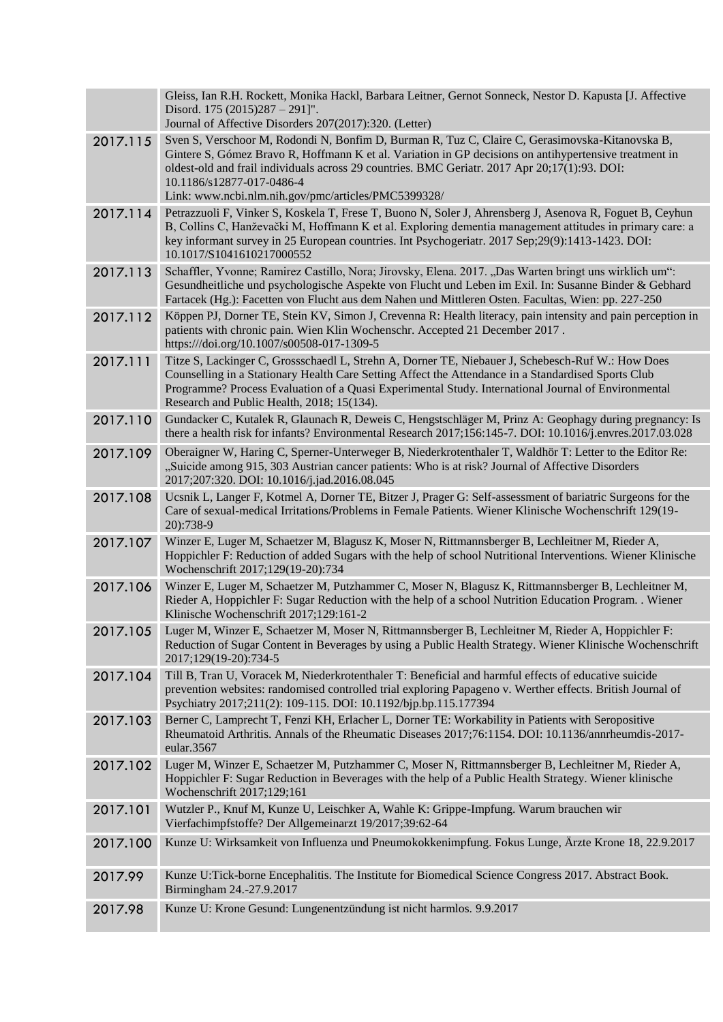|          | Gleiss, Ian R.H. Rockett, Monika Hackl, Barbara Leitner, Gernot Sonneck, Nestor D. Kapusta [J. Affective<br>Disord. $175(2015)287 - 291$ ]".<br>Journal of Affective Disorders 207(2017):320. (Letter)                                                                                                                                                                                         |
|----------|------------------------------------------------------------------------------------------------------------------------------------------------------------------------------------------------------------------------------------------------------------------------------------------------------------------------------------------------------------------------------------------------|
| 2017.115 | Sven S, Verschoor M, Rodondi N, Bonfim D, Burman R, Tuz C, Claire C, Gerasimovska-Kitanovska B,<br>Gintere S, Gómez Bravo R, Hoffmann K et al. Variation in GP decisions on antihypertensive treatment in<br>oldest-old and frail individuals across 29 countries. BMC Geriatr. 2017 Apr 20;17(1):93. DOI:<br>10.1186/s12877-017-0486-4<br>Link: www.ncbi.nlm.nih.gov/pmc/articles/PMC5399328/ |
| 2017.114 | Petrazzuoli F, Vinker S, Koskela T, Frese T, Buono N, Soler J, Ahrensberg J, Asenova R, Foguet B, Ceyhun<br>B, Collins C, Hanževački M, Hoffmann K et al. Exploring dementia management attitudes in primary care: a<br>key informant survey in 25 European countries. Int Psychogeriatr. 2017 Sep;29(9):1413-1423. DOI:<br>10.1017/S1041610217000552                                          |
| 2017.113 | Schaffler, Yvonne; Ramirez Castillo, Nora; Jirovsky, Elena. 2017. "Das Warten bringt uns wirklich um":<br>Gesundheitliche und psychologische Aspekte von Flucht und Leben im Exil. In: Susanne Binder & Gebhard<br>Fartacek (Hg.): Facetten von Flucht aus dem Nahen und Mittleren Osten. Facultas, Wien: pp. 227-250                                                                          |
| 2017.112 | Köppen PJ, Dorner TE, Stein KV, Simon J, Crevenna R: Health literacy, pain intensity and pain perception in<br>patients with chronic pain. Wien Klin Wochenschr. Accepted 21 December 2017.<br>https:///doi.org/10.1007/s00508-017-1309-5                                                                                                                                                      |
| 2017.111 | Titze S, Lackinger C, Grossschaedl L, Strehn A, Dorner TE, Niebauer J, Schebesch-Ruf W.: How Does<br>Counselling in a Stationary Health Care Setting Affect the Attendance in a Standardised Sports Club<br>Programme? Process Evaluation of a Quasi Experimental Study. International Journal of Environmental<br>Research and Public Health, 2018; 15(134).                                  |
| 2017.110 | Gundacker C, Kutalek R, Glaunach R, Deweis C, Hengstschläger M, Prinz A: Geophagy during pregnancy: Is<br>there a health risk for infants? Environmental Research 2017;156:145-7. DOI: 10.1016/j.envres.2017.03.028                                                                                                                                                                            |
| 2017.109 | Oberaigner W, Haring C, Sperner-Unterweger B, Niederkrotenthaler T, Waldhör T: Letter to the Editor Re:<br>"Suicide among 915, 303 Austrian cancer patients: Who is at risk? Journal of Affective Disorders<br>2017;207:320. DOI: 10.1016/j.jad.2016.08.045                                                                                                                                    |
| 2017.108 | Ucsnik L, Langer F, Kotmel A, Dorner TE, Bitzer J, Prager G: Self-assessment of bariatric Surgeons for the<br>Care of sexual-medical Irritations/Problems in Female Patients. Wiener Klinische Wochenschrift 129(19-<br>20):738-9                                                                                                                                                              |
| 2017.107 | Winzer E, Luger M, Schaetzer M, Blagusz K, Moser N, Rittmannsberger B, Lechleitner M, Rieder A,<br>Hoppichler F: Reduction of added Sugars with the help of school Nutritional Interventions. Wiener Klinische<br>Wochenschrift 2017;129(19-20):734                                                                                                                                            |
| 2017.106 | Winzer E, Luger M, Schaetzer M, Putzhammer C, Moser N, Blagusz K, Rittmannsberger B, Lechleitner M,<br>Rieder A, Hoppichler F: Sugar Reduction with the help of a school Nutrition Education Program. Wiener<br>Klinische Wochenschrift 2017;129:161-2                                                                                                                                         |
|          | 2017.105 Luger M, Winzer E, Schaetzer M, Moser N, Rittmannsberger B, Lechleitner M, Rieder A, Hoppichler F:<br>Reduction of Sugar Content in Beverages by using a Public Health Strategy. Wiener Klinische Wochenschrift<br>2017;129(19-20):734-5                                                                                                                                              |
| 2017.104 | Till B, Tran U, Voracek M, Niederkrotenthaler T: Beneficial and harmful effects of educative suicide<br>prevention websites: randomised controlled trial exploring Papageno v. Werther effects. British Journal of<br>Psychiatry 2017;211(2): 109-115. DOI: 10.1192/bjp.bp.115.177394                                                                                                          |
| 2017.103 | Berner C, Lamprecht T, Fenzi KH, Erlacher L, Dorner TE: Workability in Patients with Seropositive<br>Rheumatoid Arthritis. Annals of the Rheumatic Diseases 2017;76:1154. DOI: 10.1136/annrheumdis-2017-<br>eular.3567                                                                                                                                                                         |
| 2017.102 | Luger M, Winzer E, Schaetzer M, Putzhammer C, Moser N, Rittmannsberger B, Lechleitner M, Rieder A,<br>Hoppichler F: Sugar Reduction in Beverages with the help of a Public Health Strategy. Wiener klinische<br>Wochenschrift 2017;129;161                                                                                                                                                     |
| 2017.101 | Wutzler P., Knuf M, Kunze U, Leischker A, Wahle K: Grippe-Impfung. Warum brauchen wir<br>Vierfachimpfstoffe? Der Allgemeinarzt 19/2017;39:62-64                                                                                                                                                                                                                                                |
| 2017.100 | Kunze U: Wirksamkeit von Influenza und Pneumokokkenimpfung. Fokus Lunge, Ärzte Krone 18, 22.9.2017                                                                                                                                                                                                                                                                                             |
| 2017.99  | Kunze U:Tick-borne Encephalitis. The Institute for Biomedical Science Congress 2017. Abstract Book.<br>Birmingham 24.-27.9.2017                                                                                                                                                                                                                                                                |
| 2017.98  | Kunze U: Krone Gesund: Lungenentzündung ist nicht harmlos. 9.9.2017                                                                                                                                                                                                                                                                                                                            |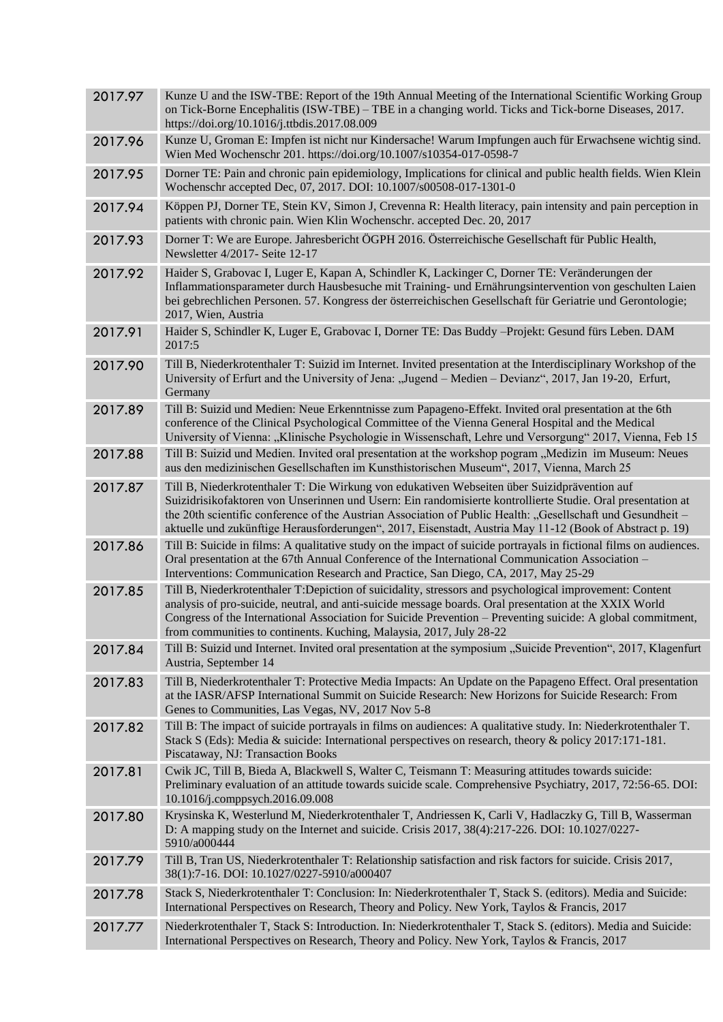| 2017.97 | Kunze U and the ISW-TBE: Report of the 19th Annual Meeting of the International Scientific Working Group<br>on Tick-Borne Encephalitis (ISW-TBE) – TBE in a changing world. Ticks and Tick-borne Diseases, 2017.<br>https://doi.org/10.1016/j.ttbdis.2017.08.009                                                                                                                                                                       |
|---------|----------------------------------------------------------------------------------------------------------------------------------------------------------------------------------------------------------------------------------------------------------------------------------------------------------------------------------------------------------------------------------------------------------------------------------------|
| 2017.96 | Kunze U, Groman E: Impfen ist nicht nur Kindersache! Warum Impfungen auch für Erwachsene wichtig sind.<br>Wien Med Wochenschr 201. https://doi.org/10.1007/s10354-017-0598-7                                                                                                                                                                                                                                                           |
| 2017.95 | Dorner TE: Pain and chronic pain epidemiology, Implications for clinical and public health fields. Wien Klein<br>Wochenschr accepted Dec, 07, 2017. DOI: 10.1007/s00508-017-1301-0                                                                                                                                                                                                                                                     |
| 2017.94 | Köppen PJ, Dorner TE, Stein KV, Simon J, Crevenna R: Health literacy, pain intensity and pain perception in<br>patients with chronic pain. Wien Klin Wochenschr. accepted Dec. 20, 2017                                                                                                                                                                                                                                                |
| 2017.93 | Dorner T: We are Europe. Jahresbericht ÖGPH 2016. Österreichische Gesellschaft für Public Health,<br>Newsletter 4/2017- Seite 12-17                                                                                                                                                                                                                                                                                                    |
| 2017.92 | Haider S, Grabovac I, Luger E, Kapan A, Schindler K, Lackinger C, Dorner TE: Veränderungen der<br>Inflammationsparameter durch Hausbesuche mit Training- und Ernährungsintervention von geschulten Laien<br>bei gebrechlichen Personen. 57. Kongress der österreichischen Gesellschaft für Geriatrie und Gerontologie;<br>2017, Wien, Austria                                                                                          |
| 2017.91 | Haider S, Schindler K, Luger E, Grabovac I, Dorner TE: Das Buddy -Projekt: Gesund fürs Leben. DAM<br>2017:5                                                                                                                                                                                                                                                                                                                            |
| 2017.90 | Till B, Niederkrotenthaler T: Suizid im Internet. Invited presentation at the Interdisciplinary Workshop of the<br>University of Erfurt and the University of Jena: "Jugend - Medien - Devianz", 2017, Jan 19-20, Erfurt,<br>Germany                                                                                                                                                                                                   |
| 2017.89 | Till B: Suizid und Medien: Neue Erkenntnisse zum Papageno-Effekt. Invited oral presentation at the 6th<br>conference of the Clinical Psychological Committee of the Vienna General Hospital and the Medical<br>University of Vienna: "Klinische Psychologie in Wissenschaft, Lehre und Versorgung" 2017, Vienna, Feb 15                                                                                                                |
| 2017.88 | Till B: Suizid und Medien. Invited oral presentation at the workshop pogram "Medizin im Museum: Neues<br>aus den medizinischen Gesellschaften im Kunsthistorischen Museum", 2017, Vienna, March 25                                                                                                                                                                                                                                     |
| 2017.87 | Till B, Niederkrotenthaler T: Die Wirkung von edukativen Webseiten über Suizidprävention auf<br>Suizidrisikofaktoren von Unserinnen und Usern: Ein randomisierte kontrollierte Studie. Oral presentation at<br>the 20th scientific conference of the Austrian Association of Public Health: "Gesellschaft und Gesundheit –<br>aktuelle und zukünftige Herausforderungen", 2017, Eisenstadt, Austria May 11-12 (Book of Abstract p. 19) |
| 2017.86 | Till B: Suicide in films: A qualitative study on the impact of suicide portrayals in fictional films on audiences.<br>Oral presentation at the 67th Annual Conference of the International Communication Association -<br>Interventions: Communication Research and Practice, San Diego, CA, 2017, May 25-29                                                                                                                           |
| 2017.85 | Till B, Niederkrotenthaler T:Depiction of suicidality, stressors and psychological improvement: Content<br>analysis of pro-suicide, neutral, and anti-suicide message boards. Oral presentation at the XXIX World<br>Congress of the International Association for Suicide Prevention – Preventing suicide: A global commitment,<br>from communities to continents. Kuching, Malaysia, 2017, July 28-22                                |
| 2017.84 | Till B: Suizid und Internet. Invited oral presentation at the symposium "Suicide Prevention", 2017, Klagenfurt<br>Austria, September 14                                                                                                                                                                                                                                                                                                |
| 2017.83 | Till B, Niederkrotenthaler T: Protective Media Impacts: An Update on the Papageno Effect. Oral presentation<br>at the IASR/AFSP International Summit on Suicide Research: New Horizons for Suicide Research: From<br>Genes to Communities, Las Vegas, NV, 2017 Nov 5-8                                                                                                                                                                 |
| 2017.82 | Till B: The impact of suicide portrayals in films on audiences: A qualitative study. In: Niederkrotenthaler T.<br>Stack S (Eds): Media & suicide: International perspectives on research, theory & policy 2017:171-181.<br>Piscataway, NJ: Transaction Books                                                                                                                                                                           |
| 2017.81 | Cwik JC, Till B, Bieda A, Blackwell S, Walter C, Teismann T: Measuring attitudes towards suicide:<br>Preliminary evaluation of an attitude towards suicide scale. Comprehensive Psychiatry, 2017, 72:56-65. DOI:<br>10.1016/j.comppsych.2016.09.008                                                                                                                                                                                    |
| 2017.80 | Krysinska K, Westerlund M, Niederkrotenthaler T, Andriessen K, Carli V, Hadlaczky G, Till B, Wasserman<br>D: A mapping study on the Internet and suicide. Crisis 2017, 38(4):217-226. DOI: 10.1027/0227-<br>5910/a000444                                                                                                                                                                                                               |
| 2017.79 | Till B, Tran US, Niederkrotenthaler T: Relationship satisfaction and risk factors for suicide. Crisis 2017,<br>38(1):7-16. DOI: 10.1027/0227-5910/a000407                                                                                                                                                                                                                                                                              |
| 2017.78 | Stack S, Niederkrotenthaler T: Conclusion: In: Niederkrotenthaler T, Stack S. (editors). Media and Suicide:<br>International Perspectives on Research, Theory and Policy. New York, Taylos & Francis, 2017                                                                                                                                                                                                                             |
| 2017.77 | Niederkrotenthaler T, Stack S: Introduction. In: Niederkrotenthaler T, Stack S. (editors). Media and Suicide:<br>International Perspectives on Research, Theory and Policy. New York, Taylos & Francis, 2017                                                                                                                                                                                                                           |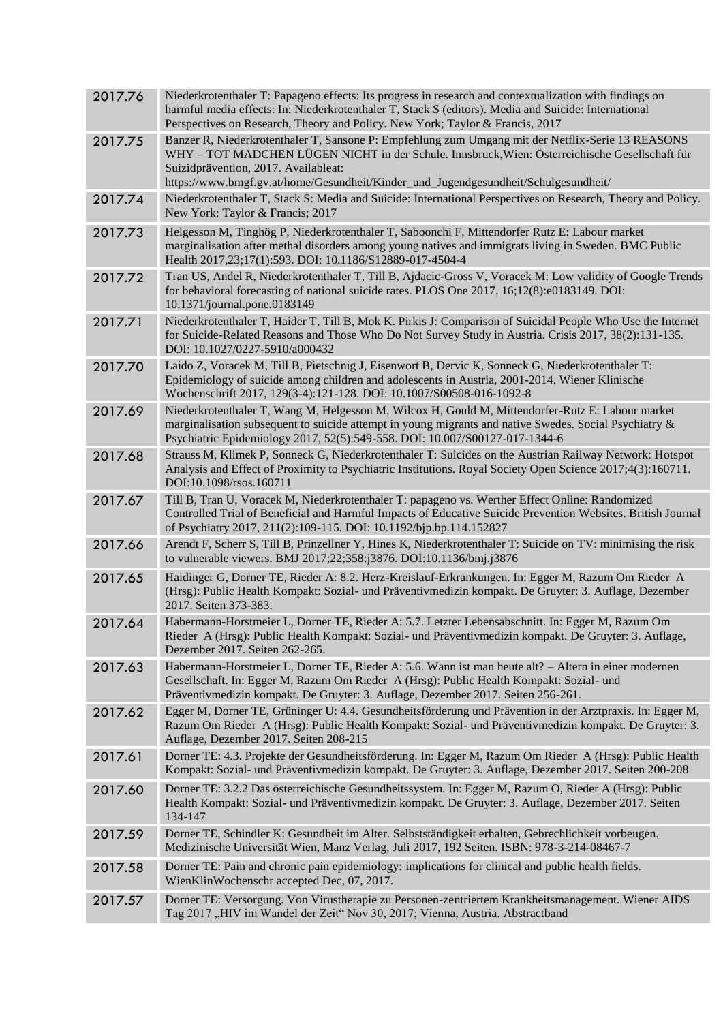| 2017.76 | Niederkrotenthaler T: Papageno effects: Its progress in research and contextualization with findings on<br>harmful media effects: In: Niederkrotenthaler T, Stack S (editors). Media and Suicide: International<br>Perspectives on Research, Theory and Policy. New York; Taylor & Francis, 2017                                   |
|---------|------------------------------------------------------------------------------------------------------------------------------------------------------------------------------------------------------------------------------------------------------------------------------------------------------------------------------------|
| 2017.75 | Banzer R, Niederkrotenthaler T, Sansone P: Empfehlung zum Umgang mit der Netflix-Serie 13 REASONS<br>WHY - TOT MÄDCHEN LÜGEN NICHT in der Schule. Innsbruck, Wien: Österreichische Gesellschaft für<br>Suizidprävention, 2017. Availableat:<br>https://www.bmgf.gv.at/home/Gesundheit/Kinder_und_Jugendgesundheit/Schulgesundheit/ |
| 2017.74 | Niederkrotenthaler T, Stack S: Media and Suicide: International Perspectives on Research, Theory and Policy.<br>New York: Taylor & Francis; 2017                                                                                                                                                                                   |
| 2017.73 | Helgesson M, Tinghög P, Niederkrotenthaler T, Saboonchi F, Mittendorfer Rutz E: Labour market<br>marginalisation after methal disorders among young natives and immigrats living in Sweden. BMC Public<br>Health 2017,23;17(1):593. DOI: 10.1186/S12889-017-4504-4                                                                 |
| 2017.72 | Tran US, Andel R, Niederkrotenthaler T, Till B, Ajdacic-Gross V, Voracek M: Low validity of Google Trends<br>for behavioral forecasting of national suicide rates. PLOS One 2017, 16;12(8):e0183149. DOI:<br>10.1371/journal.pone.0183149                                                                                          |
| 2017.71 | Niederkrotenthaler T, Haider T, Till B, Mok K. Pirkis J: Comparison of Suicidal People Who Use the Internet<br>for Suicide-Related Reasons and Those Who Do Not Survey Study in Austria. Crisis 2017, 38(2):131-135.<br>DOI: 10.1027/0227-5910/a000432                                                                             |
| 2017.70 | Laido Z, Voracek M, Till B, Pietschnig J, Eisenwort B, Dervic K, Sonneck G, Niederkrotenthaler T:<br>Epidemiology of suicide among children and adolescents in Austria, 2001-2014. Wiener Klinische<br>Wochenschrift 2017, 129(3-4):121-128. DOI: 10.1007/S00508-016-1092-8                                                        |
| 2017.69 | Niederkrotenthaler T, Wang M, Helgesson M, Wilcox H, Gould M, Mittendorfer-Rutz E: Labour market<br>marginalisation subsequent to suicide attempt in young migrants and native Swedes. Social Psychiatry &<br>Psychiatric Epidemiology 2017, 52(5):549-558. DOI: 10.007/S00127-017-1344-6                                          |
| 2017.68 | Strauss M, Klimek P, Sonneck G, Niederkrotenthaler T: Suicides on the Austrian Railway Network: Hotspot<br>Analysis and Effect of Proximity to Psychiatric Institutions. Royal Society Open Science 2017;4(3):160711.<br>DOI:10.1098/rsos.160711                                                                                   |
| 2017.67 | Till B, Tran U, Voracek M, Niederkrotenthaler T: papageno vs. Werther Effect Online: Randomized<br>Controlled Trial of Beneficial and Harmful Impacts of Educative Suicide Prevention Websites. British Journal<br>of Psychiatry 2017, 211(2):109-115. DOI: 10.1192/bjp.bp.114.152827                                              |
| 2017.66 | Arendt F, Scherr S, Till B, Prinzellner Y, Hines K, Niederkrotenthaler T: Suicide on TV: minimising the risk<br>to vulnerable viewers. BMJ 2017;22;358:j3876. DOI:10.1136/bmj.j3876                                                                                                                                                |
| 2017.65 | Haidinger G, Dorner TE, Rieder A: 8.2. Herz-Kreislauf-Erkrankungen. In: Egger M, Razum Om Rieder A<br>(Hrsg): Public Health Kompakt: Sozial- und Präventivmedizin kompakt. De Gruyter: 3. Auflage, Dezember<br>2017. Seiten 373-383.                                                                                               |
| 2017.64 | Habermann-Horstmeier L, Dorner TE, Rieder A: 5.7. Letzter Lebensabschnitt. In: Egger M, Razum Om<br>Rieder A (Hrsg): Public Health Kompakt: Sozial- und Präventivmedizin kompakt. De Gruyter: 3. Auflage,<br>Dezember 2017. Seiten 262-265.                                                                                        |
| 2017.63 | Habermann-Horstmeier L, Dorner TE, Rieder A: 5.6. Wann ist man heute alt? - Altern in einer modernen<br>Gesellschaft. In: Egger M, Razum Om Rieder A (Hrsg): Public Health Kompakt: Sozial- und<br>Präventivmedizin kompakt. De Gruyter: 3. Auflage, Dezember 2017. Seiten 256-261.                                                |
| 2017.62 | Egger M, Dorner TE, Grüninger U: 4.4. Gesundheitsförderung und Prävention in der Arztpraxis. In: Egger M,<br>Razum Om Rieder A (Hrsg): Public Health Kompakt: Sozial- und Präventivmedizin kompakt. De Gruyter: 3.<br>Auflage, Dezember 2017. Seiten 208-215                                                                       |
| 2017.61 | Dorner TE: 4.3. Projekte der Gesundheitsförderung. In: Egger M, Razum Om Rieder A (Hrsg): Public Health<br>Kompakt: Sozial- und Präventivmedizin kompakt. De Gruyter: 3. Auflage, Dezember 2017. Seiten 200-208                                                                                                                    |
| 2017.60 | Dorner TE: 3.2.2 Das österreichische Gesundheitssystem. In: Egger M, Razum O, Rieder A (Hrsg): Public<br>Health Kompakt: Sozial- und Präventivmedizin kompakt. De Gruyter: 3. Auflage, Dezember 2017. Seiten<br>134-147                                                                                                            |
| 2017.59 | Dorner TE, Schindler K: Gesundheit im Alter. Selbstständigkeit erhalten, Gebrechlichkeit vorbeugen.<br>Medizinische Universität Wien, Manz Verlag, Juli 2017, 192 Seiten. ISBN: 978-3-214-08467-7                                                                                                                                  |
| 2017.58 | Dorner TE: Pain and chronic pain epidemiology: implications for clinical and public health fields.<br>WienKlinWochenschr accepted Dec, 07, 2017.                                                                                                                                                                                   |
| 2017.57 | Dorner TE: Versorgung. Von Virustherapie zu Personen-zentriertem Krankheitsmanagement. Wiener AIDS<br>Tag 2017 "HIV im Wandel der Zeit" Nov 30, 2017; Vienna, Austria. Abstractband                                                                                                                                                |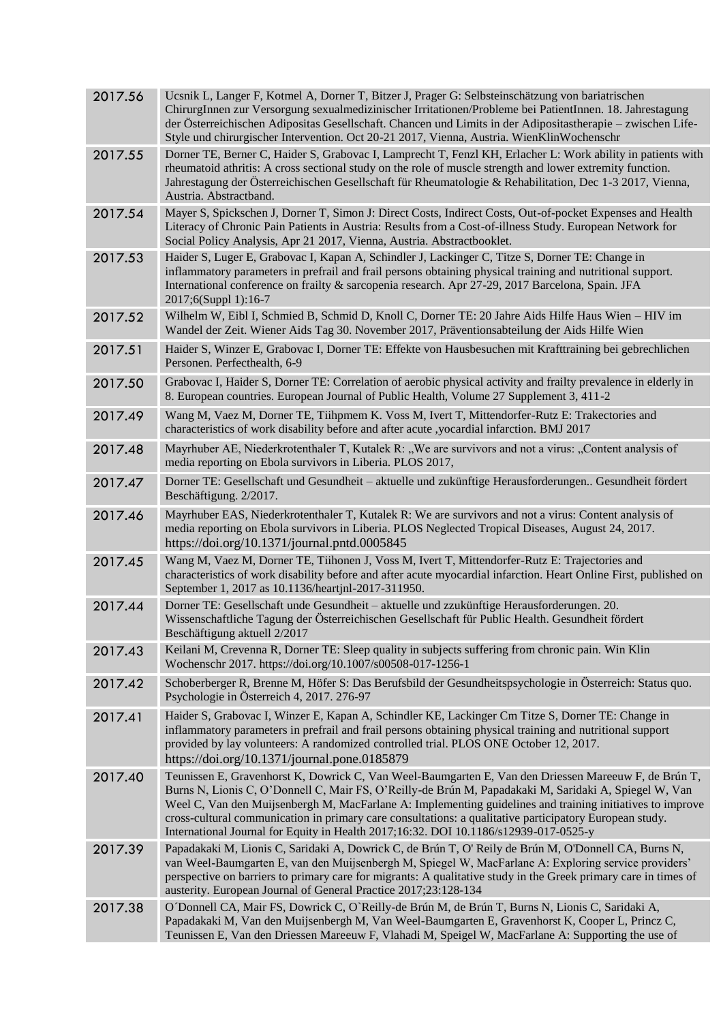| 2017.56 | Ucsnik L, Langer F, Kotmel A, Dorner T, Bitzer J, Prager G: Selbsteinschätzung von bariatrischen<br>ChirurgInnen zur Versorgung sexualmedizinischer Irritationen/Probleme bei PatientInnen. 18. Jahrestagung<br>der Österreichischen Adipositas Gesellschaft. Chancen und Limits in der Adipositastherapie – zwischen Life-<br>Style und chirurgischer Intervention. Oct 20-21 2017, Vienna, Austria. WienKlinWochenschr                                                                                                      |
|---------|-------------------------------------------------------------------------------------------------------------------------------------------------------------------------------------------------------------------------------------------------------------------------------------------------------------------------------------------------------------------------------------------------------------------------------------------------------------------------------------------------------------------------------|
| 2017.55 | Dorner TE, Berner C, Haider S, Grabovac I, Lamprecht T, Fenzl KH, Erlacher L: Work ability in patients with<br>rheumatoid athritis: A cross sectional study on the role of muscle strength and lower extremity function.<br>Jahrestagung der Österreichischen Gesellschaft für Rheumatologie & Rehabilitation, Dec 1-3 2017, Vienna,<br>Austria. Abstractband.                                                                                                                                                                |
| 2017.54 | Mayer S, Spickschen J, Dorner T, Simon J: Direct Costs, Indirect Costs, Out-of-pocket Expenses and Health<br>Literacy of Chronic Pain Patients in Austria: Results from a Cost-of-illness Study. European Network for<br>Social Policy Analysis, Apr 21 2017, Vienna, Austria. Abstractbooklet.                                                                                                                                                                                                                               |
| 2017.53 | Haider S, Luger E, Grabovac I, Kapan A, Schindler J, Lackinger C, Titze S, Dorner TE: Change in<br>inflammatory parameters in prefrail and frail persons obtaining physical training and nutritional support.<br>International conference on frailty & sarcopenia research. Apr 27-29, 2017 Barcelona, Spain. JFA<br>2017;6(Suppl 1):16-7                                                                                                                                                                                     |
| 2017.52 | Wilhelm W, Eibl I, Schmied B, Schmid D, Knoll C, Dorner TE: 20 Jahre Aids Hilfe Haus Wien - HIV im<br>Wandel der Zeit. Wiener Aids Tag 30. November 2017, Präventionsabteilung der Aids Hilfe Wien                                                                                                                                                                                                                                                                                                                            |
| 2017.51 | Haider S, Winzer E, Grabovac I, Dorner TE: Effekte von Hausbesuchen mit Krafttraining bei gebrechlichen<br>Personen. Perfecthealth, 6-9                                                                                                                                                                                                                                                                                                                                                                                       |
| 2017.50 | Grabovac I, Haider S, Dorner TE: Correlation of aerobic physical activity and frailty prevalence in elderly in<br>8. European countries. European Journal of Public Health, Volume 27 Supplement 3, 411-2                                                                                                                                                                                                                                                                                                                     |
| 2017.49 | Wang M, Vaez M, Dorner TE, Tiihpmem K. Voss M, Ivert T, Mittendorfer-Rutz E: Trakectories and<br>characteristics of work disability before and after acute ,yocardial infarction. BMJ 2017                                                                                                                                                                                                                                                                                                                                    |
| 2017.48 | Mayrhuber AE, Niederkrotenthaler T, Kutalek R: "We are survivors and not a virus: "Content analysis of<br>media reporting on Ebola survivors in Liberia. PLOS 2017,                                                                                                                                                                                                                                                                                                                                                           |
| 2017.47 | Dorner TE: Gesellschaft und Gesundheit - aktuelle und zukünftige Herausforderungen Gesundheit fördert<br>Beschäftigung. 2/2017.                                                                                                                                                                                                                                                                                                                                                                                               |
| 2017.46 | Mayrhuber EAS, Niederkrotenthaler T, Kutalek R: We are survivors and not a virus: Content analysis of<br>media reporting on Ebola survivors in Liberia. PLOS Neglected Tropical Diseases, August 24, 2017.<br>https://doi.org/10.1371/journal.pntd.0005845                                                                                                                                                                                                                                                                    |
| 2017.45 | Wang M, Vaez M, Dorner TE, Tiihonen J, Voss M, Ivert T, Mittendorfer-Rutz E: Trajectories and<br>characteristics of work disability before and after acute myocardial infarction. Heart Online First, published on<br>September 1, 2017 as 10.1136/heartjnl-2017-311950.                                                                                                                                                                                                                                                      |
| 2017.44 | Dorner TE: Gesellschaft unde Gesundheit - aktuelle und zzukünftige Herausforderungen. 20.<br>Wissenschaftliche Tagung der Österreichischen Gesellschaft für Public Health. Gesundheit fördert<br>Beschäftigung aktuell 2/2017                                                                                                                                                                                                                                                                                                 |
| 2017.43 | Keilani M, Crevenna R, Dorner TE: Sleep quality in subjects suffering from chronic pain. Win Klin<br>Wochenschr 2017. https://doi.org/10.1007/s00508-017-1256-1                                                                                                                                                                                                                                                                                                                                                               |
| 2017.42 | Schoberberger R, Brenne M, Höfer S: Das Berufsbild der Gesundheitspsychologie in Österreich: Status quo.<br>Psychologie in Österreich 4, 2017. 276-97                                                                                                                                                                                                                                                                                                                                                                         |
| 2017.41 | Haider S, Grabovac I, Winzer E, Kapan A, Schindler KE, Lackinger Cm Titze S, Dorner TE: Change in<br>inflammatory parameters in prefrail and frail persons obtaining physical training and nutritional support<br>provided by lay volunteers: A randomized controlled trial. PLOS ONE October 12, 2017.<br>https://doi.org/10.1371/journal.pone.0185879                                                                                                                                                                       |
| 2017.40 | Teunissen E, Gravenhorst K, Dowrick C, Van Weel-Baumgarten E, Van den Driessen Mareeuw F, de Brún T,<br>Burns N, Lionis C, O'Donnell C, Mair FS, O'Reilly-de Brún M, Papadakaki M, Saridaki A, Spiegel W, Van<br>Weel C, Van den Muijsenbergh M, MacFarlane A: Implementing guidelines and training initiatives to improve<br>cross-cultural communication in primary care consultations: a qualitative participatory European study.<br>International Journal for Equity in Health 2017;16:32. DOI 10.1186/s12939-017-0525-y |
| 2017.39 | Papadakaki M, Lionis C, Saridaki A, Dowrick C, de Brún T, O'Reily de Brún M, O'Donnell CA, Burns N,<br>van Weel-Baumgarten E, van den Muijsenbergh M, Spiegel W, MacFarlane A: Exploring service providers'<br>perspective on barriers to primary care for migrants: A qualitative study in the Greek primary care in times of<br>austerity. European Journal of General Practice 2017;23:128-134                                                                                                                             |
| 2017.38 | O Donnell CA, Mair FS, Dowrick C, O'Reilly-de Brún M, de Brún T, Burns N, Lionis C, Saridaki A,<br>Papadakaki M, Van den Muijsenbergh M, Van Weel-Baumgarten E, Gravenhorst K, Cooper L, Princz C,<br>Teunissen E, Van den Driessen Mareeuw F, Vlahadi M, Speigel W, MacFarlane A: Supporting the use of                                                                                                                                                                                                                      |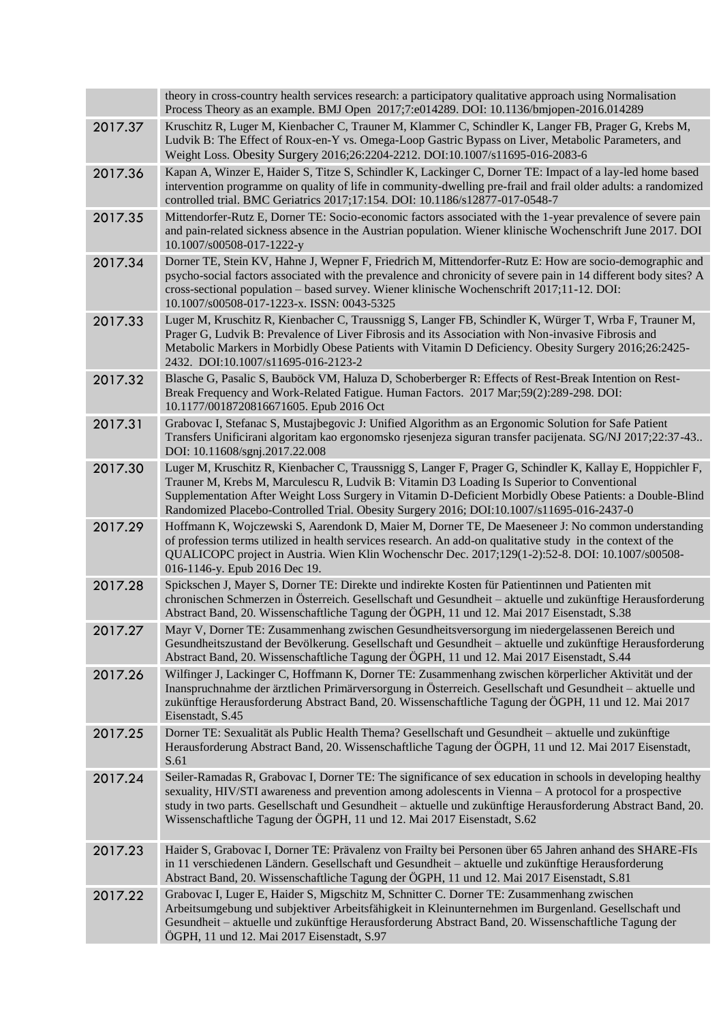|         | theory in cross-country health services research: a participatory qualitative approach using Normalisation<br>Process Theory as an example. BMJ Open 2017;7:e014289. DOI: 10.1136/bmjopen-2016.014289                                                                                                                                                                                                            |
|---------|------------------------------------------------------------------------------------------------------------------------------------------------------------------------------------------------------------------------------------------------------------------------------------------------------------------------------------------------------------------------------------------------------------------|
| 2017.37 | Kruschitz R, Luger M, Kienbacher C, Trauner M, Klammer C, Schindler K, Langer FB, Prager G, Krebs M,<br>Ludvik B: The Effect of Roux-en-Y vs. Omega-Loop Gastric Bypass on Liver, Metabolic Parameters, and<br>Weight Loss. Obesity Surgery 2016;26:2204-2212. DOI:10.1007/s11695-016-2083-6                                                                                                                     |
| 2017.36 | Kapan A, Winzer E, Haider S, Titze S, Schindler K, Lackinger C, Dorner TE: Impact of a lay-led home based<br>intervention programme on quality of life in community-dwelling pre-frail and frail older adults: a randomized<br>controlled trial. BMC Geriatrics 2017;17:154. DOI: 10.1186/s12877-017-0548-7                                                                                                      |
| 2017.35 | Mittendorfer-Rutz E, Dorner TE: Socio-economic factors associated with the 1-year prevalence of severe pain<br>and pain-related sickness absence in the Austrian population. Wiener klinische Wochenschrift June 2017. DOI<br>10.1007/s00508-017-1222-y                                                                                                                                                          |
| 2017.34 | Dorner TE, Stein KV, Hahne J, Wepner F, Friedrich M, Mittendorfer-Rutz E: How are socio-demographic and<br>psycho-social factors associated with the prevalence and chronicity of severe pain in 14 different body sites? A<br>cross-sectional population – based survey. Wiener klinische Wochenschrift 2017;11-12. DOI:<br>10.1007/s00508-017-1223-x. ISSN: 0043-5325                                          |
| 2017.33 | Luger M, Kruschitz R, Kienbacher C, Traussnigg S, Langer FB, Schindler K, Würger T, Wrba F, Trauner M,<br>Prager G, Ludvik B: Prevalence of Liver Fibrosis and its Association with Non-invasive Fibrosis and<br>Metabolic Markers in Morbidly Obese Patients with Vitamin D Deficiency. Obesity Surgery 2016;26:2425-<br>2432. DOI:10.1007/s11695-016-2123-2                                                    |
| 2017.32 | Blasche G, Pasalic S, Bauböck VM, Haluza D, Schoberberger R: Effects of Rest-Break Intention on Rest-<br>Break Frequency and Work-Related Fatigue. Human Factors. 2017 Mar;59(2):289-298. DOI:<br>10.1177/0018720816671605. Epub 2016 Oct                                                                                                                                                                        |
| 2017.31 | Grabovac I, Stefanac S, Mustajbegovic J: Unified Algorithm as an Ergonomic Solution for Safe Patient<br>Transfers Unificirani algoritam kao ergonomsko rjesenjeza siguran transfer pacijenata. SG/NJ 2017;22:37-43<br>DOI: 10.11608/sgnj.2017.22.008                                                                                                                                                             |
| 2017.30 | Luger M, Kruschitz R, Kienbacher C, Traussnigg S, Langer F, Prager G, Schindler K, Kallay E, Hoppichler F,<br>Trauner M, Krebs M, Marculescu R, Ludvik B: Vitamin D3 Loading Is Superior to Conventional<br>Supplementation After Weight Loss Surgery in Vitamin D-Deficient Morbidly Obese Patients: a Double-Blind<br>Randomized Placebo-Controlled Trial. Obesity Surgery 2016; DOI:10.1007/s11695-016-2437-0 |
| 2017.29 | Hoffmann K, Wojczewski S, Aarendonk D, Maier M, Dorner TE, De Maeseneer J: No common understanding<br>of profession terms utilized in health services research. An add-on qualitative study in the context of the<br>QUALICOPC project in Austria. Wien Klin Wochenschr Dec. 2017;129(1-2):52-8. DOI: 10.1007/s00508-<br>016-1146-y. Epub 2016 Dec 19.                                                           |
| 2017.28 | Spickschen J, Mayer S, Dorner TE: Direkte und indirekte Kosten für Patientinnen und Patienten mit<br>chronischen Schmerzen in Österreich. Gesellschaft und Gesundheit – aktuelle und zukünftige Herausforderung<br>Abstract Band, 20. Wissenschaftliche Tagung der ÖGPH, 11 und 12. Mai 2017 Eisenstadt, S.38                                                                                                    |
| 2017.27 | Mayr V, Dorner TE: Zusammenhang zwischen Gesundheitsversorgung im niedergelassenen Bereich und<br>Gesundheitszustand der Bevölkerung. Gesellschaft und Gesundheit - aktuelle und zukünftige Herausforderung<br>Abstract Band, 20. Wissenschaftliche Tagung der ÖGPH, 11 und 12. Mai 2017 Eisenstadt, S.44                                                                                                        |
| 2017.26 | Wilfinger J, Lackinger C, Hoffmann K, Dorner TE: Zusammenhang zwischen körperlicher Aktivität und der<br>Inanspruchnahme der ärztlichen Primärversorgung in Österreich. Gesellschaft und Gesundheit – aktuelle und<br>zukünftige Herausforderung Abstract Band, 20. Wissenschaftliche Tagung der ÖGPH, 11 und 12. Mai 2017<br>Eisenstadt, S.45                                                                   |
| 2017.25 | Dorner TE: Sexualität als Public Health Thema? Gesellschaft und Gesundheit – aktuelle und zukünftige<br>Herausforderung Abstract Band, 20. Wissenschaftliche Tagung der ÖGPH, 11 und 12. Mai 2017 Eisenstadt,<br>S.61                                                                                                                                                                                            |
| 2017.24 | Seiler-Ramadas R, Grabovac I, Dorner TE: The significance of sex education in schools in developing healthy<br>sexuality, HIV/STI awareness and prevention among adolescents in Vienna – A protocol for a prospective<br>study in two parts. Gesellschaft und Gesundheit - aktuelle und zukünftige Herausforderung Abstract Band, 20.<br>Wissenschaftliche Tagung der ÖGPH, 11 und 12. Mai 2017 Eisenstadt, S.62 |
| 2017.23 | Haider S, Grabovac I, Dorner TE: Prävalenz von Frailty bei Personen über 65 Jahren anhand des SHARE-FIs<br>in 11 verschiedenen Ländern. Gesellschaft und Gesundheit - aktuelle und zukünftige Herausforderung<br>Abstract Band, 20. Wissenschaftliche Tagung der ÖGPH, 11 und 12. Mai 2017 Eisenstadt, S.81                                                                                                      |
| 2017.22 | Grabovac I, Luger E, Haider S, Migschitz M, Schnitter C. Dorner TE: Zusammenhang zwischen<br>Arbeitsumgebung und subjektiver Arbeitsfähigkeit in Kleinunternehmen im Burgenland. Gesellschaft und<br>Gesundheit – aktuelle und zukünftige Herausforderung Abstract Band, 20. Wissenschaftliche Tagung der<br>ÖGPH, 11 und 12. Mai 2017 Eisenstadt, S.97                                                          |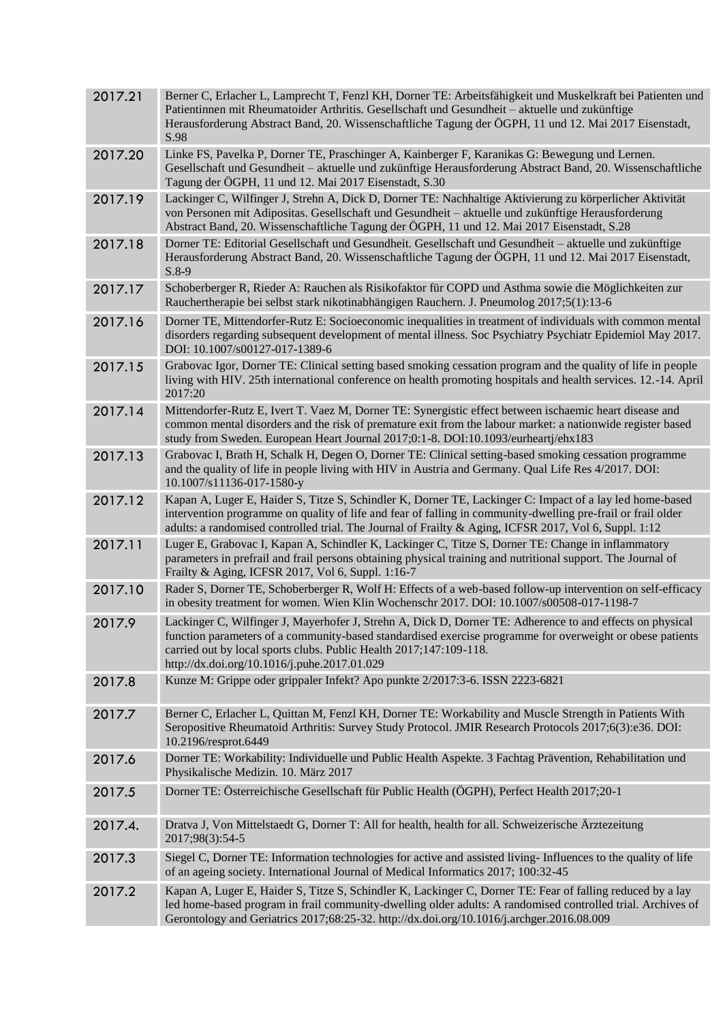| 2017.21 | Berner C, Erlacher L, Lamprecht T, Fenzl KH, Dorner TE: Arbeitsfähigkeit und Muskelkraft bei Patienten und<br>Patientinnen mit Rheumatoider Arthritis. Gesellschaft und Gesundheit – aktuelle und zukünftige<br>Herausforderung Abstract Band, 20. Wissenschaftliche Tagung der ÖGPH, 11 und 12. Mai 2017 Eisenstadt,<br>S.98                |
|---------|----------------------------------------------------------------------------------------------------------------------------------------------------------------------------------------------------------------------------------------------------------------------------------------------------------------------------------------------|
| 2017.20 | Linke FS, Pavelka P, Dorner TE, Praschinger A, Kainberger F, Karanikas G: Bewegung und Lernen.<br>Gesellschaft und Gesundheit - aktuelle und zukünftige Herausforderung Abstract Band, 20. Wissenschaftliche<br>Tagung der ÖGPH, 11 und 12. Mai 2017 Eisenstadt, S.30                                                                        |
| 2017.19 | Lackinger C, Wilfinger J, Strehn A, Dick D, Dorner TE: Nachhaltige Aktivierung zu körperlicher Aktivität<br>von Personen mit Adipositas. Gesellschaft und Gesundheit - aktuelle und zukünftige Herausforderung<br>Abstract Band, 20. Wissenschaftliche Tagung der ÖGPH, 11 und 12. Mai 2017 Eisenstadt, S.28                                 |
| 2017.18 | Dorner TE: Editorial Gesellschaft und Gesundheit. Gesellschaft und Gesundheit - aktuelle und zukünftige<br>Herausforderung Abstract Band, 20. Wissenschaftliche Tagung der ÖGPH, 11 und 12. Mai 2017 Eisenstadt,<br>$S.8-9$                                                                                                                  |
| 2017.17 | Schoberberger R, Rieder A: Rauchen als Risikofaktor für COPD und Asthma sowie die Möglichkeiten zur<br>Rauchertherapie bei selbst stark nikotinabhängigen Rauchern. J. Pneumolog 2017;5(1):13-6                                                                                                                                              |
| 2017.16 | Dorner TE, Mittendorfer-Rutz E: Socioeconomic inequalities in treatment of individuals with common mental<br>disorders regarding subsequent development of mental illness. Soc Psychiatry Psychiatr Epidemiol May 2017.<br>DOI: 10.1007/s00127-017-1389-6                                                                                    |
| 2017.15 | Grabovac Igor, Dorner TE: Clinical setting based smoking cessation program and the quality of life in people<br>living with HIV. 25th international conference on health promoting hospitals and health services. 12.-14. April<br>2017:20                                                                                                   |
| 2017.14 | Mittendorfer-Rutz E, Ivert T. Vaez M, Dorner TE: Synergistic effect between ischaemic heart disease and<br>common mental disorders and the risk of premature exit from the labour market: a nationwide register based<br>study from Sweden. European Heart Journal 2017;0:1-8. DOI:10.1093/eurheartj/ehx183                                  |
| 2017.13 | Grabovac I, Brath H, Schalk H, Degen O, Dorner TE: Clinical setting-based smoking cessation programme<br>and the quality of life in people living with HIV in Austria and Germany. Qual Life Res 4/2017. DOI:<br>10.1007/s11136-017-1580-y                                                                                                   |
| 2017.12 | Kapan A, Luger E, Haider S, Titze S, Schindler K, Dorner TE, Lackinger C: Impact of a lay led home-based<br>intervention programme on quality of life and fear of falling in community-dwelling pre-frail or frail older<br>adults: a randomised controlled trial. The Journal of Frailty & Aging, ICFSR 2017, Vol 6, Suppl. 1:12            |
| 2017.11 | Luger E, Grabovac I, Kapan A, Schindler K, Lackinger C, Titze S, Dorner TE: Change in inflammatory<br>parameters in prefrail and frail persons obtaining physical training and nutritional support. The Journal of<br>Frailty & Aging, ICFSR 2017, Vol 6, Suppl. 1:16-7                                                                      |
| 2017.10 | Rader S, Dorner TE, Schoberberger R, Wolf H: Effects of a web-based follow-up intervention on self-efficacy<br>in obesity treatment for women. Wien Klin Wochenschr 2017. DOI: 10.1007/s00508-017-1198-7                                                                                                                                     |
| 2017.9  | Lackinger C, Wilfinger J, Mayerhofer J, Strehn A, Dick D, Dorner TE: Adherence to and effects on physical<br>function parameters of a community-based standardised exercise programme for overweight or obese patients<br>carried out by local sports clubs. Public Health 2017;147:109-118.<br>http://dx.doi.org/10.1016/j.puhe.2017.01.029 |
| 2017.8  | Kunze M: Grippe oder grippaler Infekt? Apo punkte 2/2017:3-6. ISSN 2223-6821                                                                                                                                                                                                                                                                 |
| 2017.7  | Berner C, Erlacher L, Quittan M, Fenzl KH, Dorner TE: Workability and Muscle Strength in Patients With<br>Seropositive Rheumatoid Arthritis: Survey Study Protocol. JMIR Research Protocols 2017;6(3):e36. DOI:<br>10.2196/resprot.6449                                                                                                      |
| 2017.6  | Dorner TE: Workability: Individuelle und Public Health Aspekte. 3 Fachtag Prävention, Rehabilitation und<br>Physikalische Medizin. 10. März 2017                                                                                                                                                                                             |
| 2017.5  | Dorner TE: Österreichische Gesellschaft für Public Health (ÖGPH), Perfect Health 2017;20-1                                                                                                                                                                                                                                                   |
| 2017.4. | Dratva J, Von Mittelstaedt G, Dorner T: All for health, health for all. Schweizerische Ärztezeitung<br>2017;98(3):54-5                                                                                                                                                                                                                       |
| 2017.3  | Siegel C, Dorner TE: Information technologies for active and assisted living-Influences to the quality of life<br>of an ageing society. International Journal of Medical Informatics 2017; 100:32-45                                                                                                                                         |
| 2017.2  | Kapan A, Luger E, Haider S, Titze S, Schindler K, Lackinger C, Dorner TE: Fear of falling reduced by a lay<br>led home-based program in frail community-dwelling older adults: A randomised controlled trial. Archives of<br>Gerontology and Geriatrics 2017;68:25-32. http://dx.doi.org/10.1016/j.archger.2016.08.009                       |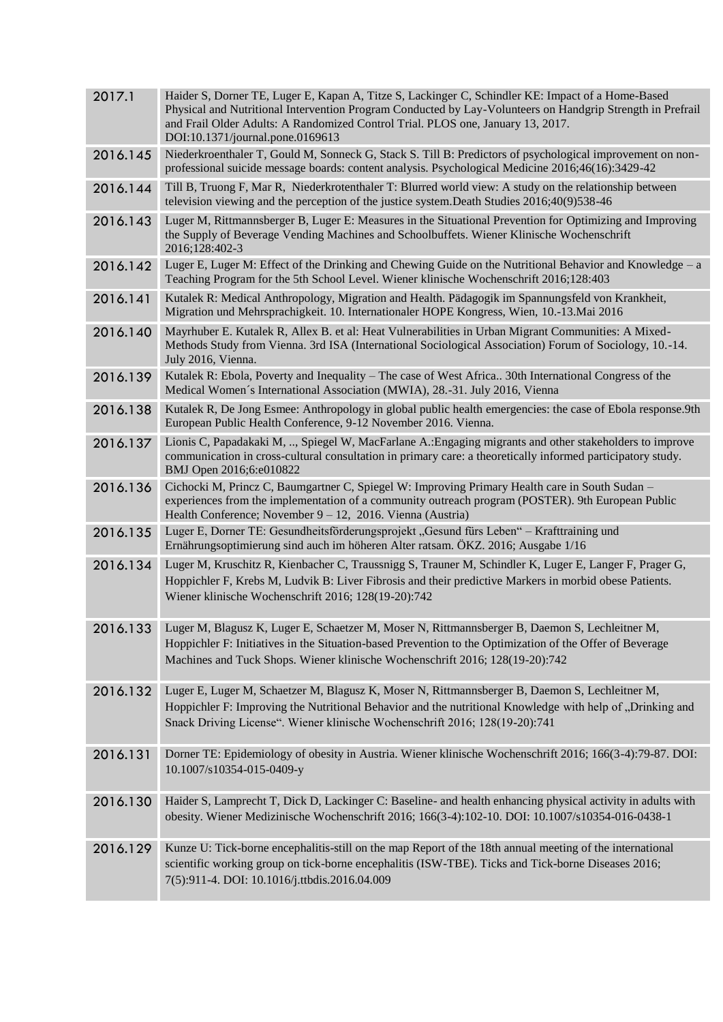| 2017.1   | Haider S, Dorner TE, Luger E, Kapan A, Titze S, Lackinger C, Schindler KE: Impact of a Home-Based<br>Physical and Nutritional Intervention Program Conducted by Lay-Volunteers on Handgrip Strength in Prefrail<br>and Frail Older Adults: A Randomized Control Trial. PLOS one, January 13, 2017.<br>DOI:10.1371/journal.pone.0169613 |
|----------|----------------------------------------------------------------------------------------------------------------------------------------------------------------------------------------------------------------------------------------------------------------------------------------------------------------------------------------|
| 2016.145 | Niederkroenthaler T, Gould M, Sonneck G, Stack S. Till B: Predictors of psychological improvement on non-<br>professional suicide message boards: content analysis. Psychological Medicine 2016;46(16):3429-42                                                                                                                         |
| 2016.144 | Till B, Truong F, Mar R, Niederkrotenthaler T: Blurred world view: A study on the relationship between<br>television viewing and the perception of the justice system. Death Studies 2016;40(9)538-46                                                                                                                                  |
| 2016.143 | Luger M, Rittmannsberger B, Luger E: Measures in the Situational Prevention for Optimizing and Improving<br>the Supply of Beverage Vending Machines and Schoolbuffets. Wiener Klinische Wochenschrift<br>2016;128:402-3                                                                                                                |
| 2016.142 | Luger E, Luger M: Effect of the Drinking and Chewing Guide on the Nutritional Behavior and Knowledge – a<br>Teaching Program for the 5th School Level. Wiener klinische Wochenschrift 2016;128:403                                                                                                                                     |
| 2016.141 | Kutalek R: Medical Anthropology, Migration and Health. Pädagogik im Spannungsfeld von Krankheit,<br>Migration und Mehrsprachigkeit. 10. Internationaler HOPE Kongress, Wien, 10.-13. Mai 2016                                                                                                                                          |
| 2016.140 | Mayrhuber E. Kutalek R, Allex B. et al: Heat Vulnerabilities in Urban Migrant Communities: A Mixed-<br>Methods Study from Vienna. 3rd ISA (International Sociological Association) Forum of Sociology, 10.-14.<br>July 2016, Vienna.                                                                                                   |
| 2016.139 | Kutalek R: Ebola, Poverty and Inequality – The case of West Africa 30th International Congress of the<br>Medical Women's International Association (MWIA), 28.-31. July 2016, Vienna                                                                                                                                                   |
| 2016.138 | Kutalek R, De Jong Esmee: Anthropology in global public health emergencies: the case of Ebola response.9th<br>European Public Health Conference, 9-12 November 2016. Vienna.                                                                                                                                                           |
| 2016.137 | Lionis C, Papadakaki M, , Spiegel W, MacFarlane A.: Engaging migrants and other stakeholders to improve<br>communication in cross-cultural consultation in primary care: a theoretically informed participatory study.<br>BMJ Open 2016;6:e010822                                                                                      |
| 2016.136 | Cichocki M, Princz C, Baumgartner C, Spiegel W: Improving Primary Health care in South Sudan -<br>experiences from the implementation of a community outreach program (POSTER). 9th European Public<br>Health Conference; November $9 - 12$ , 2016. Vienna (Austria)                                                                   |
| 2016.135 | Luger E, Dorner TE: Gesundheitsförderungsprojekt "Gesund fürs Leben" – Krafttraining und<br>Ernährungsoptimierung sind auch im höheren Alter ratsam. ÖKZ. 2016; Ausgabe 1/16                                                                                                                                                           |
| 2016.134 | Luger M, Kruschitz R, Kienbacher C, Traussnigg S, Trauner M, Schindler K, Luger E, Langer F, Prager G,<br>Hoppichler F, Krebs M, Ludvik B: Liver Fibrosis and their predictive Markers in morbid obese Patients.<br>Wiener klinische Wochenschrift 2016; 128(19-20):742                                                                |
|          | 2016.133 Luger M, Blagusz K, Luger E, Schaetzer M, Moser N, Rittmannsberger B, Daemon S, Lechleitner M,<br>Hoppichler F: Initiatives in the Situation-based Prevention to the Optimization of the Offer of Beverage<br>Machines and Tuck Shops. Wiener klinische Wochenschrift 2016; 128(19-20):742                                    |
| 2016.132 | Luger E, Luger M, Schaetzer M, Blagusz K, Moser N, Rittmannsberger B, Daemon S, Lechleitner M,<br>Hoppichler F: Improving the Nutritional Behavior and the nutritional Knowledge with help of "Drinking and<br>Snack Driving License". Wiener klinische Wochenschrift 2016; 128(19-20):741                                             |
| 2016.131 | Dorner TE: Epidemiology of obesity in Austria. Wiener klinische Wochenschrift 2016; 166(3-4):79-87. DOI:<br>10.1007/s10354-015-0409-y                                                                                                                                                                                                  |
| 2016.130 | Haider S, Lamprecht T, Dick D, Lackinger C: Baseline- and health enhancing physical activity in adults with<br>obesity. Wiener Medizinische Wochenschrift 2016; 166(3-4):102-10. DOI: 10.1007/s10354-016-0438-1                                                                                                                        |
| 2016.129 | Kunze U: Tick-borne encephalitis-still on the map Report of the 18th annual meeting of the international<br>scientific working group on tick-borne encephalitis (ISW-TBE). Ticks and Tick-borne Diseases 2016;<br>7(5):911-4. DOI: 10.1016/j.ttbdis.2016.04.009                                                                        |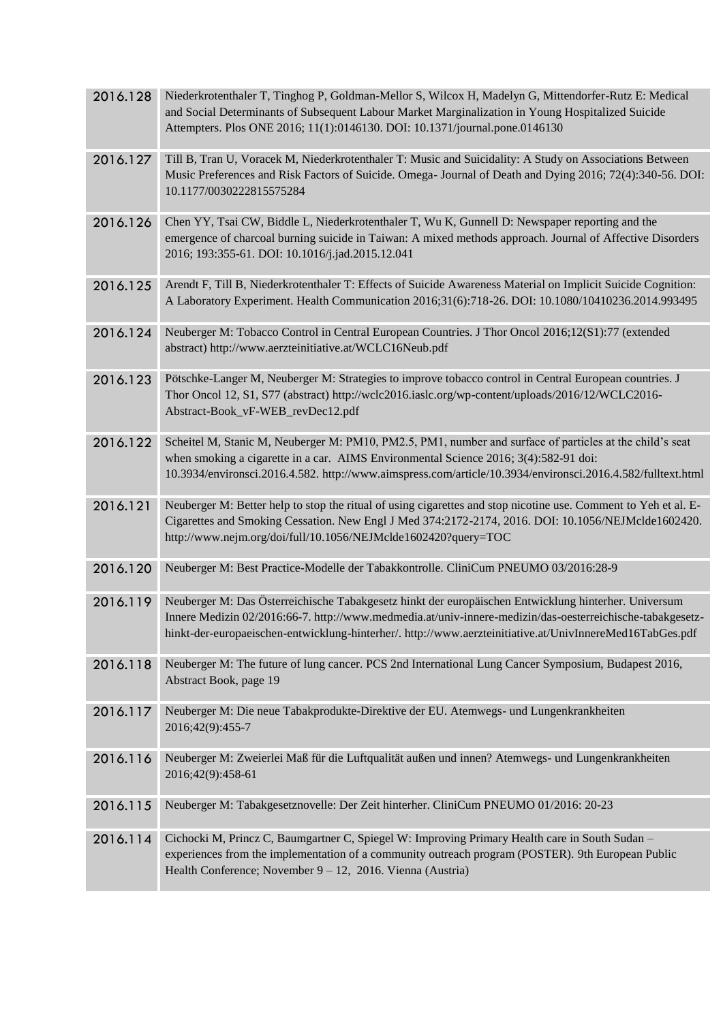| 2016.128 | Niederkrotenthaler T, Tinghog P, Goldman-Mellor S, Wilcox H, Madelyn G, Mittendorfer-Rutz E: Medical<br>and Social Determinants of Subsequent Labour Market Marginalization in Young Hospitalized Suicide<br>Attempters. Plos ONE 2016; 11(1):0146130. DOI: 10.1371/journal.pone.0146130                                      |
|----------|-------------------------------------------------------------------------------------------------------------------------------------------------------------------------------------------------------------------------------------------------------------------------------------------------------------------------------|
| 2016.127 | Till B, Tran U, Voracek M, Niederkrotenthaler T: Music and Suicidality: A Study on Associations Between<br>Music Preferences and Risk Factors of Suicide. Omega- Journal of Death and Dying 2016; 72(4):340-56. DOI:<br>10.1177/0030222815575284                                                                              |
| 2016.126 | Chen YY, Tsai CW, Biddle L, Niederkrotenthaler T, Wu K, Gunnell D: Newspaper reporting and the<br>emergence of charcoal burning suicide in Taiwan: A mixed methods approach. Journal of Affective Disorders<br>2016; 193:355-61. DOI: 10.1016/j.jad.2015.12.041                                                               |
| 2016.125 | Arendt F, Till B, Niederkrotenthaler T: Effects of Suicide Awareness Material on Implicit Suicide Cognition:<br>A Laboratory Experiment. Health Communication 2016;31(6):718-26. DOI: 10.1080/10410236.2014.993495                                                                                                            |
| 2016.124 | Neuberger M: Tobacco Control in Central European Countries. J Thor Oncol 2016;12(S1):77 (extended<br>abstract) http://www.aerzteinitiative.at/WCLC16Neub.pdf                                                                                                                                                                  |
| 2016.123 | Pötschke-Langer M, Neuberger M: Strategies to improve tobacco control in Central European countries. J<br>Thor Oncol 12, S1, S77 (abstract) http://wclc2016.iaslc.org/wp-content/uploads/2016/12/WCLC2016-<br>Abstract-Book_vF-WEB_revDec12.pdf                                                                               |
| 2016.122 | Scheitel M, Stanic M, Neuberger M: PM10, PM2.5, PM1, number and surface of particles at the child's seat<br>when smoking a cigarette in a car. AIMS Environmental Science 2016; 3(4):582-91 doi:<br>10.3934/environsci.2016.4.582. http://www.aimspress.com/article/10.3934/environsci.2016.4.582/fulltext.html               |
| 2016.121 | Neuberger M: Better help to stop the ritual of using cigarettes and stop nicotine use. Comment to Yeh et al. E-<br>Cigarettes and Smoking Cessation. New Engl J Med 374:2172-2174, 2016. DOI: 10.1056/NEJMclde1602420.<br>http://www.nejm.org/doi/full/10.1056/NEJMclde1602420?query=TOC                                      |
| 2016.120 | Neuberger M: Best Practice-Modelle der Tabakkontrolle. CliniCum PNEUMO 03/2016:28-9                                                                                                                                                                                                                                           |
| 2016.119 | Neuberger M: Das Österreichische Tabakgesetz hinkt der europäischen Entwicklung hinterher. Universum<br>Innere Medizin 02/2016:66-7. http://www.medmedia.at/univ-innere-medizin/das-oesterreichische-tabakgesetz-<br>hinkt-der-europaeischen-entwicklung-hinterher/. http://www.aerzteinitiative.at/UnivInnereMed16TabGes.pdf |
| 2016.118 | Neuberger M: The future of lung cancer. PCS 2nd International Lung Cancer Symposium, Budapest 2016,<br>Abstract Book, page 19                                                                                                                                                                                                 |
| 2016.117 | Neuberger M: Die neue Tabakprodukte-Direktive der EU. Atemwegs- und Lungenkrankheiten<br>2016;42(9):455-7                                                                                                                                                                                                                     |
| 2016.116 | Neuberger M: Zweierlei Maß für die Luftqualität außen und innen? Atemwegs- und Lungenkrankheiten<br>2016;42(9):458-61                                                                                                                                                                                                         |
| 2016.115 | Neuberger M: Tabakgesetznovelle: Der Zeit hinterher. CliniCum PNEUMO 01/2016: 20-23                                                                                                                                                                                                                                           |
| 2016.114 | Cichocki M, Princz C, Baumgartner C, Spiegel W: Improving Primary Health care in South Sudan -<br>experiences from the implementation of a community outreach program (POSTER). 9th European Public<br>Health Conference; November 9 - 12, 2016. Vienna (Austria)                                                             |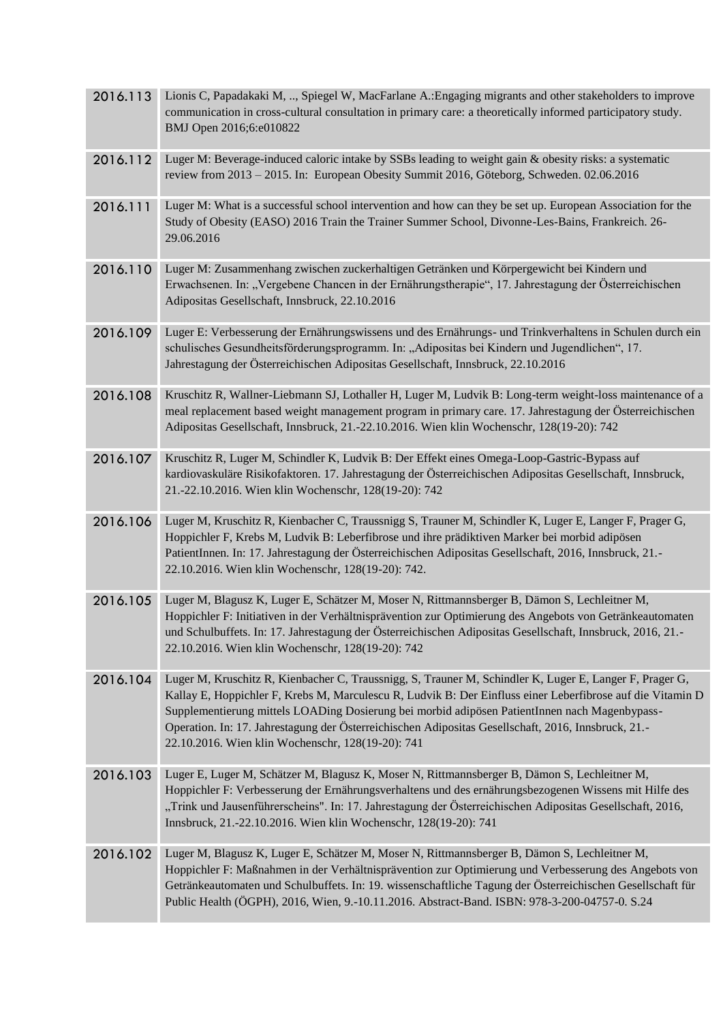| 2016.113 | Lionis C, Papadakaki M, , Spiegel W, MacFarlane A.: Engaging migrants and other stakeholders to improve<br>communication in cross-cultural consultation in primary care: a theoretically informed participatory study.<br>BMJ Open 2016;6:e010822                                                                                                                                                                                                                                  |
|----------|------------------------------------------------------------------------------------------------------------------------------------------------------------------------------------------------------------------------------------------------------------------------------------------------------------------------------------------------------------------------------------------------------------------------------------------------------------------------------------|
| 2016.112 | Luger M: Beverage-induced caloric intake by SSBs leading to weight gain & obesity risks: a systematic<br>review from 2013 - 2015. In: European Obesity Summit 2016, Göteborg, Schweden. 02.06.2016                                                                                                                                                                                                                                                                                 |
| 2016.111 | Luger M: What is a successful school intervention and how can they be set up. European Association for the<br>Study of Obesity (EASO) 2016 Train the Trainer Summer School, Divonne-Les-Bains, Frankreich. 26-<br>29.06.2016                                                                                                                                                                                                                                                       |
| 2016.110 | Luger M: Zusammenhang zwischen zuckerhaltigen Getränken und Körpergewicht bei Kindern und<br>Erwachsenen. In: "Vergebene Chancen in der Ernährungstherapie", 17. Jahrestagung der Österreichischen<br>Adipositas Gesellschaft, Innsbruck, 22.10.2016                                                                                                                                                                                                                               |
| 2016.109 | Luger E: Verbesserung der Ernährungswissens und des Ernährungs- und Trinkverhaltens in Schulen durch ein<br>schulisches Gesundheitsförderungsprogramm. In: "Adipositas bei Kindern und Jugendlichen", 17.<br>Jahrestagung der Österreichischen Adipositas Gesellschaft, Innsbruck, 22.10.2016                                                                                                                                                                                      |
| 2016.108 | Kruschitz R, Wallner-Liebmann SJ, Lothaller H, Luger M, Ludvik B: Long-term weight-loss maintenance of a<br>meal replacement based weight management program in primary care. 17. Jahrestagung der Österreichischen<br>Adipositas Gesellschaft, Innsbruck, 21.-22.10.2016. Wien klin Wochenschr, 128(19-20): 742                                                                                                                                                                   |
| 2016.107 | Kruschitz R, Luger M, Schindler K, Ludvik B: Der Effekt eines Omega-Loop-Gastric-Bypass auf<br>kardiovaskuläre Risikofaktoren. 17. Jahrestagung der Österreichischen Adipositas Gesellschaft, Innsbruck,<br>21.-22.10.2016. Wien klin Wochenschr, 128(19-20): 742                                                                                                                                                                                                                  |
| 2016.106 | Luger M, Kruschitz R, Kienbacher C, Traussnigg S, Trauner M, Schindler K, Luger E, Langer F, Prager G,<br>Hoppichler F, Krebs M, Ludvik B: Leberfibrose und ihre prädiktiven Marker bei morbid adipösen<br>PatientInnen. In: 17. Jahrestagung der Österreichischen Adipositas Gesellschaft, 2016, Innsbruck, 21.-<br>22.10.2016. Wien klin Wochenschr, 128(19-20): 742.                                                                                                            |
| 2016.105 | Luger M, Blagusz K, Luger E, Schätzer M, Moser N, Rittmannsberger B, Dämon S, Lechleitner M,<br>Hoppichler F: Initiativen in der Verhältnisprävention zur Optimierung des Angebots von Getränkeautomaten<br>und Schulbuffets. In: 17. Jahrestagung der Österreichischen Adipositas Gesellschaft, Innsbruck, 2016, 21.-<br>22.10.2016. Wien klin Wochenschr, 128(19-20): 742                                                                                                        |
| 2016.104 | Luger M, Kruschitz R, Kienbacher C, Traussnigg, S, Trauner M, Schindler K, Luger E, Langer F, Prager G,<br>Kallay E, Hoppichler F, Krebs M, Marculescu R, Ludvik B: Der Einfluss einer Leberfibrose auf die Vitamin D<br>Supplementierung mittels LOADing Dosierung bei morbid adipösen PatientInnen nach Magenbypass-<br>Operation. In: 17. Jahrestagung der Österreichischen Adipositas Gesellschaft, 2016, Innsbruck, 21.-<br>22.10.2016. Wien klin Wochenschr, 128(19-20): 741 |
| 2016.103 | Luger E, Luger M, Schätzer M, Blagusz K, Moser N, Rittmannsberger B, Dämon S, Lechleitner M,<br>Hoppichler F: Verbesserung der Ernährungsverhaltens und des ernährungsbezogenen Wissens mit Hilfe des<br>"Trink und Jausenführerscheins". In: 17. Jahrestagung der Österreichischen Adipositas Gesellschaft, 2016,<br>Innsbruck, 21.-22.10.2016. Wien klin Wochenschr, 128(19-20): 741                                                                                             |
| 2016.102 | Luger M, Blagusz K, Luger E, Schätzer M, Moser N, Rittmannsberger B, Dämon S, Lechleitner M,<br>Hoppichler F: Maßnahmen in der Verhältnisprävention zur Optimierung und Verbesserung des Angebots von<br>Getränkeautomaten und Schulbuffets. In: 19. wissenschaftliche Tagung der Österreichischen Gesellschaft für<br>Public Health (ÖGPH), 2016, Wien, 9.-10.11.2016. Abstract-Band. ISBN: 978-3-200-04757-0. S.24                                                               |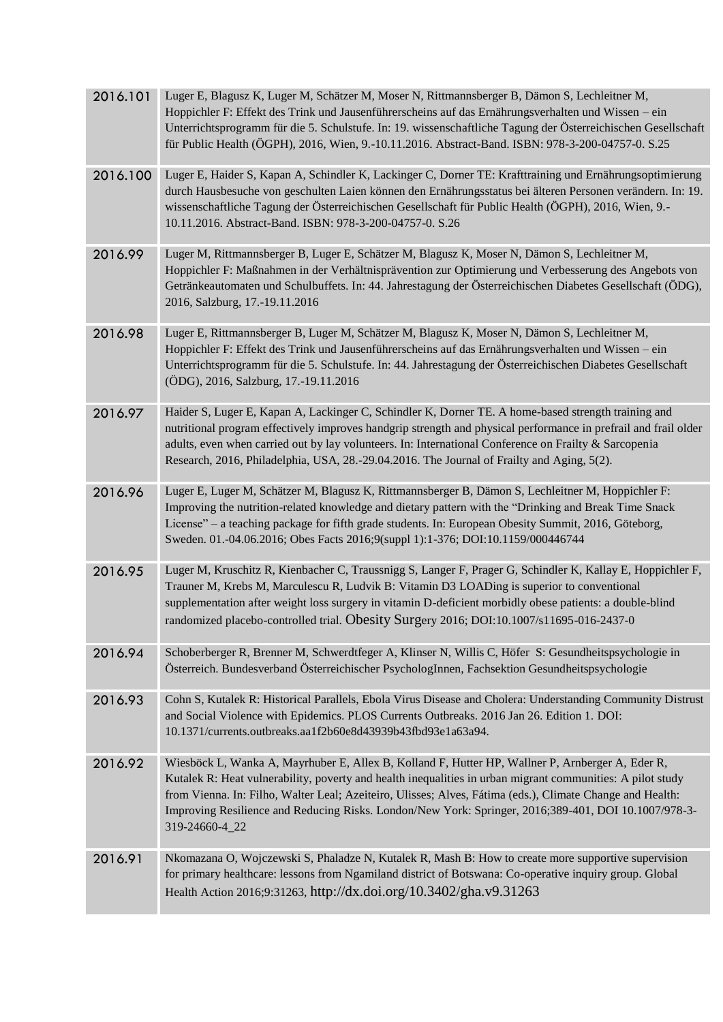| 2016.101 | Luger E, Blagusz K, Luger M, Schätzer M, Moser N, Rittmannsberger B, Dämon S, Lechleitner M,<br>Hoppichler F: Effekt des Trink und Jausenführerscheins auf das Ernährungsverhalten und Wissen – ein<br>Unterrichtsprogramm für die 5. Schulstufe. In: 19. wissenschaftliche Tagung der Österreichischen Gesellschaft<br>für Public Health (ÖGPH), 2016, Wien, 9.-10.11.2016. Abstract-Band. ISBN: 978-3-200-04757-0. S.25                             |
|----------|-------------------------------------------------------------------------------------------------------------------------------------------------------------------------------------------------------------------------------------------------------------------------------------------------------------------------------------------------------------------------------------------------------------------------------------------------------|
| 2016.100 | Luger E, Haider S, Kapan A, Schindler K, Lackinger C, Dorner TE: Krafttraining und Ernährungsoptimierung<br>durch Hausbesuche von geschulten Laien können den Ernährungsstatus bei älteren Personen verändern. In: 19.<br>wissenschaftliche Tagung der Österreichischen Gesellschaft für Public Health (ÖGPH), 2016, Wien, 9.-<br>10.11.2016. Abstract-Band. ISBN: 978-3-200-04757-0. S.26                                                            |
| 2016.99  | Luger M, Rittmannsberger B, Luger E, Schätzer M, Blagusz K, Moser N, Dämon S, Lechleitner M,<br>Hoppichler F: Maßnahmen in der Verhältnisprävention zur Optimierung und Verbesserung des Angebots von<br>Getränkeautomaten und Schulbuffets. In: 44. Jahrestagung der Österreichischen Diabetes Gesellschaft (ÖDG),<br>2016, Salzburg, 17.-19.11.2016                                                                                                 |
| 2016.98  | Luger E, Rittmannsberger B, Luger M, Schätzer M, Blagusz K, Moser N, Dämon S, Lechleitner M,<br>Hoppichler F: Effekt des Trink und Jausenführerscheins auf das Ernährungsverhalten und Wissen - ein<br>Unterrichtsprogramm für die 5. Schulstufe. In: 44. Jahrestagung der Österreichischen Diabetes Gesellschaft<br>(ÖDG), 2016, Salzburg, 17.-19.11.2016                                                                                            |
| 2016.97  | Haider S, Luger E, Kapan A, Lackinger C, Schindler K, Dorner TE. A home-based strength training and<br>nutritional program effectively improves handgrip strength and physical performance in prefrail and frail older<br>adults, even when carried out by lay volunteers. In: International Conference on Frailty & Sarcopenia<br>Research, 2016, Philadelphia, USA, 28.-29.04.2016. The Journal of Frailty and Aging, 5(2).                         |
| 2016.96  | Luger E, Luger M, Schätzer M, Blagusz K, Rittmannsberger B, Dämon S, Lechleitner M, Hoppichler F:<br>Improving the nutrition-related knowledge and dietary pattern with the "Drinking and Break Time Snack<br>License" – a teaching package for fifth grade students. In: European Obesity Summit, 2016, Göteborg,<br>Sweden. 01.-04.06.2016; Obes Facts 2016;9(suppl 1):1-376; DOI:10.1159/000446744                                                 |
| 2016.95  | Luger M, Kruschitz R, Kienbacher C, Traussnigg S, Langer F, Prager G, Schindler K, Kallay E, Hoppichler F,<br>Trauner M, Krebs M, Marculescu R, Ludvik B: Vitamin D3 LOADing is superior to conventional<br>supplementation after weight loss surgery in vitamin D-deficient morbidly obese patients: a double-blind<br>randomized placebo-controlled trial. Obesity Surgery 2016; DOI:10.1007/s11695-016-2437-0                                      |
| 2016.94  | Schoberberger R, Brenner M, Schwerdtfeger A, Klinser N, Willis C, Höfer S: Gesundheitspsychologie in<br>Österreich. Bundesverband Österreichischer PsychologInnen, Fachsektion Gesundheitspsychologie                                                                                                                                                                                                                                                 |
| 2016.93  | Cohn S, Kutalek R: Historical Parallels, Ebola Virus Disease and Cholera: Understanding Community Distrust<br>and Social Violence with Epidemics. PLOS Currents Outbreaks. 2016 Jan 26. Edition 1. DOI:<br>10.1371/currents.outbreaks.aa1f2b60e8d43939b43fbd93e1a63a94.                                                                                                                                                                               |
| 2016.92  | Wiesböck L, Wanka A, Mayrhuber E, Allex B, Kolland F, Hutter HP, Wallner P, Arnberger A, Eder R,<br>Kutalek R: Heat vulnerability, poverty and health inequalities in urban migrant communities: A pilot study<br>from Vienna. In: Filho, Walter Leal; Azeiteiro, Ulisses; Alves, Fátima (eds.), Climate Change and Health:<br>Improving Resilience and Reducing Risks. London/New York: Springer, 2016;389-401, DOI 10.1007/978-3-<br>319-24660-4_22 |
| 2016.91  | Nkomazana O, Wojczewski S, Phaladze N, Kutalek R, Mash B: How to create more supportive supervision<br>for primary healthcare: lessons from Ngamiland district of Botswana: Co-operative inquiry group. Global<br>Health Action 2016;9:31263, http://dx.doi.org/10.3402/gha.v9.31263                                                                                                                                                                  |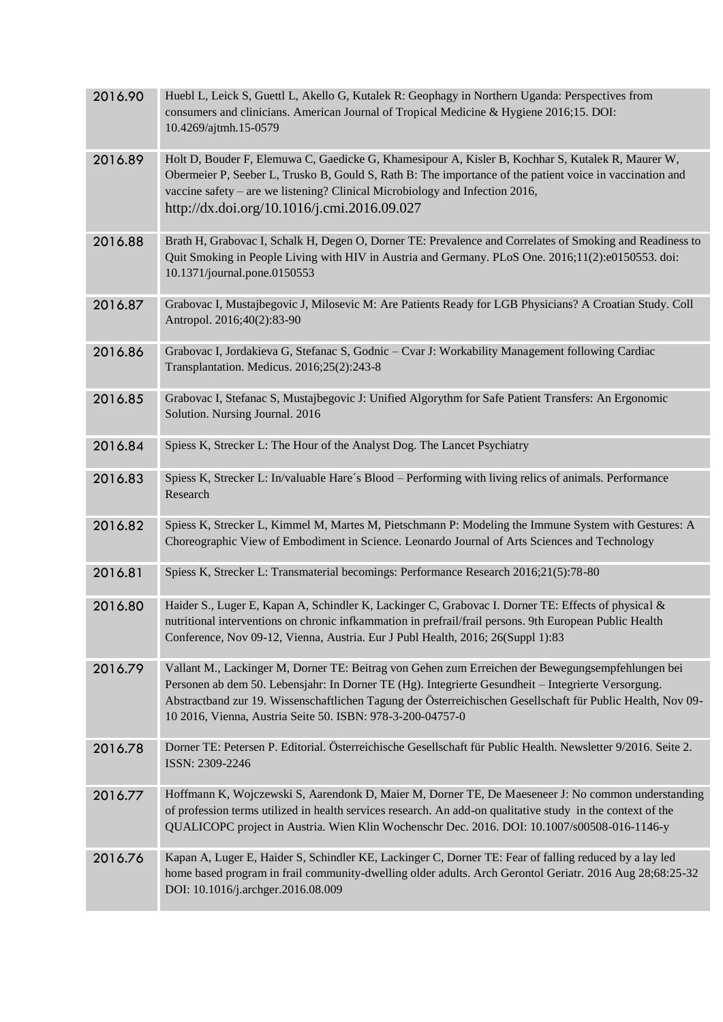| 2016.90 | Huebl L, Leick S, Guettl L, Akello G, Kutalek R: Geophagy in Northern Uganda: Perspectives from<br>consumers and clinicians. American Journal of Tropical Medicine & Hygiene 2016;15. DOI:<br>10.4269/ajtmh.15-0579                                                                                                                                                                   |
|---------|---------------------------------------------------------------------------------------------------------------------------------------------------------------------------------------------------------------------------------------------------------------------------------------------------------------------------------------------------------------------------------------|
| 2016.89 | Holt D, Bouder F, Elemuwa C, Gaedicke G, Khamesipour A, Kisler B, Kochhar S, Kutalek R, Maurer W,<br>Obermeier P, Seeber L, Trusko B, Gould S, Rath B: The importance of the patient voice in vaccination and<br>vaccine safety - are we listening? Clinical Microbiology and Infection 2016,<br>http://dx.doi.org/10.1016/j.cmi.2016.09.027                                          |
| 2016.88 | Brath H, Grabovac I, Schalk H, Degen O, Dorner TE: Prevalence and Correlates of Smoking and Readiness to<br>Quit Smoking in People Living with HIV in Austria and Germany. PLoS One. 2016;11(2):e0150553. doi:<br>10.1371/journal.pone.0150553                                                                                                                                        |
| 2016.87 | Grabovac I, Mustajbegovic J, Milosevic M: Are Patients Ready for LGB Physicians? A Croatian Study. Coll<br>Antropol. 2016;40(2):83-90                                                                                                                                                                                                                                                 |
| 2016.86 | Grabovac I, Jordakieva G, Stefanac S, Godnic - Cvar J: Workability Management following Cardiac<br>Transplantation. Medicus. 2016;25(2):243-8                                                                                                                                                                                                                                         |
| 2016.85 | Grabovac I, Stefanac S, Mustajbegovic J: Unified Algorythm for Safe Patient Transfers: An Ergonomic<br>Solution. Nursing Journal. 2016                                                                                                                                                                                                                                                |
| 2016.84 | Spiess K, Strecker L: The Hour of the Analyst Dog. The Lancet Psychiatry                                                                                                                                                                                                                                                                                                              |
| 2016.83 | Spiess K, Strecker L: In/valuable Hare's Blood - Performing with living relics of animals. Performance<br>Research                                                                                                                                                                                                                                                                    |
| 2016.82 | Spiess K, Strecker L, Kimmel M, Martes M, Pietschmann P: Modeling the Immune System with Gestures: A<br>Choreographic View of Embodiment in Science. Leonardo Journal of Arts Sciences and Technology                                                                                                                                                                                 |
| 2016.81 | Spiess K, Strecker L: Transmaterial becomings: Performance Research 2016;21(5):78-80                                                                                                                                                                                                                                                                                                  |
| 2016.80 | Haider S., Luger E, Kapan A, Schindler K, Lackinger C, Grabovac I. Dorner TE: Effects of physical &<br>nutritional interventions on chronic infkammation in prefrail/frail persons. 9th European Public Health<br>Conference, Nov 09-12, Vienna, Austria. Eur J Publ Health, 2016; 26(Suppl 1):83                                                                                     |
| 2016.79 | Vallant M., Lackinger M, Dorner TE: Beitrag von Gehen zum Erreichen der Bewegungsempfehlungen bei<br>Personen ab dem 50. Lebensjahr: In Dorner TE (Hg). Integrierte Gesundheit – Integrierte Versorgung.<br>Abstractband zur 19. Wissenschaftlichen Tagung der Österreichischen Gesellschaft für Public Health, Nov 09-<br>10 2016, Vienna, Austria Seite 50. ISBN: 978-3-200-04757-0 |
| 2016.78 | Dorner TE: Petersen P. Editorial. Österreichische Gesellschaft für Public Health. Newsletter 9/2016. Seite 2.<br>ISSN: 2309-2246                                                                                                                                                                                                                                                      |
| 2016.77 | Hoffmann K, Wojczewski S, Aarendonk D, Maier M, Dorner TE, De Maeseneer J: No common understanding<br>of profession terms utilized in health services research. An add-on qualitative study in the context of the<br>QUALICOPC project in Austria. Wien Klin Wochenschr Dec. 2016. DOI: 10.1007/s00508-016-1146-y                                                                     |
| 2016.76 | Kapan A, Luger E, Haider S, Schindler KE, Lackinger C, Dorner TE: Fear of falling reduced by a lay led<br>home based program in frail community-dwelling older adults. Arch Gerontol Geriatr. 2016 Aug 28;68:25-32<br>DOI: 10.1016/j.archger.2016.08.009                                                                                                                              |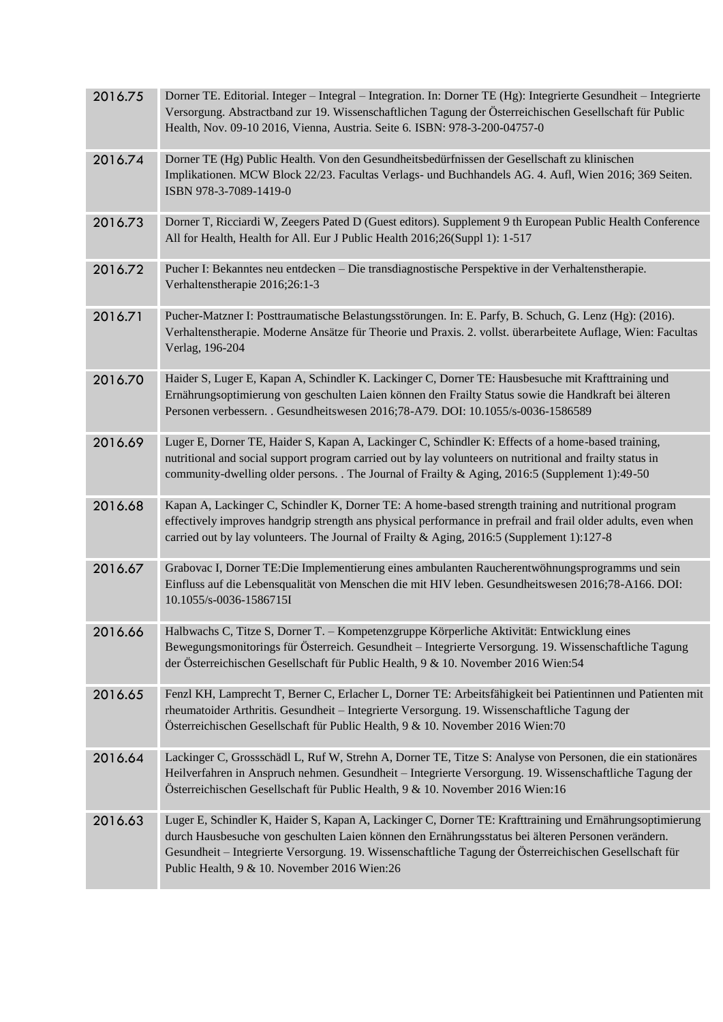| 2016.75 | Dorner TE. Editorial. Integer – Integral – Integration. In: Dorner TE (Hg): Integrierte Gesundheit – Integrierte<br>Versorgung. Abstractband zur 19. Wissenschaftlichen Tagung der Österreichischen Gesellschaft für Public<br>Health, Nov. 09-10 2016, Vienna, Austria. Seite 6. ISBN: 978-3-200-04757-0                                                                 |
|---------|---------------------------------------------------------------------------------------------------------------------------------------------------------------------------------------------------------------------------------------------------------------------------------------------------------------------------------------------------------------------------|
| 2016.74 | Dorner TE (Hg) Public Health. Von den Gesundheitsbedürfnissen der Gesellschaft zu klinischen<br>Implikationen. MCW Block 22/23. Facultas Verlags- und Buchhandels AG. 4. Aufl, Wien 2016; 369 Seiten.<br>ISBN 978-3-7089-1419-0                                                                                                                                           |
| 2016.73 | Dorner T, Ricciardi W, Zeegers Pated D (Guest editors). Supplement 9 th European Public Health Conference<br>All for Health, Health for All. Eur J Public Health 2016;26(Suppl 1): 1-517                                                                                                                                                                                  |
| 2016.72 | Pucher I: Bekanntes neu entdecken - Die transdiagnostische Perspektive in der Verhaltenstherapie.<br>Verhaltenstherapie 2016;26:1-3                                                                                                                                                                                                                                       |
| 2016.71 | Pucher-Matzner I: Posttraumatische Belastungsstörungen. In: E. Parfy, B. Schuch, G. Lenz (Hg): (2016).<br>Verhaltenstherapie. Moderne Ansätze für Theorie und Praxis. 2. vollst. überarbeitete Auflage, Wien: Facultas<br>Verlag, 196-204                                                                                                                                 |
| 2016.70 | Haider S, Luger E, Kapan A, Schindler K. Lackinger C, Dorner TE: Hausbesuche mit Krafttraining und<br>Ernährungsoptimierung von geschulten Laien können den Frailty Status sowie die Handkraft bei älteren<br>Personen verbessern. . Gesundheitswesen 2016;78-A79. DOI: 10.1055/s-0036-1586589                                                                            |
| 2016.69 | Luger E, Dorner TE, Haider S, Kapan A, Lackinger C, Schindler K: Effects of a home-based training,<br>nutritional and social support program carried out by lay volunteers on nutritional and frailty status in<br>community-dwelling older persons. . The Journal of Frailty & Aging, 2016:5 (Supplement 1):49-50                                                        |
| 2016.68 | Kapan A, Lackinger C, Schindler K, Dorner TE: A home-based strength training and nutritional program<br>effectively improves handgrip strength ans physical performance in prefrail and frail older adults, even when<br>carried out by lay volunteers. The Journal of Frailty & Aging, 2016:5 (Supplement 1):127-8                                                       |
| 2016.67 | Grabovac I, Dorner TE: Die Implementierung eines ambulanten Raucherentwöhnungsprogramms und sein<br>Einfluss auf die Lebensqualität von Menschen die mit HIV leben. Gesundheitswesen 2016;78-A166. DOI:<br>10.1055/s-0036-1586715I                                                                                                                                        |
|         | 2016.66 Halbwachs C, Titze S, Dorner T. - Kompetenzgruppe Körperliche Aktivität: Entwicklung eines<br>Bewegungsmonitorings für Österreich. Gesundheit - Integrierte Versorgung. 19. Wissenschaftliche Tagung<br>der Österreichischen Gesellschaft für Public Health, 9 & 10. November 2016 Wien:54                                                                        |
| 2016.65 | Fenzl KH, Lamprecht T, Berner C, Erlacher L, Dorner TE: Arbeitsfähigkeit bei Patientinnen und Patienten mit<br>rheumatoider Arthritis. Gesundheit - Integrierte Versorgung. 19. Wissenschaftliche Tagung der<br>Österreichischen Gesellschaft für Public Health, 9 & 10. November 2016 Wien:70                                                                            |
| 2016.64 | Lackinger C, Grossschädl L, Ruf W, Strehn A, Dorner TE, Titze S: Analyse von Personen, die ein stationäres<br>Heilverfahren in Anspruch nehmen. Gesundheit – Integrierte Versorgung. 19. Wissenschaftliche Tagung der<br>Österreichischen Gesellschaft für Public Health, 9 & 10. November 2016 Wien:16                                                                   |
| 2016.63 | Luger E, Schindler K, Haider S, Kapan A, Lackinger C, Dorner TE: Krafttraining und Ernährungsoptimierung<br>durch Hausbesuche von geschulten Laien können den Ernährungsstatus bei älteren Personen verändern.<br>Gesundheit - Integrierte Versorgung. 19. Wissenschaftliche Tagung der Österreichischen Gesellschaft für<br>Public Health, 9 & 10. November 2016 Wien:26 |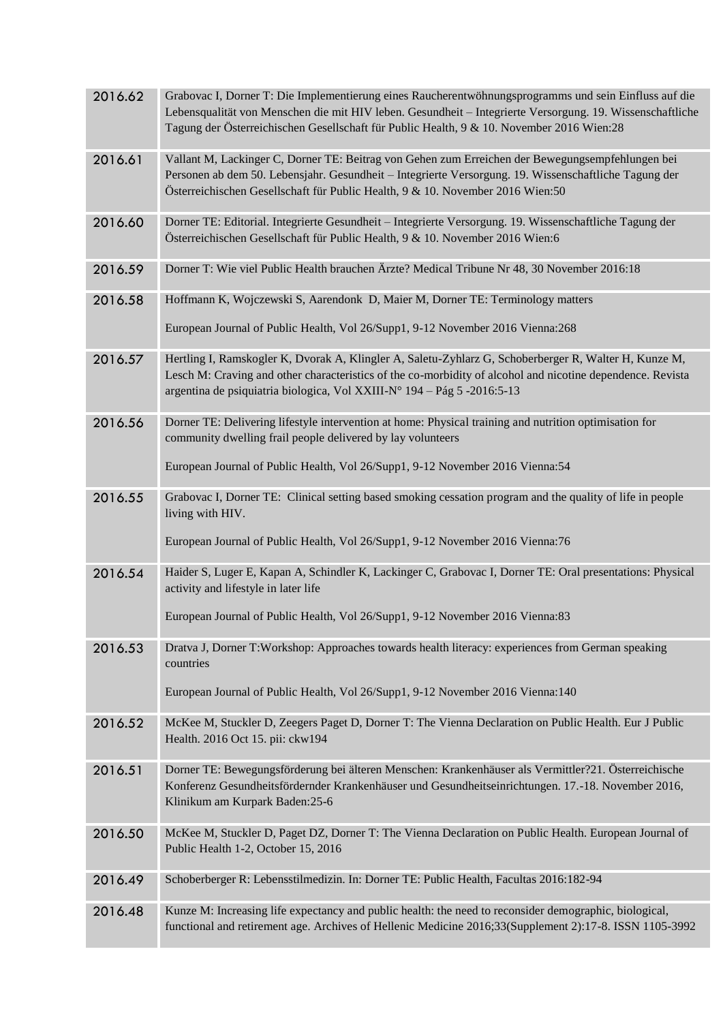| 2016.62 | Grabovac I, Dorner T: Die Implementierung eines Raucherentwöhnungsprogramms und sein Einfluss auf die<br>Lebensqualität von Menschen die mit HIV leben. Gesundheit - Integrierte Versorgung. 19. Wissenschaftliche<br>Tagung der Österreichischen Gesellschaft für Public Health, 9 & 10. November 2016 Wien:28 |
|---------|-----------------------------------------------------------------------------------------------------------------------------------------------------------------------------------------------------------------------------------------------------------------------------------------------------------------|
| 2016.61 | Vallant M, Lackinger C, Dorner TE: Beitrag von Gehen zum Erreichen der Bewegungsempfehlungen bei<br>Personen ab dem 50. Lebensjahr. Gesundheit – Integrierte Versorgung. 19. Wissenschaftliche Tagung der<br>Österreichischen Gesellschaft für Public Health, 9 & 10. November 2016 Wien:50                     |
| 2016.60 | Dorner TE: Editorial. Integrierte Gesundheit - Integrierte Versorgung. 19. Wissenschaftliche Tagung der<br>Österreichischen Gesellschaft für Public Health, 9 & 10. November 2016 Wien:6                                                                                                                        |
| 2016.59 | Dorner T: Wie viel Public Health brauchen Ärzte? Medical Tribune Nr 48, 30 November 2016:18                                                                                                                                                                                                                     |
| 2016.58 | Hoffmann K, Wojczewski S, Aarendonk D, Maier M, Dorner TE: Terminology matters                                                                                                                                                                                                                                  |
|         | European Journal of Public Health, Vol 26/Supp1, 9-12 November 2016 Vienna:268                                                                                                                                                                                                                                  |
| 2016.57 | Hertling I, Ramskogler K, Dvorak A, Klingler A, Saletu-Zyhlarz G, Schoberberger R, Walter H, Kunze M,<br>Lesch M: Craving and other characteristics of the co-morbidity of alcohol and nicotine dependence. Revista<br>argentina de psiquiatria biologica, Vol XXIII-N° 194 – Pág 5 -2016:5-13                  |
| 2016.56 | Dorner TE: Delivering lifestyle intervention at home: Physical training and nutrition optimisation for<br>community dwelling frail people delivered by lay volunteers                                                                                                                                           |
|         | European Journal of Public Health, Vol 26/Supp1, 9-12 November 2016 Vienna:54                                                                                                                                                                                                                                   |
| 2016.55 | Grabovac I, Dorner TE: Clinical setting based smoking cessation program and the quality of life in people<br>living with HIV.                                                                                                                                                                                   |
|         | European Journal of Public Health, Vol 26/Supp1, 9-12 November 2016 Vienna:76                                                                                                                                                                                                                                   |
| 2016.54 | Haider S, Luger E, Kapan A, Schindler K, Lackinger C, Grabovac I, Dorner TE: Oral presentations: Physical<br>activity and lifestyle in later life                                                                                                                                                               |
|         | European Journal of Public Health, Vol 26/Supp1, 9-12 November 2016 Vienna:83                                                                                                                                                                                                                                   |
| 2016.53 | Dratva J, Dorner T:Workshop: Approaches towards health literacy: experiences from German speaking<br>countries                                                                                                                                                                                                  |
|         | European Journal of Public Health, Vol 26/Supp1, 9-12 November 2016 Vienna:140                                                                                                                                                                                                                                  |
| 2016.52 | McKee M, Stuckler D, Zeegers Paget D, Dorner T: The Vienna Declaration on Public Health. Eur J Public<br>Health. 2016 Oct 15. pii: ckw194                                                                                                                                                                       |
| 2016.51 | Dorner TE: Bewegungsförderung bei älteren Menschen: Krankenhäuser als Vermittler?21. Österreichische<br>Konferenz Gesundheitsfördernder Krankenhäuser und Gesundheitseinrichtungen. 17.-18. November 2016,<br>Klinikum am Kurpark Baden: 25-6                                                                   |
| 2016.50 | McKee M, Stuckler D, Paget DZ, Dorner T: The Vienna Declaration on Public Health. European Journal of<br>Public Health 1-2, October 15, 2016                                                                                                                                                                    |
| 2016.49 | Schoberberger R: Lebensstilmedizin. In: Dorner TE: Public Health, Facultas 2016:182-94                                                                                                                                                                                                                          |
| 2016.48 | Kunze M: Increasing life expectancy and public health: the need to reconsider demographic, biological,<br>functional and retirement age. Archives of Hellenic Medicine 2016;33(Supplement 2):17-8. ISSN 1105-3992                                                                                               |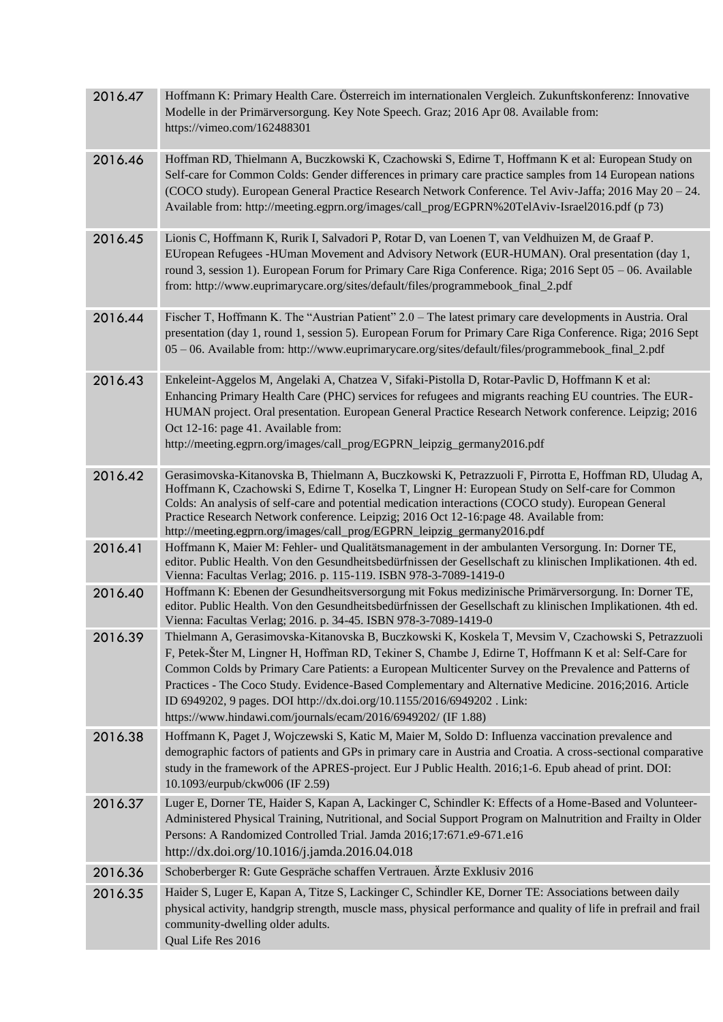| 2016.47 | Hoffmann K: Primary Health Care. Österreich im internationalen Vergleich. Zukunftskonferenz: Innovative<br>Modelle in der Primärversorgung. Key Note Speech. Graz; 2016 Apr 08. Available from:<br>https://vimeo.com/162488301                                                                                                                                                                                                                                                                                                                                               |
|---------|------------------------------------------------------------------------------------------------------------------------------------------------------------------------------------------------------------------------------------------------------------------------------------------------------------------------------------------------------------------------------------------------------------------------------------------------------------------------------------------------------------------------------------------------------------------------------|
| 2016.46 | Hoffman RD, Thielmann A, Buczkowski K, Czachowski S, Edirne T, Hoffmann K et al: European Study on<br>Self-care for Common Colds: Gender differences in primary care practice samples from 14 European nations<br>(COCO study). European General Practice Research Network Conference. Tel Aviv-Jaffa; 2016 May 20 - 24.<br>Available from: http://meeting.egprn.org/images/call_prog/EGPRN%20TelAviv-Israel2016.pdf (p 73)                                                                                                                                                  |
| 2016.45 | Lionis C, Hoffmann K, Rurik I, Salvadori P, Rotar D, van Loenen T, van Veldhuizen M, de Graaf P.<br>EUropean Refugees -HUman Movement and Advisory Network (EUR-HUMAN). Oral presentation (day 1,<br>round 3, session 1). European Forum for Primary Care Riga Conference. Riga; 2016 Sept 05 - 06. Available<br>from: http://www.euprimarycare.org/sites/default/files/programmebook_final_2.pdf                                                                                                                                                                            |
| 2016.44 | Fischer T, Hoffmann K. The "Austrian Patient" 2.0 – The latest primary care developments in Austria. Oral<br>presentation (day 1, round 1, session 5). European Forum for Primary Care Riga Conference. Riga; 2016 Sept<br>05 - 06. Available from: http://www.euprimarycare.org/sites/default/files/programmebook_final_2.pdf                                                                                                                                                                                                                                               |
| 2016.43 | Enkeleint-Aggelos M, Angelaki A, Chatzea V, Sifaki-Pistolla D, Rotar-Pavlic D, Hoffmann K et al:<br>Enhancing Primary Health Care (PHC) services for refugees and migrants reaching EU countries. The EUR-<br>HUMAN project. Oral presentation. European General Practice Research Network conference. Leipzig; 2016<br>Oct 12-16: page 41. Available from:<br>http://meeting.egprn.org/images/call_prog/EGPRN_leipzig_germany2016.pdf                                                                                                                                       |
| 2016.42 | Gerasimovska-Kitanovska B, Thielmann A, Buczkowski K, Petrazzuoli F, Pirrotta E, Hoffman RD, Uludag A,<br>Hoffmann K, Czachowski S, Edirne T, Koselka T, Lingner H: European Study on Self-care for Common<br>Colds: An analysis of self-care and potential medication interactions (COCO study). European General<br>Practice Research Network conference. Leipzig; 2016 Oct 12-16:page 48. Available from:<br>http://meeting.egprn.org/images/call_prog/EGPRN_leipzig_germany2016.pdf                                                                                      |
| 2016.41 | Hoffmann K, Maier M: Fehler- und Qualitätsmanagement in der ambulanten Versorgung. In: Dorner TE,<br>editor. Public Health. Von den Gesundheitsbedürfnissen der Gesellschaft zu klinischen Implikationen. 4th ed.<br>Vienna: Facultas Verlag; 2016. p. 115-119. ISBN 978-3-7089-1419-0                                                                                                                                                                                                                                                                                       |
| 2016.40 | Hoffmann K: Ebenen der Gesundheitsversorgung mit Fokus medizinische Primärversorgung. In: Dorner TE,<br>editor. Public Health. Von den Gesundheitsbedürfnissen der Gesellschaft zu klinischen Implikationen. 4th ed.<br>Vienna: Facultas Verlag; 2016. p. 34-45. ISBN 978-3-7089-1419-0                                                                                                                                                                                                                                                                                      |
| 2016.39 | Thielmann A, Gerasimovska-Kitanovska B, Buczkowski K, Koskela T, Mevsim V, Czachowski S, Petrazzuoli<br>F, Petek-Šter M, Lingner H, Hoffman RD, Tekiner S, Chambe J, Edirne T, Hoffmann K et al: Self-Care for<br>Common Colds by Primary Care Patients: a European Multicenter Survey on the Prevalence and Patterns of<br>Practices - The Coco Study. Evidence-Based Complementary and Alternative Medicine. 2016;2016. Article<br>ID 6949202, 9 pages. DOI http://dx.doi.org/10.1155/2016/6949202. Link:<br>https://www.hindawi.com/journals/ecam/2016/6949202/ (IF 1.88) |
| 2016.38 | Hoffmann K, Paget J, Wojczewski S, Katic M, Maier M, Soldo D: Influenza vaccination prevalence and<br>demographic factors of patients and GPs in primary care in Austria and Croatia. A cross-sectional comparative<br>study in the framework of the APRES-project. Eur J Public Health. 2016;1-6. Epub ahead of print. DOI:<br>10.1093/eurpub/ckw006 (IF 2.59)                                                                                                                                                                                                              |
| 2016.37 | Luger E, Dorner TE, Haider S, Kapan A, Lackinger C, Schindler K: Effects of a Home-Based and Volunteer-<br>Administered Physical Training, Nutritional, and Social Support Program on Malnutrition and Frailty in Older<br>Persons: A Randomized Controlled Trial. Jamda 2016;17:671.e9-671.e16<br>http://dx.doi.org/10.1016/j.jamda.2016.04.018                                                                                                                                                                                                                             |
| 2016.36 | Schoberberger R: Gute Gespräche schaffen Vertrauen. Ärzte Exklusiv 2016                                                                                                                                                                                                                                                                                                                                                                                                                                                                                                      |
| 2016.35 | Haider S, Luger E, Kapan A, Titze S, Lackinger C, Schindler KE, Dorner TE: Associations between daily<br>physical activity, handgrip strength, muscle mass, physical performance and quality of life in prefrail and frail<br>community-dwelling older adults.<br>Qual Life Res 2016                                                                                                                                                                                                                                                                                         |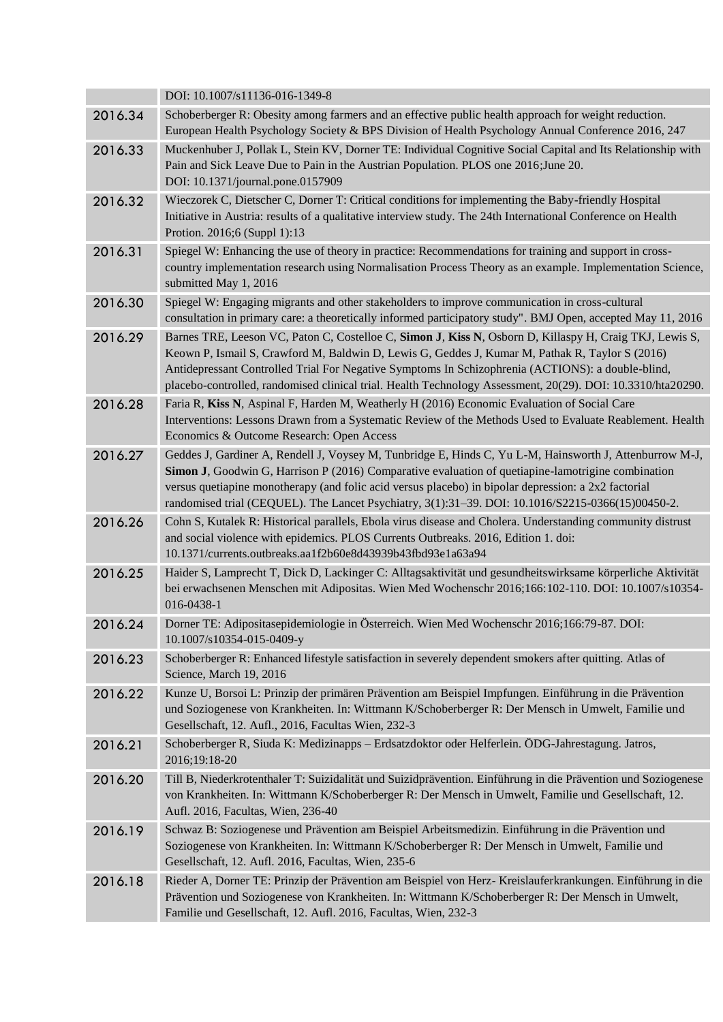|         | DOI: 10.1007/s11136-016-1349-8                                                                                                                                                                                                                                                                                                                                                                                                 |
|---------|--------------------------------------------------------------------------------------------------------------------------------------------------------------------------------------------------------------------------------------------------------------------------------------------------------------------------------------------------------------------------------------------------------------------------------|
| 2016.34 | Schoberberger R: Obesity among farmers and an effective public health approach for weight reduction.<br>European Health Psychology Society & BPS Division of Health Psychology Annual Conference 2016, 247                                                                                                                                                                                                                     |
| 2016.33 | Muckenhuber J, Pollak L, Stein KV, Dorner TE: Individual Cognitive Social Capital and Its Relationship with<br>Pain and Sick Leave Due to Pain in the Austrian Population. PLOS one 2016; June 20.<br>DOI: 10.1371/journal.pone.0157909                                                                                                                                                                                        |
| 2016.32 | Wieczorek C, Dietscher C, Dorner T: Critical conditions for implementing the Baby-friendly Hospital<br>Initiative in Austria: results of a qualitative interview study. The 24th International Conference on Health<br>Protion. 2016;6 (Suppl 1):13                                                                                                                                                                            |
| 2016.31 | Spiegel W: Enhancing the use of theory in practice: Recommendations for training and support in cross-<br>country implementation research using Normalisation Process Theory as an example. Implementation Science,<br>submitted May 1, 2016                                                                                                                                                                                   |
| 2016.30 | Spiegel W: Engaging migrants and other stakeholders to improve communication in cross-cultural<br>consultation in primary care: a theoretically informed participatory study". BMJ Open, accepted May 11, 2016                                                                                                                                                                                                                 |
| 2016.29 | Barnes TRE, Leeson VC, Paton C, Costelloe C, Simon J, Kiss N, Osborn D, Killaspy H, Craig TKJ, Lewis S,<br>Keown P, Ismail S, Crawford M, Baldwin D, Lewis G, Geddes J, Kumar M, Pathak R, Taylor S (2016)<br>Antidepressant Controlled Trial For Negative Symptoms In Schizophrenia (ACTIONS): a double-blind,<br>placebo-controlled, randomised clinical trial. Health Technology Assessment, 20(29). DOI: 10.3310/hta20290. |
| 2016.28 | Faria R, Kiss N, Aspinal F, Harden M, Weatherly H (2016) Economic Evaluation of Social Care<br>Interventions: Lessons Drawn from a Systematic Review of the Methods Used to Evaluate Reablement. Health<br>Economics & Outcome Research: Open Access                                                                                                                                                                           |
| 2016.27 | Geddes J, Gardiner A, Rendell J, Voysey M, Tunbridge E, Hinds C, Yu L-M, Hainsworth J, Attenburrow M-J,<br>Simon J, Goodwin G, Harrison P (2016) Comparative evaluation of quetiapine-lamotrigine combination<br>versus quetiapine monotherapy (and folic acid versus placebo) in bipolar depression: a 2x2 factorial<br>randomised trial (CEQUEL). The Lancet Psychiatry, 3(1):31-39. DOI: 10.1016/S2215-0366(15)00450-2.     |
| 2016.26 | Cohn S, Kutalek R: Historical parallels, Ebola virus disease and Cholera. Understanding community distrust<br>and social violence with epidemics. PLOS Currents Outbreaks. 2016, Edition 1. doi:<br>10.1371/currents.outbreaks.aa1f2b60e8d43939b43fbd93e1a63a94                                                                                                                                                                |
| 2016.25 | Haider S, Lamprecht T, Dick D, Lackinger C: Alltagsaktivität und gesundheitswirksame körperliche Aktivität<br>bei erwachsenen Menschen mit Adipositas. Wien Med Wochenschr 2016;166:102-110. DOI: 10.1007/s10354-<br>016-0438-1                                                                                                                                                                                                |
| 2016.24 | Dorner TE: Adipositasepidemiologie in Österreich. Wien Med Wochenschr 2016;166:79-87. DOI:<br>10.1007/s10354-015-0409-y                                                                                                                                                                                                                                                                                                        |
| 2016.23 | Schoberberger R: Enhanced lifestyle satisfaction in severely dependent smokers after quitting. Atlas of<br>Science, March 19, 2016                                                                                                                                                                                                                                                                                             |
| 2016.22 | Kunze U, Borsoi L: Prinzip der primären Prävention am Beispiel Impfungen. Einführung in die Prävention<br>und Soziogenese von Krankheiten. In: Wittmann K/Schoberberger R: Der Mensch in Umwelt, Familie und<br>Gesellschaft, 12. Aufl., 2016, Facultas Wien, 232-3                                                                                                                                                            |
| 2016.21 | Schoberberger R, Siuda K: Medizinapps - Erdsatzdoktor oder Helferlein. ÖDG-Jahrestagung. Jatros,<br>2016;19:18-20                                                                                                                                                                                                                                                                                                              |
| 2016.20 | Till B, Niederkrotenthaler T: Suizidalität und Suizidprävention. Einführung in die Prävention und Soziogenese<br>von Krankheiten. In: Wittmann K/Schoberberger R: Der Mensch in Umwelt, Familie und Gesellschaft, 12.<br>Aufl. 2016, Facultas, Wien, 236-40                                                                                                                                                                    |
| 2016.19 | Schwaz B: Soziogenese und Prävention am Beispiel Arbeitsmedizin. Einführung in die Prävention und<br>Soziogenese von Krankheiten. In: Wittmann K/Schoberberger R: Der Mensch in Umwelt, Familie und<br>Gesellschaft, 12. Aufl. 2016, Facultas, Wien, 235-6                                                                                                                                                                     |
| 2016.18 | Rieder A, Dorner TE: Prinzip der Prävention am Beispiel von Herz- Kreislauferkrankungen. Einführung in die<br>Prävention und Soziogenese von Krankheiten. In: Wittmann K/Schoberberger R: Der Mensch in Umwelt,<br>Familie und Gesellschaft, 12. Aufl. 2016, Facultas, Wien, 232-3                                                                                                                                             |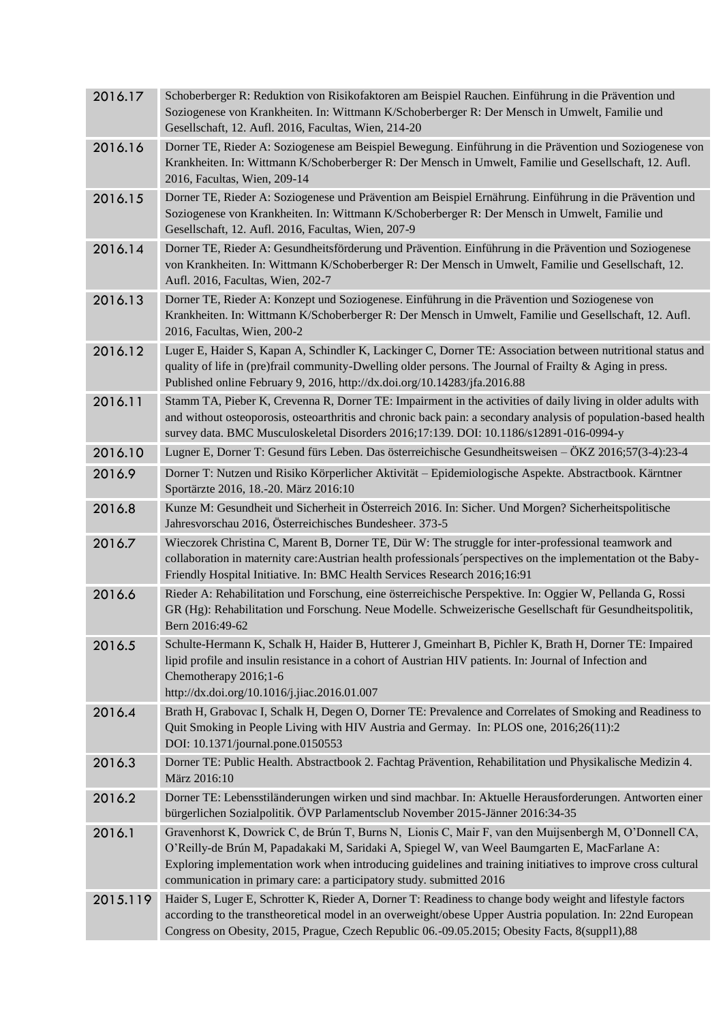| 2016.17  | Schoberberger R: Reduktion von Risikofaktoren am Beispiel Rauchen. Einführung in die Prävention und<br>Soziogenese von Krankheiten. In: Wittmann K/Schoberberger R: Der Mensch in Umwelt, Familie und<br>Gesellschaft, 12. Aufl. 2016, Facultas, Wien, 214-20                                                                                                                                  |
|----------|------------------------------------------------------------------------------------------------------------------------------------------------------------------------------------------------------------------------------------------------------------------------------------------------------------------------------------------------------------------------------------------------|
| 2016.16  | Dorner TE, Rieder A: Soziogenese am Beispiel Bewegung. Einführung in die Prävention und Soziogenese von<br>Krankheiten. In: Wittmann K/Schoberberger R: Der Mensch in Umwelt, Familie und Gesellschaft, 12. Aufl.<br>2016, Facultas, Wien, 209-14                                                                                                                                              |
| 2016.15  | Dorner TE, Rieder A: Soziogenese und Prävention am Beispiel Ernährung. Einführung in die Prävention und<br>Soziogenese von Krankheiten. In: Wittmann K/Schoberberger R: Der Mensch in Umwelt, Familie und<br>Gesellschaft, 12. Aufl. 2016, Facultas, Wien, 207-9                                                                                                                               |
| 2016.14  | Dorner TE, Rieder A: Gesundheitsförderung und Prävention. Einführung in die Prävention und Soziogenese<br>von Krankheiten. In: Wittmann K/Schoberberger R: Der Mensch in Umwelt, Familie und Gesellschaft, 12.<br>Aufl. 2016, Facultas, Wien, 202-7                                                                                                                                            |
| 2016.13  | Dorner TE, Rieder A: Konzept und Soziogenese. Einführung in die Prävention und Soziogenese von<br>Krankheiten. In: Wittmann K/Schoberberger R: Der Mensch in Umwelt, Familie und Gesellschaft, 12. Aufl.<br>2016, Facultas, Wien, 200-2                                                                                                                                                        |
| 2016.12  | Luger E, Haider S, Kapan A, Schindler K, Lackinger C, Dorner TE: Association between nutritional status and<br>quality of life in (pre)frail community-Dwelling older persons. The Journal of Frailty & Aging in press.<br>Published online February 9, 2016, http://dx.doi.org/10.14283/jfa.2016.88                                                                                           |
| 2016.11  | Stamm TA, Pieber K, Crevenna R, Dorner TE: Impairment in the activities of daily living in older adults with<br>and without osteoporosis, osteoarthritis and chronic back pain: a secondary analysis of population-based health<br>survey data. BMC Musculoskeletal Disorders 2016;17:139. DOI: 10.1186/s12891-016-0994-y                                                                      |
| 2016.10  | Lugner E, Dorner T: Gesund fürs Leben. Das österreichische Gesundheitsweisen – ÖKZ 2016;57(3-4):23-4                                                                                                                                                                                                                                                                                           |
| 2016.9   | Dorner T: Nutzen und Risiko Körperlicher Aktivität – Epidemiologische Aspekte. Abstractbook. Kärntner<br>Sportärzte 2016, 18.-20. März 2016:10                                                                                                                                                                                                                                                 |
| 2016.8   | Kunze M: Gesundheit und Sicherheit in Österreich 2016. In: Sicher. Und Morgen? Sicherheitspolitische<br>Jahresvorschau 2016, Österreichisches Bundesheer. 373-5                                                                                                                                                                                                                                |
| 2016.7   | Wieczorek Christina C, Marent B, Dorner TE, Dür W: The struggle for inter-professional teamwork and<br>collaboration in maternity care: Austrian health professionals perspectives on the implementation ot the Baby-<br>Friendly Hospital Initiative. In: BMC Health Services Research 2016;16:91                                                                                             |
| 2016.6   | Rieder A: Rehabilitation und Forschung, eine österreichische Perspektive. In: Oggier W, Pellanda G, Rossi<br>GR (Hg): Rehabilitation und Forschung. Neue Modelle. Schweizerische Gesellschaft für Gesundheitspolitik,<br>Bern 2016:49-62                                                                                                                                                       |
| 2016.5   | Schulte-Hermann K, Schalk H, Haider B, Hutterer J, Gmeinhart B, Pichler K, Brath H, Dorner TE: Impaired<br>lipid profile and insulin resistance in a cohort of Austrian HIV patients. In: Journal of Infection and<br>Chemotherapy 2016;1-6<br>http://dx.doi.org/10.1016/j.jiac.2016.01.007                                                                                                    |
| 2016.4   | Brath H, Grabovac I, Schalk H, Degen O, Dorner TE: Prevalence and Correlates of Smoking and Readiness to<br>Quit Smoking in People Living with HIV Austria and Germay. In: PLOS one, 2016;26(11):2<br>DOI: 10.1371/journal.pone.0150553                                                                                                                                                        |
| 2016.3   | Dorner TE: Public Health. Abstractbook 2. Fachtag Prävention, Rehabilitation und Physikalische Medizin 4.<br>März 2016:10                                                                                                                                                                                                                                                                      |
| 2016.2   | Dorner TE: Lebensstiländerungen wirken und sind machbar. In: Aktuelle Herausforderungen. Antworten einer<br>bürgerlichen Sozialpolitik. ÖVP Parlamentsclub November 2015-Jänner 2016:34-35                                                                                                                                                                                                     |
| 2016.1   | Gravenhorst K, Dowrick C, de Brún T, Burns N, Lionis C, Mair F, van den Muijsenbergh M, O'Donnell CA,<br>O'Reilly-de Brún M, Papadakaki M, Saridaki A, Spiegel W, van Weel Baumgarten E, MacFarlane A:<br>Exploring implementation work when introducing guidelines and training initiatives to improve cross cultural<br>communication in primary care: a participatory study. submitted 2016 |
| 2015.119 | Haider S, Luger E, Schrotter K, Rieder A, Dorner T: Readiness to change body weight and lifestyle factors<br>according to the transtheoretical model in an overweight/obese Upper Austria population. In: 22nd European<br>Congress on Obesity, 2015, Prague, Czech Republic 06.-09.05.2015; Obesity Facts, 8(suppl1),88                                                                       |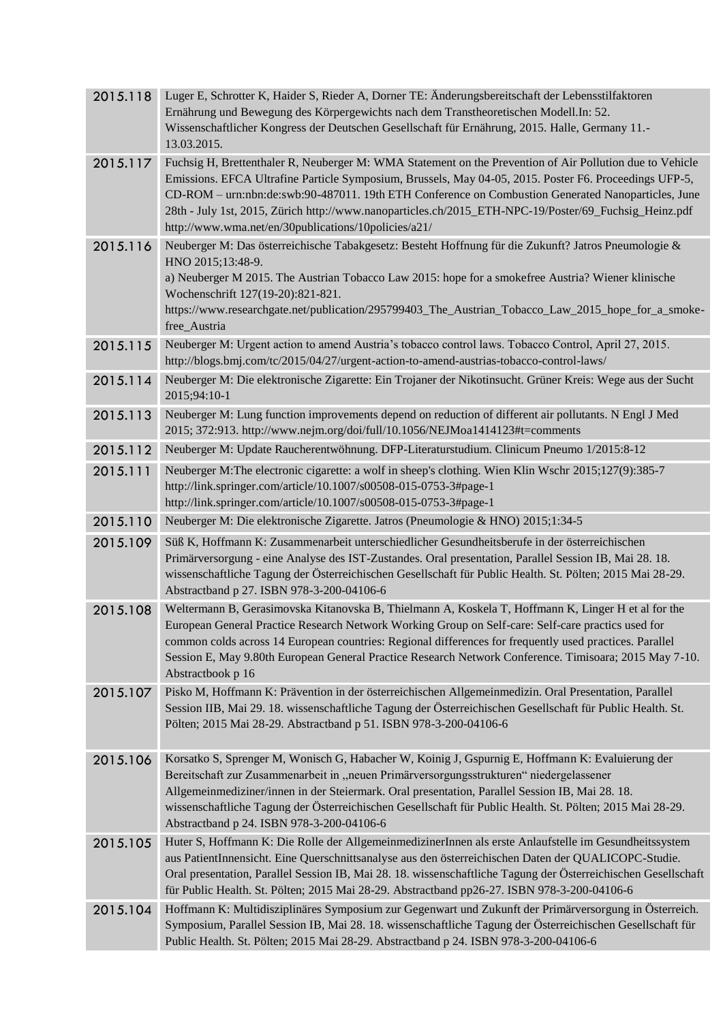| 2015.118 | Luger E, Schrotter K, Haider S, Rieder A, Dorner TE: Änderungsbereitschaft der Lebensstilfaktoren<br>Ernährung und Bewegung des Körpergewichts nach dem Transtheoretischen Modell.In: 52.<br>Wissenschaftlicher Kongress der Deutschen Gesellschaft für Ernährung, 2015. Halle, Germany 11.-<br>13.03.2015.                                                                                                                                                                               |
|----------|-------------------------------------------------------------------------------------------------------------------------------------------------------------------------------------------------------------------------------------------------------------------------------------------------------------------------------------------------------------------------------------------------------------------------------------------------------------------------------------------|
| 2015.117 | Fuchsig H, Brettenthaler R, Neuberger M: WMA Statement on the Prevention of Air Pollution due to Vehicle<br>Emissions. EFCA Ultrafine Particle Symposium, Brussels, May 04-05, 2015. Poster F6. Proceedings UFP-5,<br>CD-ROM - urn:nbn:de:swb:90-487011. 19th ETH Conference on Combustion Generated Nanoparticles, June<br>28th - July 1st, 2015, Zürich http://www.nanoparticles.ch/2015_ETH-NPC-19/Poster/69_Fuchsig_Heinz.pdf<br>http://www.wma.net/en/30publications/10policies/a21/ |
| 2015.116 | Neuberger M: Das österreichische Tabakgesetz: Besteht Hoffnung für die Zukunft? Jatros Pneumologie &<br>HNO 2015;13:48-9.<br>a) Neuberger M 2015. The Austrian Tobacco Law 2015: hope for a smokefree Austria? Wiener klinische<br>Wochenschrift 127(19-20):821-821.<br>https://www.researchgate.net/publication/295799403_The_Austrian_Tobacco_Law_2015_hope_for_a_smoke-<br>free_Austria                                                                                                |
| 2015.115 | Neuberger M: Urgent action to amend Austria's tobacco control laws. Tobacco Control, April 27, 2015.<br>http://blogs.bmj.com/tc/2015/04/27/urgent-action-to-amend-austrias-tobacco-control-laws/                                                                                                                                                                                                                                                                                          |
| 2015.114 | Neuberger M: Die elektronische Zigarette: Ein Trojaner der Nikotinsucht. Grüner Kreis: Wege aus der Sucht<br>2015;94:10-1                                                                                                                                                                                                                                                                                                                                                                 |
| 2015.113 | Neuberger M: Lung function improvements depend on reduction of different air pollutants. N Engl J Med<br>2015; 372:913. http://www.nejm.org/doi/full/10.1056/NEJMoa1414123#t=comments                                                                                                                                                                                                                                                                                                     |
| 2015.112 | Neuberger M: Update Raucherentwöhnung. DFP-Literaturstudium. Clinicum Pneumo 1/2015:8-12                                                                                                                                                                                                                                                                                                                                                                                                  |
| 2015.111 | Neuberger M: The electronic cigarette: a wolf in sheep's clothing. Wien Klin Wschr 2015;127(9):385-7<br>http://link.springer.com/article/10.1007/s00508-015-0753-3#page-1<br>http://link.springer.com/article/10.1007/s00508-015-0753-3#page-1                                                                                                                                                                                                                                            |
| 2015.110 | Neuberger M: Die elektronische Zigarette. Jatros (Pneumologie & HNO) 2015;1:34-5                                                                                                                                                                                                                                                                                                                                                                                                          |
| 2015.109 | Süß K, Hoffmann K: Zusammenarbeit unterschiedlicher Gesundheitsberufe in der österreichischen<br>Primärversorgung - eine Analyse des IST-Zustandes. Oral presentation, Parallel Session IB, Mai 28. 18.<br>wissenschaftliche Tagung der Österreichischen Gesellschaft für Public Health. St. Pölten; 2015 Mai 28-29.<br>Abstractband p 27. ISBN 978-3-200-04106-6                                                                                                                         |
| 2015.108 | Weltermann B, Gerasimovska Kitanovska B, Thielmann A, Koskela T, Hoffmann K, Linger H et al for the<br>European General Practice Research Network Working Group on Self-care: Self-care practics used for<br>common colds across 14 European countries: Regional differences for frequently used practices. Parallel<br>Session E, May 9.80th European General Practice Research Network Conference. Timisoara; 2015 May 7-10.<br>Abstractbook p 16                                       |
| 2015.107 | Pisko M, Hoffmann K: Prävention in der österreichischen Allgemeinmedizin. Oral Presentation, Parallel<br>Session IIB, Mai 29. 18. wissenschaftliche Tagung der Österreichischen Gesellschaft für Public Health. St.<br>Pölten; 2015 Mai 28-29. Abstractband p 51. ISBN 978-3-200-04106-6                                                                                                                                                                                                  |
| 2015.106 | Korsatko S, Sprenger M, Wonisch G, Habacher W, Koinig J, Gspurnig E, Hoffmann K: Evaluierung der<br>Bereitschaft zur Zusammenarbeit in "neuen Primärversorgungsstrukturen" niedergelassener<br>Allgemeinmediziner/innen in der Steiermark. Oral presentation, Parallel Session IB, Mai 28. 18.<br>wissenschaftliche Tagung der Österreichischen Gesellschaft für Public Health. St. Pölten; 2015 Mai 28-29.<br>Abstractband p 24. ISBN 978-3-200-04106-6                                  |
| 2015.105 | Huter S, Hoffmann K: Die Rolle der AllgemeinmedizinerInnen als erste Anlaufstelle im Gesundheitssystem<br>aus PatientInnensicht. Eine Querschnittsanalyse aus den österreichischen Daten der QUALICOPC-Studie.<br>Oral presentation, Parallel Session IB, Mai 28. 18. wissenschaftliche Tagung der Österreichischen Gesellschaft<br>für Public Health. St. Pölten; 2015 Mai 28-29. Abstractband pp26-27. ISBN 978-3-200-04106-6                                                           |
| 2015.104 | Hoffmann K: Multidisziplinäres Symposium zur Gegenwart und Zukunft der Primärversorgung in Österreich.<br>Symposium, Parallel Session IB, Mai 28. 18. wissenschaftliche Tagung der Österreichischen Gesellschaft für<br>Public Health. St. Pölten; 2015 Mai 28-29. Abstractband p 24. ISBN 978-3-200-04106-6                                                                                                                                                                              |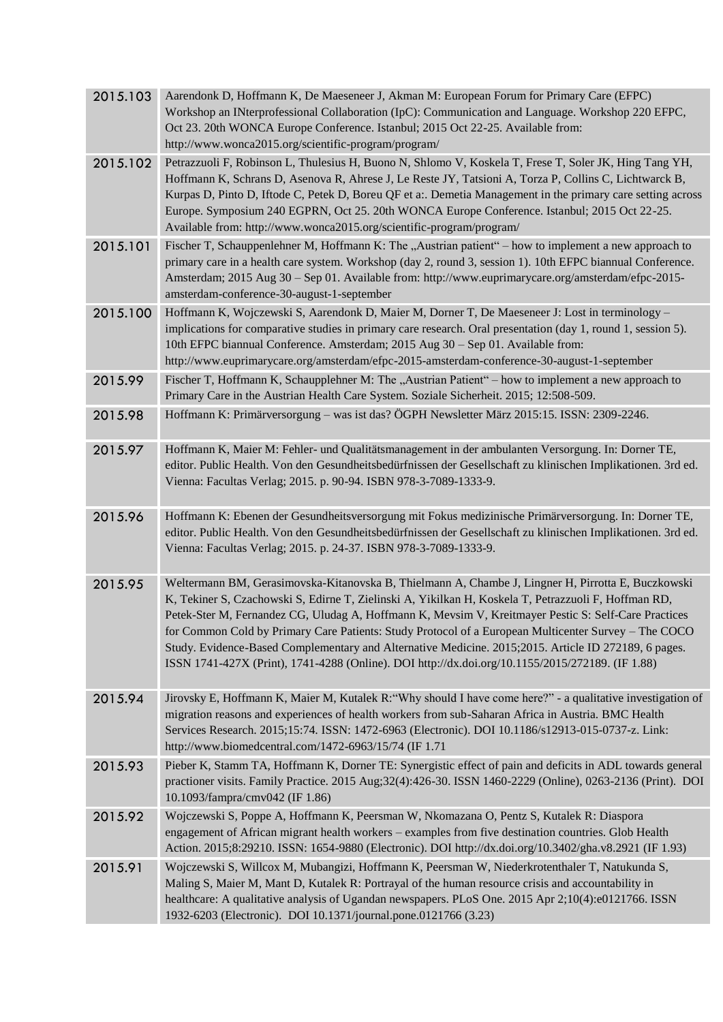| 2015.103 | Aarendonk D, Hoffmann K, De Maeseneer J, Akman M: European Forum for Primary Care (EFPC)<br>Workshop an INterprofessional Collaboration (IpC): Communication and Language. Workshop 220 EFPC,<br>Oct 23. 20th WONCA Europe Conference. Istanbul; 2015 Oct 22-25. Available from:<br>http://www.wonca2015.org/scientific-program/program/                                                                                                                                                                                                                                                                                               |
|----------|----------------------------------------------------------------------------------------------------------------------------------------------------------------------------------------------------------------------------------------------------------------------------------------------------------------------------------------------------------------------------------------------------------------------------------------------------------------------------------------------------------------------------------------------------------------------------------------------------------------------------------------|
| 2015.102 | Petrazzuoli F, Robinson L, Thulesius H, Buono N, Shlomo V, Koskela T, Frese T, Soler JK, Hing Tang YH,<br>Hoffmann K, Schrans D, Asenova R, Ahrese J, Le Reste JY, Tatsioni A, Torza P, Collins C, Lichtwarck B,<br>Kurpas D, Pinto D, Iftode C, Petek D, Boreu QF et a:. Demetia Management in the primary care setting across<br>Europe. Symposium 240 EGPRN, Oct 25. 20th WONCA Europe Conference. Istanbul; 2015 Oct 22-25.<br>Available from: http://www.wonca2015.org/scientific-program/program/                                                                                                                                |
| 2015.101 | Fischer T, Schauppenlehner M, Hoffmann K: The "Austrian patient" – how to implement a new approach to<br>primary care in a health care system. Workshop (day 2, round 3, session 1). 10th EFPC biannual Conference.<br>Amsterdam; 2015 Aug 30 - Sep 01. Available from: http://www.euprimarycare.org/amsterdam/efpc-2015-<br>amsterdam-conference-30-august-1-september                                                                                                                                                                                                                                                                |
| 2015.100 | Hoffmann K, Wojczewski S, Aarendonk D, Maier M, Dorner T, De Maeseneer J: Lost in terminology -<br>implications for comparative studies in primary care research. Oral presentation (day 1, round 1, session 5).<br>10th EFPC biannual Conference. Amsterdam; 2015 Aug 30 - Sep 01. Available from:<br>http://www.euprimarycare.org/amsterdam/efpc-2015-amsterdam-conference-30-august-1-september                                                                                                                                                                                                                                     |
| 2015.99  | Fischer T, Hoffmann K, Schaupplehner M: The "Austrian Patient" – how to implement a new approach to<br>Primary Care in the Austrian Health Care System. Soziale Sicherheit. 2015; 12:508-509.                                                                                                                                                                                                                                                                                                                                                                                                                                          |
| 2015.98  | Hoffmann K: Primärversorgung – was ist das? ÖGPH Newsletter März 2015:15. ISSN: 2309-2246.                                                                                                                                                                                                                                                                                                                                                                                                                                                                                                                                             |
| 2015.97  | Hoffmann K, Maier M: Fehler- und Qualitätsmanagement in der ambulanten Versorgung. In: Dorner TE,<br>editor. Public Health. Von den Gesundheitsbedürfnissen der Gesellschaft zu klinischen Implikationen. 3rd ed.<br>Vienna: Facultas Verlag; 2015. p. 90-94. ISBN 978-3-7089-1333-9.                                                                                                                                                                                                                                                                                                                                                  |
| 2015.96  | Hoffmann K: Ebenen der Gesundheitsversorgung mit Fokus medizinische Primärversorgung. In: Dorner TE,<br>editor. Public Health. Von den Gesundheitsbedürfnissen der Gesellschaft zu klinischen Implikationen. 3rd ed.<br>Vienna: Facultas Verlag; 2015. p. 24-37. ISBN 978-3-7089-1333-9.                                                                                                                                                                                                                                                                                                                                               |
| 2015.95  | Weltermann BM, Gerasimovska-Kitanovska B, Thielmann A, Chambe J, Lingner H, Pirrotta E, Buczkowski<br>K, Tekiner S, Czachowski S, Edirne T, Zielinski A, Yikilkan H, Koskela T, Petrazzuoli F, Hoffman RD,<br>Petek-Ster M, Fernandez CG, Uludag A, Hoffmann K, Mevsim V, Kreitmayer Pestic S: Self-Care Practices<br>for Common Cold by Primary Care Patients: Study Protocol of a European Multicenter Survey - The COCO<br>Study. Evidence-Based Complementary and Alternative Medicine. 2015;2015. Article ID 272189, 6 pages.<br>ISSN 1741-427X (Print), 1741-4288 (Online). DOI http://dx.doi.org/10.1155/2015/272189. (IF 1.88) |
| 2015.94  | Jirovsky E, Hoffmann K, Maier M, Kutalek R: "Why should I have come here?" - a qualitative investigation of<br>migration reasons and experiences of health workers from sub-Saharan Africa in Austria. BMC Health<br>Services Research. 2015;15:74. ISSN: 1472-6963 (Electronic). DOI 10.1186/s12913-015-0737-z. Link:<br>http://www.biomedcentral.com/1472-6963/15/74 (IF 1.71                                                                                                                                                                                                                                                        |
| 2015.93  | Pieber K, Stamm TA, Hoffmann K, Dorner TE: Synergistic effect of pain and deficits in ADL towards general<br>practioner visits. Family Practice. 2015 Aug;32(4):426-30. ISSN 1460-2229 (Online), 0263-2136 (Print). DOI<br>10.1093/fampra/cmv042 (IF 1.86)                                                                                                                                                                                                                                                                                                                                                                             |
| 2015.92  | Wojczewski S, Poppe A, Hoffmann K, Peersman W, Nkomazana O, Pentz S, Kutalek R: Diaspora<br>engagement of African migrant health workers - examples from five destination countries. Glob Health<br>Action. 2015;8:29210. ISSN: 1654-9880 (Electronic). DOI http://dx.doi.org/10.3402/gha.v8.2921 (IF 1.93)                                                                                                                                                                                                                                                                                                                            |
| 2015.91  | Wojczewski S, Willcox M, Mubangizi, Hoffmann K, Peersman W, Niederkrotenthaler T, Natukunda S,<br>Maling S, Maier M, Mant D, Kutalek R: Portrayal of the human resource crisis and accountability in<br>healthcare: A qualitative analysis of Ugandan newspapers. PLoS One. 2015 Apr 2;10(4):e0121766. ISSN<br>1932-6203 (Electronic). DOI 10.1371/journal.pone.0121766 (3.23)                                                                                                                                                                                                                                                         |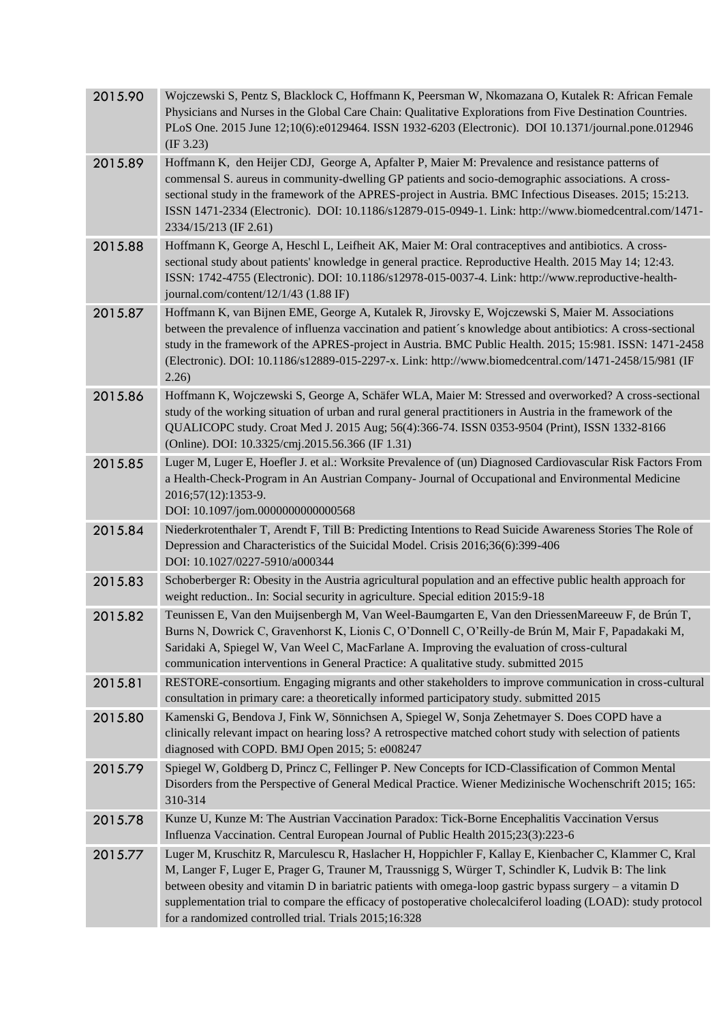| 2015.90 | Wojczewski S, Pentz S, Blacklock C, Hoffmann K, Peersman W, Nkomazana O, Kutalek R: African Female<br>Physicians and Nurses in the Global Care Chain: Qualitative Explorations from Five Destination Countries.<br>PLoS One. 2015 June 12;10(6):e0129464. ISSN 1932-6203 (Electronic). DOI 10.1371/journal.pone.012946<br>(IF 3.23)                                                                                                                                                                |
|---------|----------------------------------------------------------------------------------------------------------------------------------------------------------------------------------------------------------------------------------------------------------------------------------------------------------------------------------------------------------------------------------------------------------------------------------------------------------------------------------------------------|
| 2015.89 | Hoffmann K, den Heijer CDJ, George A, Apfalter P, Maier M: Prevalence and resistance patterns of<br>commensal S. aureus in community-dwelling GP patients and socio-demographic associations. A cross-<br>sectional study in the framework of the APRES-project in Austria. BMC Infectious Diseases. 2015; 15:213.<br>ISSN 1471-2334 (Electronic). DOI: 10.1186/s12879-015-0949-1. Link: http://www.biomedcentral.com/1471-<br>2334/15/213 (IF 2.61)                                               |
| 2015.88 | Hoffmann K, George A, Heschl L, Leifheit AK, Maier M: Oral contraceptives and antibiotics. A cross-<br>sectional study about patients' knowledge in general practice. Reproductive Health. 2015 May 14; 12:43.<br>ISSN: 1742-4755 (Electronic). DOI: 10.1186/s12978-015-0037-4. Link: http://www.reproductive-health-<br>journal.com/content/12/1/43 (1.88 IF)                                                                                                                                     |
| 2015.87 | Hoffmann K, van Bijnen EME, George A, Kutalek R, Jirovsky E, Wojczewski S, Maier M. Associations<br>between the prevalence of influenza vaccination and patient's knowledge about antibiotics: A cross-sectional<br>study in the framework of the APRES-project in Austria. BMC Public Health. 2015; 15:981. ISSN: 1471-2458<br>(Electronic). DOI: 10.1186/s12889-015-2297-x. Link: http://www.biomedcentral.com/1471-2458/15/981 (IF<br>2.26)                                                     |
| 2015.86 | Hoffmann K, Wojczewski S, George A, Schäfer WLA, Maier M: Stressed and overworked? A cross-sectional<br>study of the working situation of urban and rural general practitioners in Austria in the framework of the<br>QUALICOPC study. Croat Med J. 2015 Aug; 56(4):366-74. ISSN 0353-9504 (Print), ISSN 1332-8166<br>(Online). DOI: 10.3325/cmj.2015.56.366 (IF 1.31)                                                                                                                             |
| 2015.85 | Luger M, Luger E, Hoefler J. et al.: Worksite Prevalence of (un) Diagnosed Cardiovascular Risk Factors From<br>a Health-Check-Program in An Austrian Company- Journal of Occupational and Environmental Medicine<br>2016;57(12):1353-9.<br>DOI: 10.1097/jom.0000000000000568                                                                                                                                                                                                                       |
| 2015.84 | Niederkrotenthaler T, Arendt F, Till B: Predicting Intentions to Read Suicide Awareness Stories The Role of<br>Depression and Characteristics of the Suicidal Model. Crisis 2016;36(6):399-406<br>DOI: 10.1027/0227-5910/a000344                                                                                                                                                                                                                                                                   |
| 2015.83 | Schoberberger R: Obesity in the Austria agricultural population and an effective public health approach for<br>weight reduction In: Social security in agriculture. Special edition 2015:9-18                                                                                                                                                                                                                                                                                                      |
| 2015.82 | Teunissen E, Van den Muijsenbergh M, Van Weel-Baumgarten E, Van den DriessenMareeuw F, de Brún T,<br>Burns N, Dowrick C, Gravenhorst K, Lionis C, O'Donnell C, O'Reilly-de Brún M, Mair F, Papadakaki M,<br>Saridaki A, Spiegel W, Van Weel C, MacFarlane A. Improving the evaluation of cross-cultural<br>communication interventions in General Practice: A qualitative study. submitted 2015                                                                                                    |
| 2015.81 | RESTORE-consortium. Engaging migrants and other stakeholders to improve communication in cross-cultural<br>consultation in primary care: a theoretically informed participatory study. submitted 2015                                                                                                                                                                                                                                                                                              |
| 2015.80 | Kamenski G, Bendova J, Fink W, Sönnichsen A, Spiegel W, Sonja Zehetmayer S. Does COPD have a<br>clinically relevant impact on hearing loss? A retrospective matched cohort study with selection of patients<br>diagnosed with COPD. BMJ Open 2015; 5: e008247                                                                                                                                                                                                                                      |
| 2015.79 | Spiegel W, Goldberg D, Princz C, Fellinger P. New Concepts for ICD-Classification of Common Mental<br>Disorders from the Perspective of General Medical Practice. Wiener Medizinische Wochenschrift 2015; 165:<br>310-314                                                                                                                                                                                                                                                                          |
| 2015.78 | Kunze U, Kunze M: The Austrian Vaccination Paradox: Tick-Borne Encephalitis Vaccination Versus<br>Influenza Vaccination. Central European Journal of Public Health 2015;23(3):223-6                                                                                                                                                                                                                                                                                                                |
| 2015.77 | Luger M, Kruschitz R, Marculescu R, Haslacher H, Hoppichler F, Kallay E, Kienbacher C, Klammer C, Kral<br>M, Langer F, Luger E, Prager G, Trauner M, Traussnigg S, Würger T, Schindler K, Ludvik B: The link<br>between obesity and vitamin D in bariatric patients with omega-loop gastric bypass surgery – a vitamin D<br>supplementation trial to compare the efficacy of postoperative cholecalciferol loading (LOAD): study protocol<br>for a randomized controlled trial. Trials 2015;16:328 |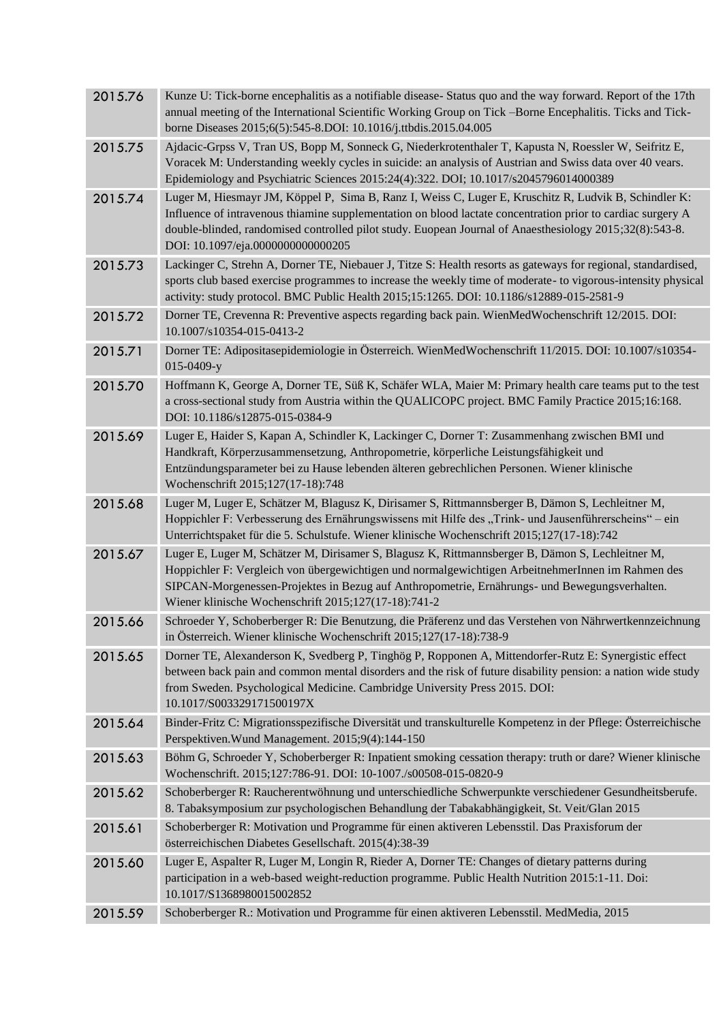|         | Voracek M: Understanding weekly cycles in suicide: an analysis of Austrian and Swiss data over 40 vears.<br>Epidemiology and Psychiatric Sciences 2015:24(4):322. DOI; 10.1017/s2045796014000389                                                                                                                                                                     |
|---------|----------------------------------------------------------------------------------------------------------------------------------------------------------------------------------------------------------------------------------------------------------------------------------------------------------------------------------------------------------------------|
| 2015.74 | Luger M, Hiesmayr JM, Köppel P, Sima B, Ranz I, Weiss C, Luger E, Kruschitz R, Ludvik B, Schindler K:<br>Influence of intravenous thiamine supplementation on blood lactate concentration prior to cardiac surgery A<br>double-blinded, randomised controlled pilot study. Euopean Journal of Anaesthesiology 2015;32(8):543-8.<br>DOI: 10.1097/eja.0000000000000205 |
| 2015.73 | Lackinger C, Strehn A, Dorner TE, Niebauer J, Titze S: Health resorts as gateways for regional, standardised,<br>sports club based exercise programmes to increase the weekly time of moderate- to vigorous-intensity physical<br>activity: study protocol. BMC Public Health 2015;15:1265. DOI: 10.1186/s12889-015-2581-9                                           |
| 2015.72 | Dorner TE, Crevenna R: Preventive aspects regarding back pain. WienMedWochenschrift 12/2015. DOI:<br>10.1007/s10354-015-0413-2                                                                                                                                                                                                                                       |
| 2015.71 | Dorner TE: Adipositasepidemiologie in Österreich. WienMedWochenschrift 11/2015. DOI: 10.1007/s10354-<br>$015 - 0409 - y$                                                                                                                                                                                                                                             |
| 2015.70 | Hoffmann K, George A, Dorner TE, Süß K, Schäfer WLA, Maier M: Primary health care teams put to the test<br>a cross-sectional study from Austria within the QUALICOPC project. BMC Family Practice 2015;16:168.<br>DOI: 10.1186/s12875-015-0384-9                                                                                                                     |
| 2015.69 | Luger E, Haider S, Kapan A, Schindler K, Lackinger C, Dorner T: Zusammenhang zwischen BMI und<br>Handkraft, Körperzusammensetzung, Anthropometrie, körperliche Leistungsfähigkeit und<br>Entzündungsparameter bei zu Hause lebenden älteren gebrechlichen Personen. Wiener klinische<br>Wochenschrift 2015;127(17-18):748                                            |
| 2015.68 | Luger M, Luger E, Schätzer M, Blagusz K, Dirisamer S, Rittmannsberger B, Dämon S, Lechleitner M,<br>Hoppichler F: Verbesserung des Ernährungswissens mit Hilfe des "Trink- und Jausenführerscheins" – ein<br>Unterrichtspaket für die 5. Schulstufe. Wiener klinische Wochenschrift 2015;127(17-18):742                                                              |
| 2015.67 | Luger E, Luger M, Schätzer M, Dirisamer S, Blagusz K, Rittmannsberger B, Dämon S, Lechleitner M,<br>Hoppichler F: Vergleich von übergewichtigen und normalgewichtigen ArbeitnehmerInnen im Rahmen des<br>SIPCAN-Morgenessen-Projektes in Bezug auf Anthropometrie, Ernährungs- und Bewegungsverhalten.<br>Wiener klinische Wochenschrift 2015;127(17-18):741-2       |
|         |                                                                                                                                                                                                                                                                                                                                                                      |
| 2015.66 | Schroeder Y, Schoberberger R: Die Benutzung, die Präferenz und das Verstehen von Nährwertkennzeichnung<br>in Österreich. Wiener klinische Wochenschrift 2015;127(17-18):738-9                                                                                                                                                                                        |
| 2015.65 | Dorner TE, Alexanderson K, Svedberg P, Tinghög P, Ropponen A, Mittendorfer-Rutz E: Synergistic effect<br>between back pain and common mental disorders and the risk of future disability pension: a nation wide study<br>from Sweden. Psychological Medicine. Cambridge University Press 2015. DOI:<br>10.1017/S003329171500197X                                     |
| 2015.64 | Binder-Fritz C: Migrationsspezifische Diversität und transkulturelle Kompetenz in der Pflege: Österreichische<br>Perspektiven. Wund Management. 2015;9(4):144-150                                                                                                                                                                                                    |
| 2015.63 | Böhm G, Schroeder Y, Schoberberger R: Inpatient smoking cessation therapy: truth or dare? Wiener klinische<br>Wochenschrift. 2015;127:786-91. DOI: 10-1007./s00508-015-0820-9                                                                                                                                                                                        |
| 2015.62 | Schoberberger R: Raucherentwöhnung und unterschiedliche Schwerpunkte verschiedener Gesundheitsberufe.<br>8. Tabaksymposium zur psychologischen Behandlung der Tabakabhängigkeit, St. Veit/Glan 2015                                                                                                                                                                  |
| 2015.61 | Schoberberger R: Motivation und Programme für einen aktiveren Lebensstil. Das Praxisforum der<br>österreichischen Diabetes Gesellschaft. 2015(4):38-39                                                                                                                                                                                                               |
| 2015.60 | Luger E, Aspalter R, Luger M, Longin R, Rieder A, Dorner TE: Changes of dietary patterns during<br>participation in a web-based weight-reduction programme. Public Health Nutrition 2015:1-11. Doi:<br>10.1017/S1368980015002852                                                                                                                                     |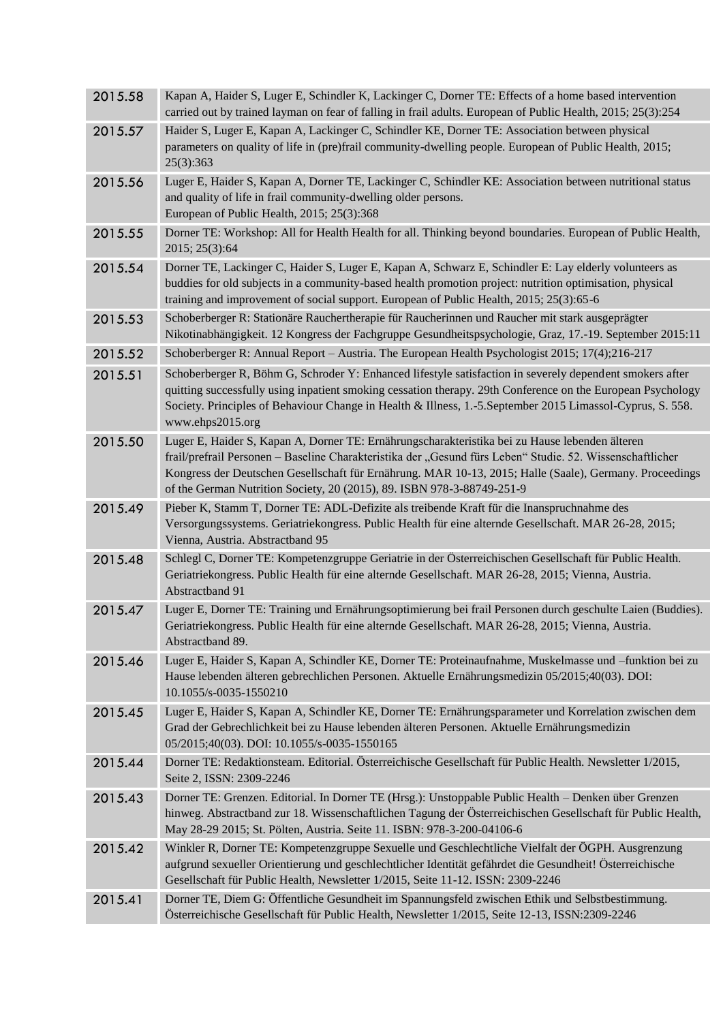| 2015.58 | Kapan A, Haider S, Luger E, Schindler K, Lackinger C, Dorner TE: Effects of a home based intervention<br>carried out by trained layman on fear of falling in frail adults. European of Public Health, 2015; 25(3):254                                                                                                                                                                            |
|---------|--------------------------------------------------------------------------------------------------------------------------------------------------------------------------------------------------------------------------------------------------------------------------------------------------------------------------------------------------------------------------------------------------|
| 2015.57 | Haider S, Luger E, Kapan A, Lackinger C, Schindler KE, Dorner TE: Association between physical<br>parameters on quality of life in (pre)frail community-dwelling people. European of Public Health, 2015;<br>25(3):363                                                                                                                                                                           |
| 2015.56 | Luger E, Haider S, Kapan A, Dorner TE, Lackinger C, Schindler KE: Association between nutritional status<br>and quality of life in frail community-dwelling older persons.<br>European of Public Health, 2015; 25(3):368                                                                                                                                                                         |
| 2015.55 | Dorner TE: Workshop: All for Health Health for all. Thinking beyond boundaries. European of Public Health,<br>2015; 25(3):64                                                                                                                                                                                                                                                                     |
| 2015.54 | Dorner TE, Lackinger C, Haider S, Luger E, Kapan A, Schwarz E, Schindler E: Lay elderly volunteers as<br>buddies for old subjects in a community-based health promotion project: nutrition optimisation, physical<br>training and improvement of social support. European of Public Health, 2015; 25(3):65-6                                                                                     |
| 2015.53 | Schoberberger R: Stationäre Rauchertherapie für Raucherinnen und Raucher mit stark ausgeprägter<br>Nikotinabhängigkeit. 12 Kongress der Fachgruppe Gesundheitspsychologie, Graz, 17.-19. September 2015:11                                                                                                                                                                                       |
| 2015.52 | Schoberberger R: Annual Report – Austria. The European Health Psychologist 2015; 17(4);216-217                                                                                                                                                                                                                                                                                                   |
| 2015.51 | Schoberberger R, Böhm G, Schroder Y: Enhanced lifestyle satisfaction in severely dependent smokers after<br>quitting successfully using inpatient smoking cessation therapy. 29th Conference on the European Psychology<br>Society. Principles of Behaviour Change in Health & Illness, 1.-5. September 2015 Limassol-Cyprus, S. 558.<br>www.ehps2015.org                                        |
| 2015.50 | Luger E, Haider S, Kapan A, Dorner TE: Ernährungscharakteristika bei zu Hause lebenden älteren<br>frail/prefrail Personen - Baseline Charakteristika der "Gesund fürs Leben" Studie. 52. Wissenschaftlicher<br>Kongress der Deutschen Gesellschaft für Ernährung. MAR 10-13, 2015; Halle (Saale), Germany. Proceedings<br>of the German Nutrition Society, 20 (2015), 89. ISBN 978-3-88749-251-9 |
| 2015.49 | Pieber K, Stamm T, Dorner TE: ADL-Defizite als treibende Kraft für die Inanspruchnahme des<br>Versorgungssystems. Geriatriekongress. Public Health für eine alternde Gesellschaft. MAR 26-28, 2015;<br>Vienna, Austria. Abstractband 95                                                                                                                                                          |
| 2015.48 | Schlegl C, Dorner TE: Kompetenzgruppe Geriatrie in der Österreichischen Gesellschaft für Public Health.<br>Geriatriekongress. Public Health für eine alternde Gesellschaft. MAR 26-28, 2015; Vienna, Austria.<br>Abstractband 91                                                                                                                                                                 |
| 2015.47 | Luger E, Dorner TE: Training und Ernährungsoptimierung bei frail Personen durch geschulte Laien (Buddies).<br>Geriatriekongress. Public Health für eine alternde Gesellschaft. MAR 26-28, 2015; Vienna, Austria.<br>Abstractband 89.                                                                                                                                                             |
| 2015.46 | Luger E, Haider S, Kapan A, Schindler KE, Dorner TE: Proteinaufnahme, Muskelmasse und -funktion bei zu<br>Hause lebenden älteren gebrechlichen Personen. Aktuelle Ernährungsmedizin 05/2015;40(03). DOI:<br>10.1055/s-0035-1550210                                                                                                                                                               |
| 2015.45 | Luger E, Haider S, Kapan A, Schindler KE, Dorner TE: Ernährungsparameter und Korrelation zwischen dem<br>Grad der Gebrechlichkeit bei zu Hause lebenden älteren Personen. Aktuelle Ernährungsmedizin<br>05/2015;40(03). DOI: 10.1055/s-0035-1550165                                                                                                                                              |
| 2015.44 | Dorner TE: Redaktionsteam. Editorial. Österreichische Gesellschaft für Public Health. Newsletter 1/2015,<br>Seite 2, ISSN: 2309-2246                                                                                                                                                                                                                                                             |
| 2015.43 | Dorner TE: Grenzen. Editorial. In Dorner TE (Hrsg.): Unstoppable Public Health - Denken über Grenzen<br>hinweg. Abstractband zur 18. Wissenschaftlichen Tagung der Österreichischen Gesellschaft für Public Health,<br>May 28-29 2015; St. Pölten, Austria. Seite 11. ISBN: 978-3-200-04106-6                                                                                                    |
| 2015.42 | Winkler R, Dorner TE: Kompetenzgruppe Sexuelle und Geschlechtliche Vielfalt der ÖGPH. Ausgrenzung<br>aufgrund sexueller Orientierung und geschlechtlicher Identität gefährdet die Gesundheit! Österreichische<br>Gesellschaft für Public Health, Newsletter 1/2015, Seite 11-12. ISSN: 2309-2246                                                                                                 |
| 2015.41 | Dorner TE, Diem G: Öffentliche Gesundheit im Spannungsfeld zwischen Ethik und Selbstbestimmung.<br>Österreichische Gesellschaft für Public Health, Newsletter 1/2015, Seite 12-13, ISSN:2309-2246                                                                                                                                                                                                |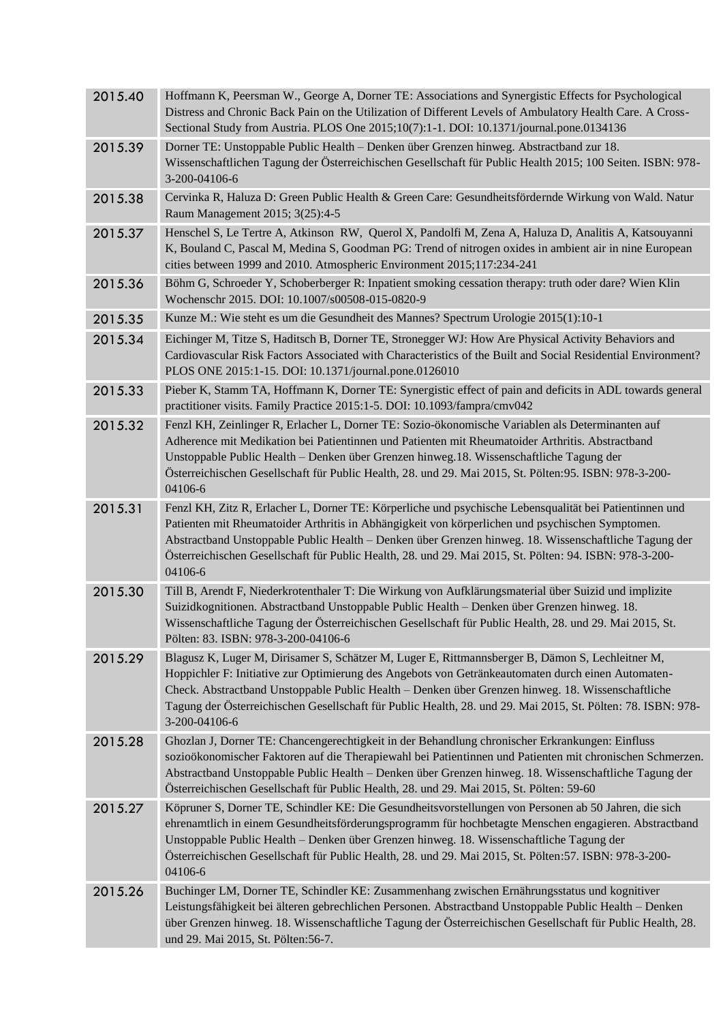| 2015.40 | Hoffmann K, Peersman W., George A, Dorner TE: Associations and Synergistic Effects for Psychological<br>Distress and Chronic Back Pain on the Utilization of Different Levels of Ambulatory Health Care. A Cross-                                                                                                                                                                                                                            |
|---------|----------------------------------------------------------------------------------------------------------------------------------------------------------------------------------------------------------------------------------------------------------------------------------------------------------------------------------------------------------------------------------------------------------------------------------------------|
|         | Sectional Study from Austria. PLOS One 2015;10(7):1-1. DOI: 10.1371/journal.pone.0134136                                                                                                                                                                                                                                                                                                                                                     |
| 2015.39 | Dorner TE: Unstoppable Public Health - Denken über Grenzen hinweg. Abstractband zur 18.<br>Wissenschaftlichen Tagung der Österreichischen Gesellschaft für Public Health 2015; 100 Seiten. ISBN: 978-<br>3-200-04106-6                                                                                                                                                                                                                       |
| 2015.38 | Cervinka R, Haluza D: Green Public Health & Green Care: Gesundheitsfördernde Wirkung von Wald. Natur<br>Raum Management 2015; 3(25):4-5                                                                                                                                                                                                                                                                                                      |
| 2015.37 | Henschel S, Le Tertre A, Atkinson RW, Querol X, Pandolfi M, Zena A, Haluza D, Analitis A, Katsouyanni<br>K, Bouland C, Pascal M, Medina S, Goodman PG: Trend of nitrogen oxides in ambient air in nine European<br>cities between 1999 and 2010. Atmospheric Environment 2015;117:234-241                                                                                                                                                    |
| 2015.36 | Böhm G, Schroeder Y, Schoberberger R: Inpatient smoking cessation therapy: truth oder dare? Wien Klin<br>Wochenschr 2015. DOI: 10.1007/s00508-015-0820-9                                                                                                                                                                                                                                                                                     |
| 2015.35 | Kunze M.: Wie steht es um die Gesundheit des Mannes? Spectrum Urologie 2015(1):10-1                                                                                                                                                                                                                                                                                                                                                          |
| 2015.34 | Eichinger M, Titze S, Haditsch B, Dorner TE, Stronegger WJ: How Are Physical Activity Behaviors and<br>Cardiovascular Risk Factors Associated with Characteristics of the Built and Social Residential Environment?<br>PLOS ONE 2015:1-15. DOI: 10.1371/journal.pone.0126010                                                                                                                                                                 |
| 2015.33 | Pieber K, Stamm TA, Hoffmann K, Dorner TE: Synergistic effect of pain and deficits in ADL towards general<br>practitioner visits. Family Practice 2015:1-5. DOI: 10.1093/fampra/cmv042                                                                                                                                                                                                                                                       |
| 2015.32 | Fenzl KH, Zeinlinger R, Erlacher L, Dorner TE: Sozio-ökonomische Variablen als Determinanten auf<br>Adherence mit Medikation bei Patientinnen und Patienten mit Rheumatoider Arthritis. Abstractband<br>Unstoppable Public Health - Denken über Grenzen hinweg. 18. Wissenschaftliche Tagung der<br>Österreichischen Gesellschaft für Public Health, 28. und 29. Mai 2015, St. Pölten: 95. ISBN: 978-3-200-<br>04106-6                       |
| 2015.31 | Fenzl KH, Zitz R, Erlacher L, Dorner TE: Körperliche und psychische Lebensqualität bei Patientinnen und<br>Patienten mit Rheumatoider Arthritis in Abhängigkeit von körperlichen und psychischen Symptomen.<br>Abstractband Unstoppable Public Health - Denken über Grenzen hinweg. 18. Wissenschaftliche Tagung der<br>Österreichischen Gesellschaft für Public Health, 28. und 29. Mai 2015, St. Pölten: 94. ISBN: 978-3-200-<br>04106-6   |
| 2015.30 | Till B, Arendt F, Niederkrotenthaler T: Die Wirkung von Aufklärungsmaterial über Suizid und implizite<br>Suizidkognitionen. Abstractband Unstoppable Public Health - Denken über Grenzen hinweg. 18.<br>Wissenschaftliche Tagung der Österreichischen Gesellschaft für Public Health, 28. und 29. Mai 2015, St.<br>Pölten: 83. ISBN: 978-3-200-04106-6                                                                                       |
| 2015.29 | Blagusz K, Luger M, Dirisamer S, Schätzer M, Luger E, Rittmannsberger B, Dämon S, Lechleitner M,<br>Hoppichler F: Initiative zur Optimierung des Angebots von Getränkeautomaten durch einen Automaten-<br>Check. Abstractband Unstoppable Public Health - Denken über Grenzen hinweg. 18. Wissenschaftliche<br>Tagung der Österreichischen Gesellschaft für Public Health, 28. und 29. Mai 2015, St. Pölten: 78. ISBN: 978-<br>3-200-04106-6 |
| 2015.28 | Ghozlan J, Dorner TE: Chancengerechtigkeit in der Behandlung chronischer Erkrankungen: Einfluss<br>sozioökonomischer Faktoren auf die Therapiewahl bei Patientinnen und Patienten mit chronischen Schmerzen.<br>Abstractband Unstoppable Public Health - Denken über Grenzen hinweg. 18. Wissenschaftliche Tagung der<br>Österreichischen Gesellschaft für Public Health, 28. und 29. Mai 2015, St. Pölten: 59-60                            |
| 2015.27 | Köpruner S, Dorner TE, Schindler KE: Die Gesundheitsvorstellungen von Personen ab 50 Jahren, die sich<br>ehrenamtlich in einem Gesundheitsförderungsprogramm für hochbetagte Menschen engagieren. Abstractband<br>Unstoppable Public Health - Denken über Grenzen hinweg. 18. Wissenschaftliche Tagung der<br>Österreichischen Gesellschaft für Public Health, 28. und 29. Mai 2015, St. Pölten: 57. ISBN: 978-3-200-<br>04106-6             |
| 2015.26 | Buchinger LM, Dorner TE, Schindler KE: Zusammenhang zwischen Ernährungsstatus und kognitiver<br>Leistungsfähigkeit bei älteren gebrechlichen Personen. Abstractband Unstoppable Public Health - Denken<br>über Grenzen hinweg. 18. Wissenschaftliche Tagung der Österreichischen Gesellschaft für Public Health, 28.<br>und 29. Mai 2015, St. Pölten:56-7.                                                                                   |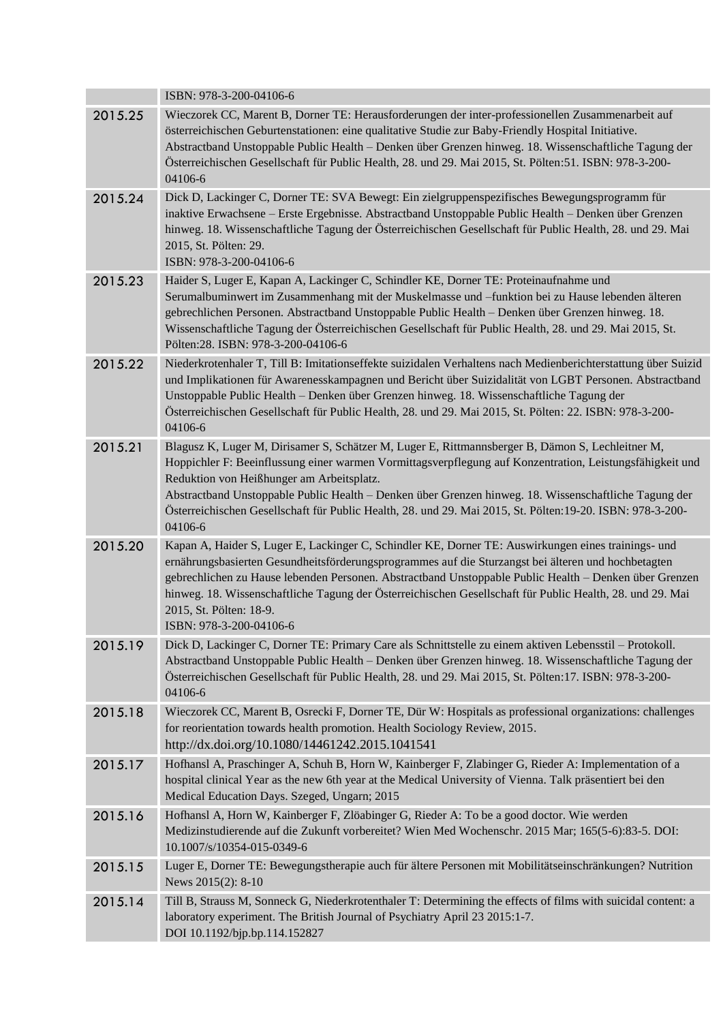|         | ISBN: 978-3-200-04106-6                                                                                                                                                                                                                                                                                                                                                                                                                                                                     |
|---------|---------------------------------------------------------------------------------------------------------------------------------------------------------------------------------------------------------------------------------------------------------------------------------------------------------------------------------------------------------------------------------------------------------------------------------------------------------------------------------------------|
| 2015.25 | Wieczorek CC, Marent B, Dorner TE: Herausforderungen der inter-professionellen Zusammenarbeit auf<br>österreichischen Geburtenstationen: eine qualitative Studie zur Baby-Friendly Hospital Initiative.<br>Abstractband Unstoppable Public Health - Denken über Grenzen hinweg. 18. Wissenschaftliche Tagung der<br>Österreichischen Gesellschaft für Public Health, 28. und 29. Mai 2015, St. Pölten: 51. ISBN: 978-3-200-<br>04106-6                                                      |
| 2015.24 | Dick D, Lackinger C, Dorner TE: SVA Bewegt: Ein zielgruppenspezifisches Bewegungsprogramm für<br>inaktive Erwachsene - Erste Ergebnisse. Abstractband Unstoppable Public Health - Denken über Grenzen<br>hinweg. 18. Wissenschaftliche Tagung der Österreichischen Gesellschaft für Public Health, 28. und 29. Mai<br>2015, St. Pölten: 29.<br>ISBN: 978-3-200-04106-6                                                                                                                      |
| 2015.23 | Haider S, Luger E, Kapan A, Lackinger C, Schindler KE, Dorner TE: Proteinaufnahme und<br>Serumalbuminwert im Zusammenhang mit der Muskelmasse und -funktion bei zu Hause lebenden älteren<br>gebrechlichen Personen. Abstractband Unstoppable Public Health - Denken über Grenzen hinweg. 18.<br>Wissenschaftliche Tagung der Österreichischen Gesellschaft für Public Health, 28. und 29. Mai 2015, St.<br>Pölten:28. ISBN: 978-3-200-04106-6                                              |
| 2015.22 | Niederkrotenhaler T, Till B: Imitationseffekte suizidalen Verhaltens nach Medienberichterstattung über Suizid<br>und Implikationen für Awarenesskampagnen und Bericht über Suizidalität von LGBT Personen. Abstractband<br>Unstoppable Public Health - Denken über Grenzen hinweg. 18. Wissenschaftliche Tagung der<br>Österreichischen Gesellschaft für Public Health, 28. und 29. Mai 2015, St. Pölten: 22. ISBN: 978-3-200-<br>04106-6                                                   |
| 2015.21 | Blagusz K, Luger M, Dirisamer S, Schätzer M, Luger E, Rittmannsberger B, Dämon S, Lechleitner M,<br>Hoppichler F: Beeinflussung einer warmen Vormittagsverpflegung auf Konzentration, Leistungsfähigkeit und<br>Reduktion von Heißhunger am Arbeitsplatz.<br>Abstractband Unstoppable Public Health - Denken über Grenzen hinweg. 18. Wissenschaftliche Tagung der<br>Österreichischen Gesellschaft für Public Health, 28. und 29. Mai 2015, St. Pölten: 19-20. ISBN: 978-3-200-<br>04106-6 |
| 2015.20 | Kapan A, Haider S, Luger E, Lackinger C, Schindler KE, Dorner TE: Auswirkungen eines trainings- und<br>ernährungsbasierten Gesundheitsförderungsprogrammes auf die Sturzangst bei älteren und hochbetagten<br>gebrechlichen zu Hause lebenden Personen. Abstractband Unstoppable Public Health - Denken über Grenzen<br>hinweg. 18. Wissenschaftliche Tagung der Österreichischen Gesellschaft für Public Health, 28. und 29. Mai<br>2015, St. Pölten: 18-9.<br>ISBN: 978-3-200-04106-6     |
| 2015.19 | Dick D, Lackinger C, Dorner TE: Primary Care als Schnittstelle zu einem aktiven Lebensstil – Protokoll.<br>Abstractband Unstoppable Public Health - Denken über Grenzen hinweg. 18. Wissenschaftliche Tagung der<br>Österreichischen Gesellschaft für Public Health, 28. und 29. Mai 2015, St. Pölten: 17. ISBN: 978-3-200-<br>04106-6                                                                                                                                                      |
| 2015.18 | Wieczorek CC, Marent B, Osrecki F, Dorner TE, Dür W: Hospitals as professional organizations: challenges<br>for reorientation towards health promotion. Health Sociology Review, 2015.<br>http://dx.doi.org/10.1080/14461242.2015.1041541                                                                                                                                                                                                                                                   |
| 2015.17 | Hofhansl A, Praschinger A, Schuh B, Horn W, Kainberger F, Zlabinger G, Rieder A: Implementation of a<br>hospital clinical Year as the new 6th year at the Medical University of Vienna. Talk präsentiert bei den<br>Medical Education Days. Szeged, Ungarn; 2015                                                                                                                                                                                                                            |
| 2015.16 | Hofhansl A, Horn W, Kainberger F, Zlöabinger G, Rieder A: To be a good doctor. Wie werden<br>Medizinstudierende auf die Zukunft vorbereitet? Wien Med Wochenschr. 2015 Mar; 165(5-6):83-5. DOI:<br>10.1007/s/10354-015-0349-6                                                                                                                                                                                                                                                               |
| 2015.15 | Luger E, Dorner TE: Bewegungstherapie auch für ältere Personen mit Mobilitätseinschränkungen? Nutrition<br>News 2015(2): 8-10                                                                                                                                                                                                                                                                                                                                                               |
| 2015.14 | Till B, Strauss M, Sonneck G, Niederkrotenthaler T: Determining the effects of films with suicidal content: a<br>laboratory experiment. The British Journal of Psychiatry April 23 2015:1-7.<br>DOI 10.1192/bjp.bp.114.152827                                                                                                                                                                                                                                                               |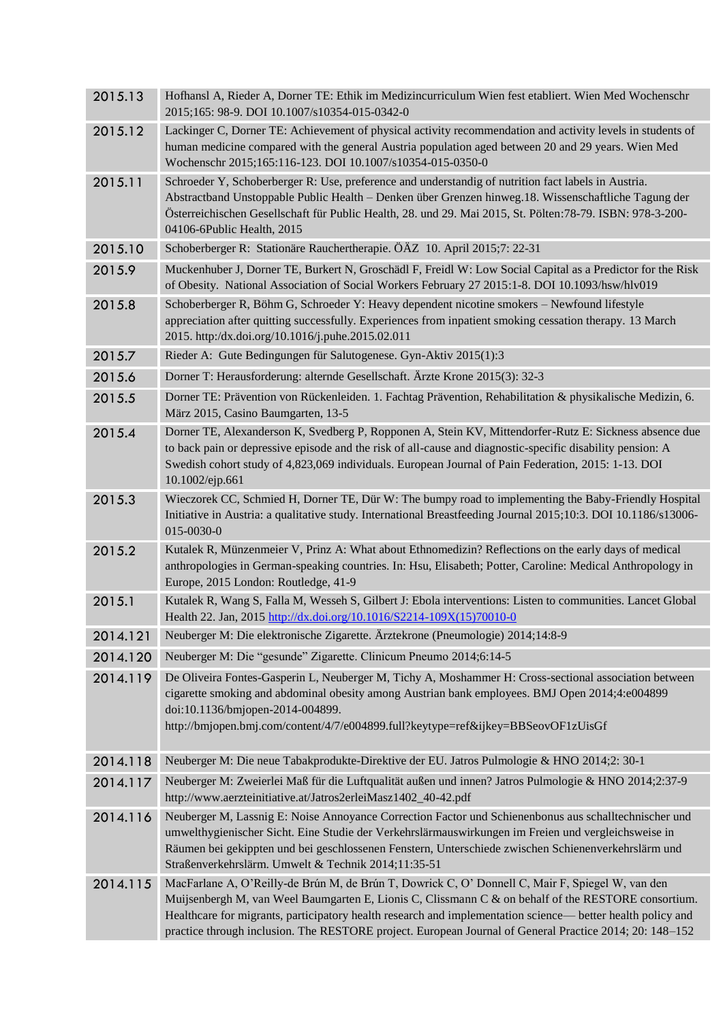| 2015.13  | Hofhansl A, Rieder A, Dorner TE: Ethik im Medizincurriculum Wien fest etabliert. Wien Med Wochenschr<br>2015;165: 98-9. DOI 10.1007/s10354-015-0342-0                                                                                                                                                                                                                                                                            |
|----------|----------------------------------------------------------------------------------------------------------------------------------------------------------------------------------------------------------------------------------------------------------------------------------------------------------------------------------------------------------------------------------------------------------------------------------|
| 2015.12  | Lackinger C, Dorner TE: Achievement of physical activity recommendation and activity levels in students of<br>human medicine compared with the general Austria population aged between 20 and 29 years. Wien Med<br>Wochenschr 2015;165:116-123. DOI 10.1007/s10354-015-0350-0                                                                                                                                                   |
| 2015.11  | Schroeder Y, Schoberberger R: Use, preference and understandig of nutrition fact labels in Austria.<br>Abstractband Unstoppable Public Health - Denken über Grenzen hinweg.18. Wissenschaftliche Tagung der<br>Österreichischen Gesellschaft für Public Health, 28. und 29. Mai 2015, St. Pölten: 78-79. ISBN: 978-3-200-<br>04106-6Public Health, 2015                                                                          |
| 2015.10  | Schoberberger R: Stationäre Rauchertherapie. ÖÄZ 10. April 2015;7: 22-31                                                                                                                                                                                                                                                                                                                                                         |
| 2015.9   | Muckenhuber J, Dorner TE, Burkert N, Groschädl F, Freidl W: Low Social Capital as a Predictor for the Risk<br>of Obesity. National Association of Social Workers February 27 2015:1-8. DOI 10.1093/hsw/hlv019                                                                                                                                                                                                                    |
| 2015.8   | Schoberberger R, Böhm G, Schroeder Y: Heavy dependent nicotine smokers - Newfound lifestyle<br>appreciation after quitting successfully. Experiences from inpatient smoking cessation therapy. 13 March<br>2015. http:/dx.doi.org/10.1016/j.puhe.2015.02.011                                                                                                                                                                     |
| 2015.7   | Rieder A: Gute Bedingungen für Salutogenese. Gyn-Aktiv 2015(1):3                                                                                                                                                                                                                                                                                                                                                                 |
| 2015.6   | Dorner T: Herausforderung: alternde Gesellschaft. Ärzte Krone 2015(3): 32-3                                                                                                                                                                                                                                                                                                                                                      |
| 2015.5   | Dorner TE: Prävention von Rückenleiden. 1. Fachtag Prävention, Rehabilitation & physikalische Medizin, 6.<br>März 2015, Casino Baumgarten, 13-5                                                                                                                                                                                                                                                                                  |
| 2015.4   | Dorner TE, Alexanderson K, Svedberg P, Ropponen A, Stein KV, Mittendorfer-Rutz E: Sickness absence due<br>to back pain or depressive episode and the risk of all-cause and diagnostic-specific disability pension: A<br>Swedish cohort study of 4,823,069 individuals. European Journal of Pain Federation, 2015: 1-13. DOI<br>10.1002/ejp.661                                                                                   |
| 2015.3   | Wieczorek CC, Schmied H, Dorner TE, Dür W: The bumpy road to implementing the Baby-Friendly Hospital<br>Initiative in Austria: a qualitative study. International Breastfeeding Journal 2015;10:3. DOI 10.1186/s13006-<br>015-0030-0                                                                                                                                                                                             |
| 2015.2   | Kutalek R, Münzenmeier V, Prinz A: What about Ethnomedizin? Reflections on the early days of medical<br>anthropologies in German-speaking countries. In: Hsu, Elisabeth; Potter, Caroline: Medical Anthropology in<br>Europe, 2015 London: Routledge, 41-9                                                                                                                                                                       |
| 2015.1   | Kutalek R, Wang S, Falla M, Wesseh S, Gilbert J: Ebola interventions: Listen to communities. Lancet Global<br>Health 22. Jan, 2015 http://dx.doi.org/10.1016/S2214-109X(15)70010-0                                                                                                                                                                                                                                               |
| 2014.121 | Neuberger M: Die elektronische Zigarette. Ärztekrone (Pneumologie) 2014;14:8-9                                                                                                                                                                                                                                                                                                                                                   |
| 2014.120 | Neuberger M: Die "gesunde" Zigarette. Clinicum Pneumo 2014;6:14-5                                                                                                                                                                                                                                                                                                                                                                |
| 2014.119 | De Oliveira Fontes-Gasperin L, Neuberger M, Tichy A, Moshammer H: Cross-sectional association between<br>cigarette smoking and abdominal obesity among Austrian bank employees. BMJ Open 2014;4:e004899<br>doi:10.1136/bmjopen-2014-004899.<br>http://bmjopen.bmj.com/content/4/7/e004899.full?keytype=ref&ijkey=BBSeovOF1zUisGf                                                                                                 |
| 2014.118 | Neuberger M: Die neue Tabakprodukte-Direktive der EU. Jatros Pulmologie & HNO 2014;2: 30-1                                                                                                                                                                                                                                                                                                                                       |
| 2014.117 | Neuberger M: Zweierlei Maß für die Luftqualität außen und innen? Jatros Pulmologie & HNO 2014;2:37-9<br>http://www.aerzteinitiative.at/Jatros2erleiMasz1402_40-42.pdf                                                                                                                                                                                                                                                            |
| 2014.116 | Neuberger M, Lassnig E: Noise Annoyance Correction Factor und Schienenbonus aus schalltechnischer und<br>umwelthygienischer Sicht. Eine Studie der Verkehrslärmauswirkungen im Freien und vergleichsweise in<br>Räumen bei gekippten und bei geschlossenen Fenstern, Unterschiede zwischen Schienenverkehrslärm und<br>Straßenverkehrslärm. Umwelt & Technik 2014;11:35-51                                                       |
| 2014.115 | MacFarlane A, O'Reilly-de Brún M, de Brún T, Dowrick C, O'Donnell C, Mair F, Spiegel W, van den<br>Muijsenbergh M, van Weel Baumgarten E, Lionis C, Clissmann C & on behalf of the RESTORE consortium.<br>Healthcare for migrants, participatory health research and implementation science— better health policy and<br>practice through inclusion. The RESTORE project. European Journal of General Practice 2014; 20: 148-152 |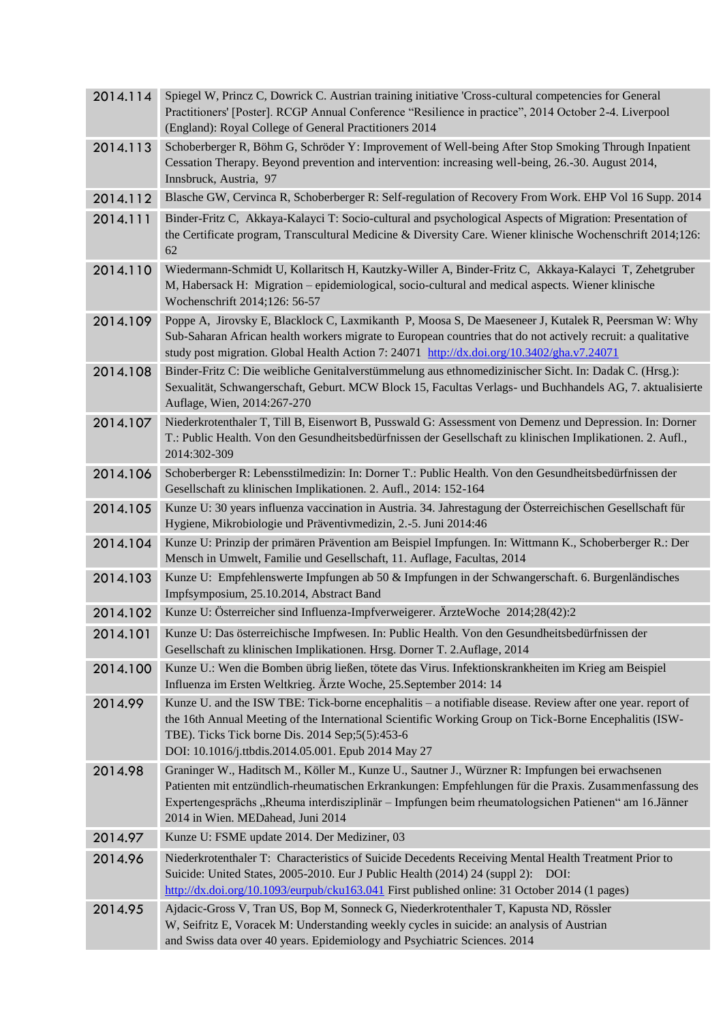| 2014.114 | Spiegel W, Princz C, Dowrick C. Austrian training initiative 'Cross-cultural competencies for General<br>Practitioners' [Poster]. RCGP Annual Conference "Resilience in practice", 2014 October 2-4. Liverpool<br>(England): Royal College of General Practitioners 2014                                                                                |
|----------|---------------------------------------------------------------------------------------------------------------------------------------------------------------------------------------------------------------------------------------------------------------------------------------------------------------------------------------------------------|
| 2014.113 | Schoberberger R, Böhm G, Schröder Y: Improvement of Well-being After Stop Smoking Through Inpatient<br>Cessation Therapy. Beyond prevention and intervention: increasing well-being, 26.-30. August 2014,<br>Innsbruck, Austria, 97                                                                                                                     |
| 2014.112 | Blasche GW, Cervinca R, Schoberberger R: Self-regulation of Recovery From Work. EHP Vol 16 Supp. 2014                                                                                                                                                                                                                                                   |
| 2014.111 | Binder-Fritz C, Akkaya-Kalayci T: Socio-cultural and psychological Aspects of Migration: Presentation of<br>the Certificate program, Transcultural Medicine & Diversity Care. Wiener klinische Wochenschrift 2014;126:<br>62                                                                                                                            |
| 2014.110 | Wiedermann-Schmidt U, Kollaritsch H, Kautzky-Willer A, Binder-Fritz C, Akkaya-Kalayci T, Zehetgruber<br>M, Habersack H: Migration - epidemiological, socio-cultural and medical aspects. Wiener klinische<br>Wochenschrift 2014;126: 56-57                                                                                                              |
| 2014.109 | Poppe A, Jirovsky E, Blacklock C, Laxmikanth P, Moosa S, De Maeseneer J, Kutalek R, Peersman W: Why<br>Sub-Saharan African health workers migrate to European countries that do not actively recruit: a qualitative<br>study post migration. Global Health Action 7: 24071 http://dx.doi.org/10.3402/gha.v7.24071                                       |
| 2014.108 | Binder-Fritz C: Die weibliche Genitalverstümmelung aus ethnomedizinischer Sicht. In: Dadak C. (Hrsg.):<br>Sexualität, Schwangerschaft, Geburt. MCW Block 15, Facultas Verlags- und Buchhandels AG, 7. aktualisierte<br>Auflage, Wien, 2014:267-270                                                                                                      |
| 2014.107 | Niederkrotenthaler T, Till B, Eisenwort B, Pusswald G: Assessment von Demenz und Depression. In: Dorner<br>T.: Public Health. Von den Gesundheitsbedürfnissen der Gesellschaft zu klinischen Implikationen. 2. Aufl.,<br>2014:302-309                                                                                                                   |
| 2014.106 | Schoberberger R: Lebensstilmedizin: In: Dorner T.: Public Health. Von den Gesundheitsbedürfnissen der<br>Gesellschaft zu klinischen Implikationen. 2. Aufl., 2014: 152-164                                                                                                                                                                              |
| 2014.105 | Kunze U: 30 years influenza vaccination in Austria. 34. Jahrestagung der Österreichischen Gesellschaft für<br>Hygiene, Mikrobiologie und Präventivmedizin, 2.-5. Juni 2014:46                                                                                                                                                                           |
| 2014.104 | Kunze U: Prinzip der primären Prävention am Beispiel Impfungen. In: Wittmann K., Schoberberger R.: Der<br>Mensch in Umwelt, Familie und Gesellschaft, 11. Auflage, Facultas, 2014                                                                                                                                                                       |
| 2014.103 | Kunze U: Empfehlenswerte Impfungen ab 50 & Impfungen in der Schwangerschaft. 6. Burgenländisches<br>Impfsymposium, 25.10.2014, Abstract Band                                                                                                                                                                                                            |
| 2014.102 | Kunze U: Österreicher sind Influenza-Impfverweigerer. ÄrzteWoche 2014;28(42):2                                                                                                                                                                                                                                                                          |
| 2014.101 | Kunze U: Das österreichische Impfwesen. In: Public Health. Von den Gesundheitsbedürfnissen der<br>Gesellschaft zu klinischen Implikationen. Hrsg. Dorner T. 2.Auflage, 2014                                                                                                                                                                             |
| 2014.100 | Kunze U.: Wen die Bomben übrig ließen, tötete das Virus. Infektionskrankheiten im Krieg am Beispiel<br>Influenza im Ersten Weltkrieg. Ärzte Woche, 25. September 2014: 14                                                                                                                                                                               |
| 2014.99  | Kunze U. and the ISW TBE: Tick-borne encephalitis – a notifiable disease. Review after one year. report of<br>the 16th Annual Meeting of the International Scientific Working Group on Tick-Borne Encephalitis (ISW-<br>TBE). Ticks Tick borne Dis. 2014 Sep;5(5):453-6<br>DOI: 10.1016/j.ttbdis.2014.05.001. Epub 2014 May 27                          |
| 2014.98  | Graninger W., Haditsch M., Köller M., Kunze U., Sautner J., Würzner R: Impfungen bei erwachsenen<br>Patienten mit entzündlich-rheumatischen Erkrankungen: Empfehlungen für die Praxis. Zusammenfassung des<br>Expertengesprächs "Rheuma interdisziplinär – Impfungen beim rheumatologsichen Patienen" am 16.Jänner<br>2014 in Wien. MEDahead, Juni 2014 |
| 2014.97  | Kunze U: FSME update 2014. Der Mediziner, 03                                                                                                                                                                                                                                                                                                            |
| 2014.96  | Niederkrotenthaler T: Characteristics of Suicide Decedents Receiving Mental Health Treatment Prior to<br>Suicide: United States, 2005-2010. Eur J Public Health (2014) 24 (suppl 2): DOI:<br>http://dx.doi.org/10.1093/eurpub/cku163.041 First published online: 31 October 2014 (1 pages)                                                              |
| 2014.95  | Ajdacic-Gross V, Tran US, Bop M, Sonneck G, Niederkrotenthaler T, Kapusta ND, Rössler<br>W, Seifritz E, Voracek M: Understanding weekly cycles in suicide: an analysis of Austrian<br>and Swiss data over 40 years. Epidemiology and Psychiatric Sciences. 2014                                                                                         |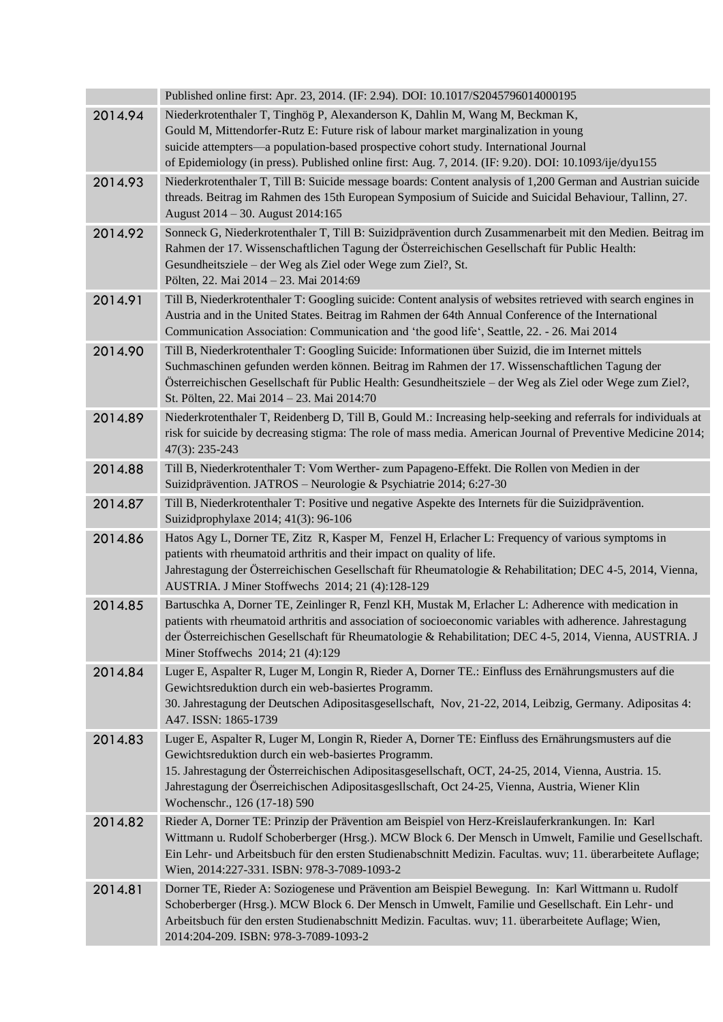|         | Published online first: Apr. 23, 2014. (IF: 2.94). DOI: 10.1017/S2045796014000195                                                                                                                                                                                                                                                                                                                     |
|---------|-------------------------------------------------------------------------------------------------------------------------------------------------------------------------------------------------------------------------------------------------------------------------------------------------------------------------------------------------------------------------------------------------------|
| 2014.94 | Niederkrotenthaler T, Tinghög P, Alexanderson K, Dahlin M, Wang M, Beckman K,<br>Gould M, Mittendorfer-Rutz E: Future risk of labour market marginalization in young<br>suicide attempters-a population-based prospective cohort study. International Journal<br>of Epidemiology (in press). Published online first: Aug. 7, 2014. (IF: 9.20). DOI: 10.1093/ije/dyu155                                |
| 2014.93 | Niederkrotenthaler T, Till B: Suicide message boards: Content analysis of 1,200 German and Austrian suicide<br>threads. Beitrag im Rahmen des 15th European Symposium of Suicide and Suicidal Behaviour, Tallinn, 27.<br>August 2014 - 30. August 2014:165                                                                                                                                            |
| 2014.92 | Sonneck G, Niederkrotenthaler T, Till B: Suizidprävention durch Zusammenarbeit mit den Medien. Beitrag im<br>Rahmen der 17. Wissenschaftlichen Tagung der Österreichischen Gesellschaft für Public Health:<br>Gesundheitsziele – der Weg als Ziel oder Wege zum Ziel?, St.<br>Pölten, 22. Mai 2014 - 23. Mai 2014:69                                                                                  |
| 2014.91 | Till B, Niederkrotenthaler T: Googling suicide: Content analysis of websites retrieved with search engines in<br>Austria and in the United States. Beitrag im Rahmen der 64th Annual Conference of the International<br>Communication Association: Communication and 'the good life', Seattle, 22. - 26. Mai 2014                                                                                     |
| 2014.90 | Till B, Niederkrotenthaler T: Googling Suicide: Informationen über Suizid, die im Internet mittels<br>Suchmaschinen gefunden werden können. Beitrag im Rahmen der 17. Wissenschaftlichen Tagung der<br>Österreichischen Gesellschaft für Public Health: Gesundheitsziele – der Weg als Ziel oder Wege zum Ziel?,<br>St. Pölten, 22. Mai 2014 - 23. Mai 2014:70                                        |
| 2014.89 | Niederkrotenthaler T, Reidenberg D, Till B, Gould M.: Increasing help-seeking and referrals for individuals at<br>risk for suicide by decreasing stigma: The role of mass media. American Journal of Preventive Medicine 2014;<br>$47(3): 235-243$                                                                                                                                                    |
| 2014.88 | Till B, Niederkrotenthaler T: Vom Werther- zum Papageno-Effekt. Die Rollen von Medien in der<br>Suizidprävention. JATROS - Neurologie & Psychiatrie 2014; 6:27-30                                                                                                                                                                                                                                     |
| 2014.87 | Till B, Niederkrotenthaler T: Positive und negative Aspekte des Internets für die Suizidprävention.<br>Suizidprophylaxe 2014; 41(3): 96-106                                                                                                                                                                                                                                                           |
| 2014.86 | Hatos Agy L, Dorner TE, Zitz R, Kasper M, Fenzel H, Erlacher L: Frequency of various symptoms in<br>patients with rheumatoid arthritis and their impact on quality of life.<br>Jahrestagung der Österreichischen Gesellschaft für Rheumatologie & Rehabilitation; DEC 4-5, 2014, Vienna,<br>AUSTRIA. J Miner Stoffwechs 2014; 21 (4):128-129                                                          |
| 2014.85 | Bartuschka A, Dorner TE, Zeinlinger R, Fenzl KH, Mustak M, Erlacher L: Adherence with medication in<br>patients with rheumatoid arthritis and association of socioeconomic variables with adherence. Jahrestagung<br>der Österreichischen Gesellschaft für Rheumatologie & Rehabilitation; DEC 4-5, 2014, Vienna, AUSTRIA. J<br>Miner Stoffwechs 2014; 21 (4):129                                     |
| 2014.84 | Luger E, Aspalter R, Luger M, Longin R, Rieder A, Dorner TE.: Einfluss des Ernährungsmusters auf die<br>Gewichtsreduktion durch ein web-basiertes Programm.<br>30. Jahrestagung der Deutschen Adipositasgesellschaft, Nov, 21-22, 2014, Leibzig, Germany. Adipositas 4:<br>A47. ISSN: 1865-1739                                                                                                       |
| 2014.83 | Luger E, Aspalter R, Luger M, Longin R, Rieder A, Dorner TE: Einfluss des Ernährungsmusters auf die<br>Gewichtsreduktion durch ein web-basiertes Programm.<br>15. Jahrestagung der Österreichischen Adipositasgesellschaft, OCT, 24-25, 2014, Vienna, Austria. 15.<br>Jahrestagung der Öserreichischen Adipositasgesllschaft, Oct 24-25, Vienna, Austria, Wiener Klin<br>Wochenschr., 126 (17-18) 590 |
| 2014.82 | Rieder A, Dorner TE: Prinzip der Prävention am Beispiel von Herz-Kreislauferkrankungen. In: Karl<br>Wittmann u. Rudolf Schoberberger (Hrsg.). MCW Block 6. Der Mensch in Umwelt, Familie und Gesellschaft.<br>Ein Lehr- und Arbeitsbuch für den ersten Studienabschnitt Medizin. Facultas. wuv; 11. überarbeitete Auflage;<br>Wien, 2014:227-331. ISBN: 978-3-7089-1093-2                             |
| 2014.81 | Dorner TE, Rieder A: Soziogenese und Prävention am Beispiel Bewegung. In: Karl Wittmann u. Rudolf<br>Schoberberger (Hrsg.). MCW Block 6. Der Mensch in Umwelt, Familie und Gesellschaft. Ein Lehr- und<br>Arbeitsbuch für den ersten Studienabschnitt Medizin. Facultas. wuv; 11. überarbeitete Auflage; Wien,<br>2014:204-209. ISBN: 978-3-7089-1093-2                                               |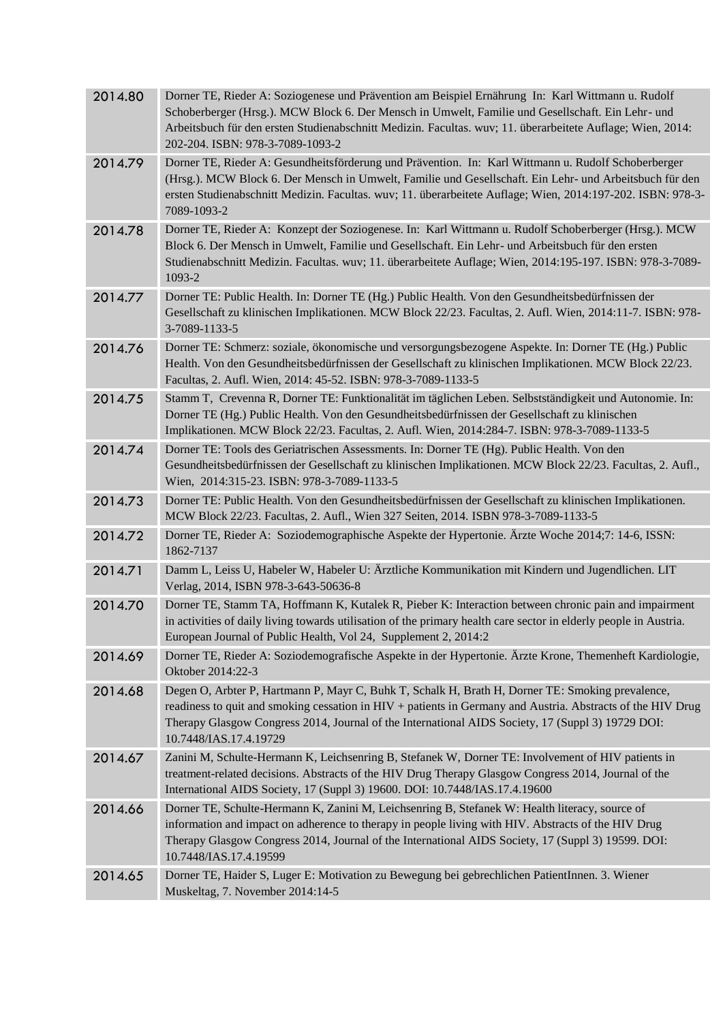| 2014.80 | Dorner TE, Rieder A: Soziogenese und Prävention am Beispiel Ernährung In: Karl Wittmann u. Rudolf<br>Schoberberger (Hrsg.). MCW Block 6. Der Mensch in Umwelt, Familie und Gesellschaft. Ein Lehr- und<br>Arbeitsbuch für den ersten Studienabschnitt Medizin. Facultas. wuv; 11. überarbeitete Auflage; Wien, 2014:<br>202-204. ISBN: 978-3-7089-1093-2 |
|---------|----------------------------------------------------------------------------------------------------------------------------------------------------------------------------------------------------------------------------------------------------------------------------------------------------------------------------------------------------------|
| 2014.79 | Dorner TE, Rieder A: Gesundheitsförderung und Prävention. In: Karl Wittmann u. Rudolf Schoberberger<br>(Hrsg.). MCW Block 6. Der Mensch in Umwelt, Familie und Gesellschaft. Ein Lehr- und Arbeitsbuch für den<br>ersten Studienabschnitt Medizin. Facultas. wuv; 11. überarbeitete Auflage; Wien, 2014:197-202. ISBN: 978-3-<br>7089-1093-2             |
| 2014.78 | Dorner TE, Rieder A: Konzept der Soziogenese. In: Karl Wittmann u. Rudolf Schoberberger (Hrsg.). MCW<br>Block 6. Der Mensch in Umwelt, Familie und Gesellschaft. Ein Lehr- und Arbeitsbuch für den ersten<br>Studienabschnitt Medizin. Facultas. wuv; 11. überarbeitete Auflage; Wien, 2014:195-197. ISBN: 978-3-7089-<br>1093-2                         |
| 2014.77 | Dorner TE: Public Health. In: Dorner TE (Hg.) Public Health. Von den Gesundheitsbedürfnissen der<br>Gesellschaft zu klinischen Implikationen. MCW Block 22/23. Facultas, 2. Aufl. Wien, 2014:11-7. ISBN: 978-<br>3-7089-1133-5                                                                                                                           |
| 2014.76 | Dorner TE: Schmerz: soziale, ökonomische und versorgungsbezogene Aspekte. In: Dorner TE (Hg.) Public<br>Health. Von den Gesundheitsbedürfnissen der Gesellschaft zu klinischen Implikationen. MCW Block 22/23.<br>Facultas, 2. Aufl. Wien, 2014: 45-52. ISBN: 978-3-7089-1133-5                                                                          |
| 2014.75 | Stamm T, Crevenna R, Dorner TE: Funktionalität im täglichen Leben. Selbstständigkeit und Autonomie. In:<br>Dorner TE (Hg.) Public Health. Von den Gesundheitsbedürfnissen der Gesellschaft zu klinischen<br>Implikationen. MCW Block 22/23. Facultas, 2. Aufl. Wien, 2014:284-7. ISBN: 978-3-7089-1133-5                                                 |
| 2014.74 | Dorner TE: Tools des Geriatrischen Assessments. In: Dorner TE (Hg). Public Health. Von den<br>Gesundheitsbedürfnissen der Gesellschaft zu klinischen Implikationen. MCW Block 22/23. Facultas, 2. Aufl.,<br>Wien, 2014:315-23. ISBN: 978-3-7089-1133-5                                                                                                   |
| 2014.73 | Dorner TE: Public Health. Von den Gesundheitsbedürfnissen der Gesellschaft zu klinischen Implikationen.<br>MCW Block 22/23. Facultas, 2. Aufl., Wien 327 Seiten, 2014. ISBN 978-3-7089-1133-5                                                                                                                                                            |
| 2014.72 | Dorner TE, Rieder A: Soziodemographische Aspekte der Hypertonie. Ärzte Woche 2014;7: 14-6, ISSN:<br>1862-7137                                                                                                                                                                                                                                            |
| 2014.71 | Damm L, Leiss U, Habeler W, Habeler U: Ärztliche Kommunikation mit Kindern und Jugendlichen. LIT                                                                                                                                                                                                                                                         |
|         | Verlag, 2014, ISBN 978-3-643-50636-8                                                                                                                                                                                                                                                                                                                     |
| 2014.70 | Dorner TE, Stamm TA, Hoffmann K, Kutalek R, Pieber K: Interaction between chronic pain and impairment<br>in activities of daily living towards utilisation of the primary health care sector in elderly people in Austria.<br>European Journal of Public Health, Vol 24, Supplement 2, 2014:2                                                            |
| 2014.69 | Dorner TE, Rieder A: Soziodemografische Aspekte in der Hypertonie. Ärzte Krone, Themenheft Kardiologie,<br>Oktober 2014:22-3                                                                                                                                                                                                                             |
| 2014.68 | Degen O, Arbter P, Hartmann P, Mayr C, Buhk T, Schalk H, Brath H, Dorner TE: Smoking prevalence,<br>readiness to quit and smoking cessation in HIV + patients in Germany and Austria. Abstracts of the HIV Drug<br>Therapy Glasgow Congress 2014, Journal of the International AIDS Society, 17 (Suppl 3) 19729 DOI:<br>10.7448/IAS.17.4.19729           |
| 2014.67 | Zanini M, Schulte-Hermann K, Leichsenring B, Stefanek W, Dorner TE: Involvement of HIV patients in<br>treatment-related decisions. Abstracts of the HIV Drug Therapy Glasgow Congress 2014, Journal of the<br>International AIDS Society, 17 (Suppl 3) 19600. DOI: 10.7448/IAS.17.4.19600                                                                |
| 2014.66 | Dorner TE, Schulte-Hermann K, Zanini M, Leichsenring B, Stefanek W: Health literacy, source of<br>information and impact on adherence to therapy in people living with HIV. Abstracts of the HIV Drug<br>Therapy Glasgow Congress 2014, Journal of the International AIDS Society, 17 (Suppl 3) 19599. DOI:<br>10.7448/IAS.17.4.19599                    |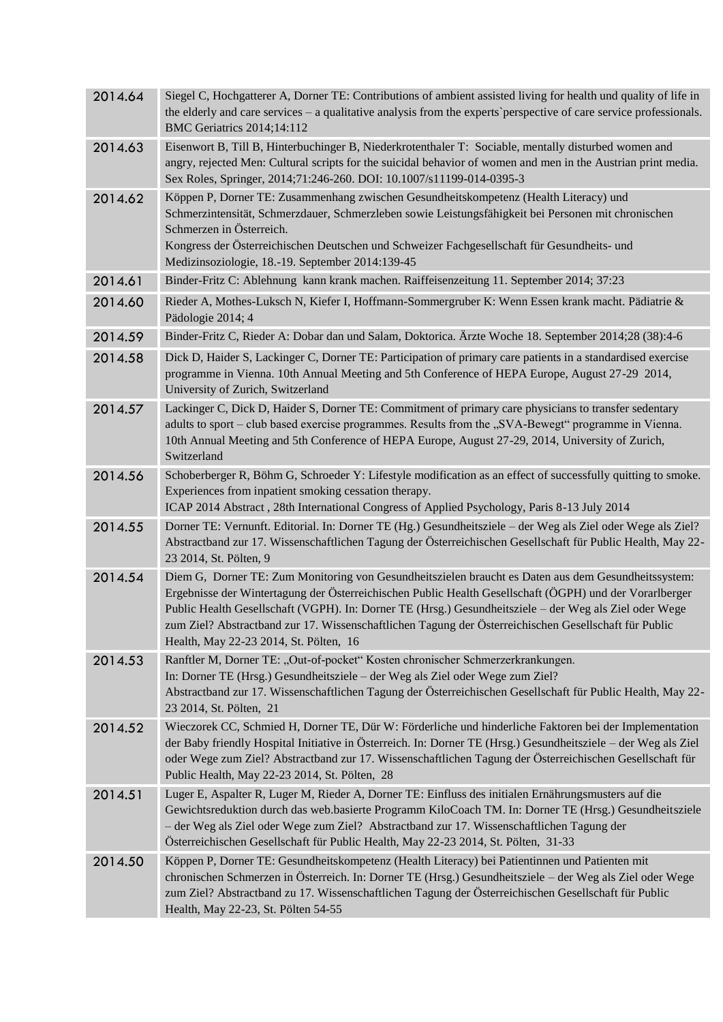| 2014.64 | Siegel C, Hochgatterer A, Dorner TE: Contributions of ambient assisted living for health und quality of life in<br>the elderly and care services $-$ a qualitative analysis from the experts' perspective of care service professionals.<br>BMC Geriatrics 2014;14:112                                                                                                                                                                                                      |
|---------|-----------------------------------------------------------------------------------------------------------------------------------------------------------------------------------------------------------------------------------------------------------------------------------------------------------------------------------------------------------------------------------------------------------------------------------------------------------------------------|
| 2014.63 | Eisenwort B, Till B, Hinterbuchinger B, Niederkrotenthaler T: Sociable, mentally disturbed women and<br>angry, rejected Men: Cultural scripts for the suicidal behavior of women and men in the Austrian print media.<br>Sex Roles, Springer, 2014;71:246-260. DOI: 10.1007/s11199-014-0395-3                                                                                                                                                                               |
| 2014.62 | Köppen P, Dorner TE: Zusammenhang zwischen Gesundheitskompetenz (Health Literacy) und<br>Schmerzintensität, Schmerzdauer, Schmerzleben sowie Leistungsfähigkeit bei Personen mit chronischen<br>Schmerzen in Österreich.<br>Kongress der Österreichischen Deutschen und Schweizer Fachgesellschaft für Gesundheits- und<br>Medizinsoziologie, 18.-19. September 2014:139-45                                                                                                 |
| 2014.61 | Binder-Fritz C: Ablehnung kann krank machen. Raiffeisenzeitung 11. September 2014; 37:23                                                                                                                                                                                                                                                                                                                                                                                    |
| 2014.60 | Rieder A, Mothes-Luksch N, Kiefer I, Hoffmann-Sommergruber K: Wenn Essen krank macht. Pädiatrie &<br>Pädologie 2014; 4                                                                                                                                                                                                                                                                                                                                                      |
| 2014.59 | Binder-Fritz C, Rieder A: Dobar dan und Salam, Doktorica. Ärzte Woche 18. September 2014;28 (38):4-6                                                                                                                                                                                                                                                                                                                                                                        |
| 2014.58 | Dick D, Haider S, Lackinger C, Dorner TE: Participation of primary care patients in a standardised exercise<br>programme in Vienna. 10th Annual Meeting and 5th Conference of HEPA Europe, August 27-29 2014,<br>University of Zurich, Switzerland                                                                                                                                                                                                                          |
| 2014.57 | Lackinger C, Dick D, Haider S, Dorner TE: Commitment of primary care physicians to transfer sedentary<br>adults to sport – club based exercise programmes. Results from the "SVA-Bewegt" programme in Vienna.<br>10th Annual Meeting and 5th Conference of HEPA Europe, August 27-29, 2014, University of Zurich,<br>Switzerland                                                                                                                                            |
| 2014.56 | Schoberberger R, Böhm G, Schroeder Y: Lifestyle modification as an effect of successfully quitting to smoke.<br>Experiences from inpatient smoking cessation therapy.<br>ICAP 2014 Abstract, 28th International Congress of Applied Psychology, Paris 8-13 July 2014                                                                                                                                                                                                        |
| 2014.55 | Dorner TE: Vernunft. Editorial. In: Dorner TE (Hg.) Gesundheitsziele – der Weg als Ziel oder Wege als Ziel?<br>Abstractband zur 17. Wissenschaftlichen Tagung der Österreichischen Gesellschaft für Public Health, May 22-<br>23 2014, St. Pölten, 9                                                                                                                                                                                                                        |
| 2014.54 | Diem G, Dorner TE: Zum Monitoring von Gesundheitszielen braucht es Daten aus dem Gesundheitssystem:<br>Ergebnisse der Wintertagung der Österreichischen Public Health Gesellschaft (ÖGPH) und der Vorarlberger<br>Public Health Gesellschaft (VGPH). In: Dorner TE (Hrsg.) Gesundheitsziele – der Weg als Ziel oder Wege<br>zum Ziel? Abstractband zur 17. Wissenschaftlichen Tagung der Österreichischen Gesellschaft für Public<br>Health, May 22-23 2014, St. Pölten, 16 |
| 2014.53 | Ranftler M, Dorner TE: "Out-of-pocket" Kosten chronischer Schmerzerkrankungen.<br>In: Dorner TE (Hrsg.) Gesundheitsziele – der Weg als Ziel oder Wege zum Ziel?<br>Abstractband zur 17. Wissenschaftlichen Tagung der Österreichischen Gesellschaft für Public Health, May 22-<br>23 2014, St. Pölten, 21                                                                                                                                                                   |
| 2014.52 | Wieczorek CC, Schmied H, Dorner TE, Dür W: Förderliche und hinderliche Faktoren bei der Implementation<br>der Baby friendly Hospital Initiative in Österreich. In: Dorner TE (Hrsg.) Gesundheitsziele - der Weg als Ziel<br>oder Wege zum Ziel? Abstractband zur 17. Wissenschaftlichen Tagung der Österreichischen Gesellschaft für<br>Public Health, May 22-23 2014, St. Pölten, 28                                                                                       |
| 2014.51 | Luger E, Aspalter R, Luger M, Rieder A, Dorner TE: Einfluss des initialen Ernährungsmusters auf die<br>Gewichtsreduktion durch das web.basierte Programm KiloCoach TM. In: Dorner TE (Hrsg.) Gesundheitsziele<br>- der Weg als Ziel oder Wege zum Ziel? Abstractband zur 17. Wissenschaftlichen Tagung der<br>Österreichischen Gesellschaft für Public Health, May 22-23 2014, St. Pölten, 31-33                                                                            |
| 2014.50 | Köppen P, Dorner TE: Gesundheitskompetenz (Health Literacy) bei Patientinnen und Patienten mit<br>chronischen Schmerzen in Österreich. In: Dorner TE (Hrsg.) Gesundheitsziele - der Weg als Ziel oder Wege<br>zum Ziel? Abstractband zu 17. Wissenschaftlichen Tagung der Österreichischen Gesellschaft für Public<br>Health, May 22-23, St. Pölten 54-55                                                                                                                   |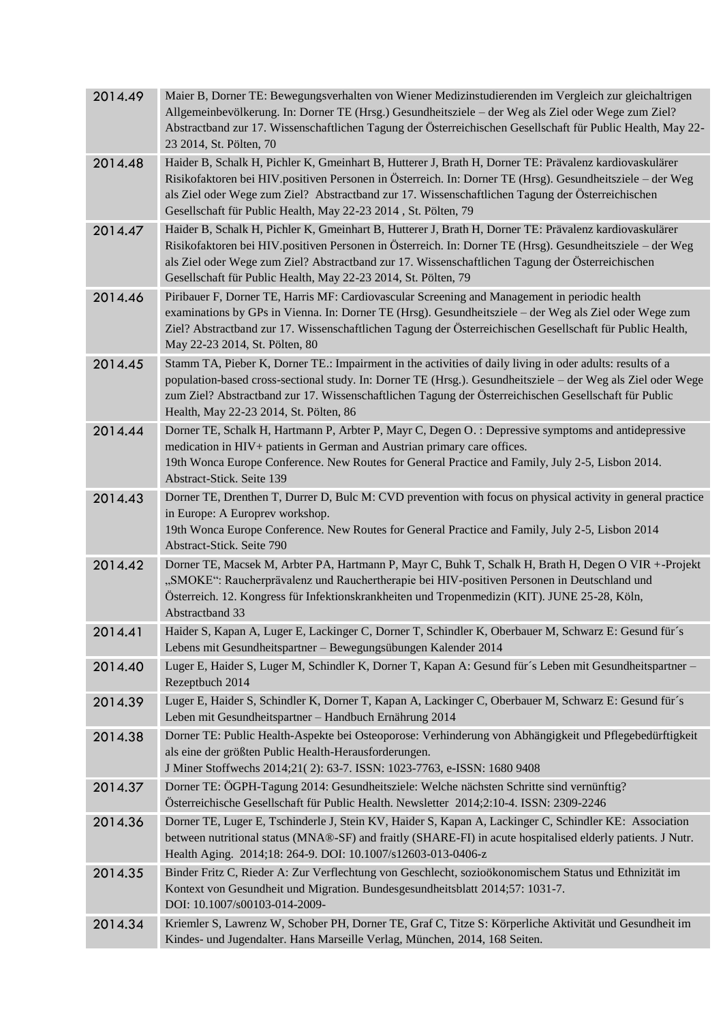| 2014.49 | Maier B, Dorner TE: Bewegungsverhalten von Wiener Medizinstudierenden im Vergleich zur gleichaltrigen<br>Allgemeinbevölkerung. In: Dorner TE (Hrsg.) Gesundheitsziele – der Weg als Ziel oder Wege zum Ziel?<br>Abstractband zur 17. Wissenschaftlichen Tagung der Österreichischen Gesellschaft für Public Health, May 22-<br>23 2014, St. Pölten, 70                                     |
|---------|--------------------------------------------------------------------------------------------------------------------------------------------------------------------------------------------------------------------------------------------------------------------------------------------------------------------------------------------------------------------------------------------|
| 2014.48 | Haider B, Schalk H, Pichler K, Gmeinhart B, Hutterer J, Brath H, Dorner TE: Prävalenz kardiovaskulärer<br>Risikofaktoren bei HIV. positiven Personen in Österreich. In: Dorner TE (Hrsg). Gesundheitsziele – der Weg<br>als Ziel oder Wege zum Ziel? Abstractband zur 17. Wissenschaftlichen Tagung der Österreichischen<br>Gesellschaft für Public Health, May 22-23 2014, St. Pölten, 79 |
| 2014.47 | Haider B, Schalk H, Pichler K, Gmeinhart B, Hutterer J, Brath H, Dorner TE: Prävalenz kardiovaskulärer<br>Risikofaktoren bei HIV. positiven Personen in Österreich. In: Dorner TE (Hrsg). Gesundheitsziele – der Weg<br>als Ziel oder Wege zum Ziel? Abstractband zur 17. Wissenschaftlichen Tagung der Österreichischen<br>Gesellschaft für Public Health, May 22-23 2014, St. Pölten, 79 |
| 2014.46 | Piribauer F, Dorner TE, Harris MF: Cardiovascular Screening and Management in periodic health<br>examinations by GPs in Vienna. In: Dorner TE (Hrsg). Gesundheitsziele – der Weg als Ziel oder Wege zum<br>Ziel? Abstractband zur 17. Wissenschaftlichen Tagung der Österreichischen Gesellschaft für Public Health,<br>May 22-23 2014, St. Pölten, 80                                     |
| 2014.45 | Stamm TA, Pieber K, Dorner TE.: Impairment in the activities of daily living in oder adults: results of a<br>population-based cross-sectional study. In: Dorner TE (Hrsg.). Gesundheitsziele - der Weg als Ziel oder Wege<br>zum Ziel? Abstractband zur 17. Wissenschaftlichen Tagung der Österreichischen Gesellschaft für Public<br>Health, May 22-23 2014, St. Pölten, 86               |
| 2014.44 | Dorner TE, Schalk H, Hartmann P, Arbter P, Mayr C, Degen O. : Depressive symptoms and antidepressive<br>medication in HIV+ patients in German and Austrian primary care offices.<br>19th Wonca Europe Conference. New Routes for General Practice and Family, July 2-5, Lisbon 2014.<br>Abstract-Stick. Seite 139                                                                          |
| 2014.43 | Dorner TE, Drenthen T, Durrer D, Bulc M: CVD prevention with focus on physical activity in general practice<br>in Europe: A Europrev workshop.<br>19th Wonca Europe Conference. New Routes for General Practice and Family, July 2-5, Lisbon 2014<br>Abstract-Stick. Seite 790                                                                                                             |
| 2014.42 | Dorner TE, Macsek M, Arbter PA, Hartmann P, Mayr C, Buhk T, Schalk H, Brath H, Degen O VIR +-Projekt<br>"SMOKE": Raucherprävalenz und Rauchertherapie bei HIV-positiven Personen in Deutschland und<br>Österreich. 12. Kongress für Infektionskrankheiten und Tropenmedizin (KIT). JUNE 25-28, Köln,<br>Abstractband 33                                                                    |
| 2014.41 | Haider S, Kapan A, Luger E, Lackinger C, Dorner T, Schindler K, Oberbauer M, Schwarz E: Gesund für's<br>Lebens mit Gesundheitspartner - Bewegungsübungen Kalender 2014                                                                                                                                                                                                                     |
| 2014.40 | Luger E, Haider S, Luger M, Schindler K, Dorner T, Kapan A: Gesund für's Leben mit Gesundheitspartner -<br>Rezeptbuch 2014                                                                                                                                                                                                                                                                 |
| 2014.39 | Luger E, Haider S, Schindler K, Dorner T, Kapan A, Lackinger C, Oberbauer M, Schwarz E: Gesund für's<br>Leben mit Gesundheitspartner - Handbuch Ernährung 2014                                                                                                                                                                                                                             |
| 2014.38 | Dorner TE: Public Health-Aspekte bei Osteoporose: Verhinderung von Abhängigkeit und Pflegebedürftigkeit<br>als eine der größten Public Health-Herausforderungen.<br>J Miner Stoffwechs 2014;21(2): 63-7. ISSN: 1023-7763, e-ISSN: 1680 9408                                                                                                                                                |
| 2014.37 | Dorner TE: ÖGPH-Tagung 2014: Gesundheitsziele: Welche nächsten Schritte sind vernünftig?<br>Österreichische Gesellschaft für Public Health. Newsletter 2014;2:10-4. ISSN: 2309-2246                                                                                                                                                                                                        |
| 2014.36 | Dorner TE, Luger E, Tschinderle J, Stein KV, Haider S, Kapan A, Lackinger C, Schindler KE: Association<br>between nutritional status (MNA®-SF) and fraitly (SHARE-FI) in acute hospitalised elderly patients. J Nutr.<br>Health Aging. 2014;18: 264-9. DOI: 10.1007/s12603-013-0406-z                                                                                                      |
| 2014.35 | Binder Fritz C, Rieder A: Zur Verflechtung von Geschlecht, sozioökonomischem Status und Ethnizität im<br>Kontext von Gesundheit und Migration. Bundesgesundheitsblatt 2014;57: 1031-7.<br>DOI: 10.1007/s00103-014-2009-                                                                                                                                                                    |
| 2014.34 | Kriemler S, Lawrenz W, Schober PH, Dorner TE, Graf C, Titze S: Körperliche Aktivität und Gesundheit im<br>Kindes- und Jugendalter. Hans Marseille Verlag, München, 2014, 168 Seiten.                                                                                                                                                                                                       |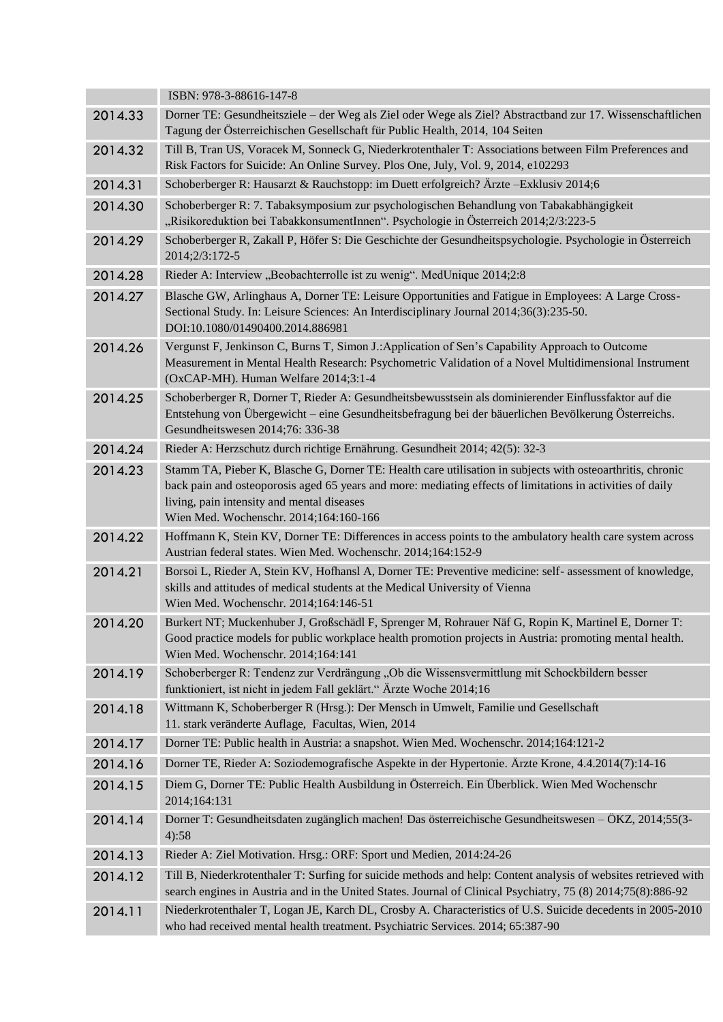|         | ISBN: 978-3-88616-147-8                                                                                                                                                                                                                                                                                          |
|---------|------------------------------------------------------------------------------------------------------------------------------------------------------------------------------------------------------------------------------------------------------------------------------------------------------------------|
| 2014.33 | Dorner TE: Gesundheitsziele – der Weg als Ziel oder Wege als Ziel? Abstractband zur 17. Wissenschaftlichen<br>Tagung der Österreichischen Gesellschaft für Public Health, 2014, 104 Seiten                                                                                                                       |
| 2014.32 | Till B, Tran US, Voracek M, Sonneck G, Niederkrotenthaler T: Associations between Film Preferences and<br>Risk Factors for Suicide: An Online Survey. Plos One, July, Vol. 9, 2014, e102293                                                                                                                      |
| 2014.31 | Schoberberger R: Hausarzt & Rauchstopp: im Duett erfolgreich? Ärzte - Exklusiv 2014;6                                                                                                                                                                                                                            |
| 2014.30 | Schoberberger R: 7. Tabaksymposium zur psychologischen Behandlung von Tabakabhängigkeit<br>"Risikoreduktion bei TabakkonsumentInnen". Psychologie in Österreich 2014;2/3:223-5                                                                                                                                   |
| 2014.29 | Schoberberger R, Zakall P, Höfer S: Die Geschichte der Gesundheitspsychologie. Psychologie in Österreich<br>2014;2/3:172-5                                                                                                                                                                                       |
| 2014.28 | Rieder A: Interview "Beobachterrolle ist zu wenig". MedUnique 2014;2:8                                                                                                                                                                                                                                           |
| 2014.27 | Blasche GW, Arlinghaus A, Dorner TE: Leisure Opportunities and Fatigue in Employees: A Large Cross-<br>Sectional Study. In: Leisure Sciences: An Interdisciplinary Journal 2014;36(3):235-50.<br>DOI:10.1080/01490400.2014.886981                                                                                |
| 2014.26 | Vergunst F, Jenkinson C, Burns T, Simon J.: Application of Sen's Capability Approach to Outcome<br>Measurement in Mental Health Research: Psychometric Validation of a Novel Multidimensional Instrument<br>(OxCAP-MH). Human Welfare 2014;3:1-4                                                                 |
| 2014.25 | Schoberberger R, Dorner T, Rieder A: Gesundheitsbewusstsein als dominierender Einflussfaktor auf die<br>Entstehung von Übergewicht – eine Gesundheitsbefragung bei der bäuerlichen Bevölkerung Österreichs.<br>Gesundheitswesen 2014;76: 336-38                                                                  |
| 2014.24 | Rieder A: Herzschutz durch richtige Ernährung. Gesundheit 2014; 42(5): 32-3                                                                                                                                                                                                                                      |
| 2014.23 | Stamm TA, Pieber K, Blasche G, Dorner TE: Health care utilisation in subjects with osteoarthritis, chronic<br>back pain and osteoporosis aged 65 years and more: mediating effects of limitations in activities of daily<br>living, pain intensity and mental diseases<br>Wien Med. Wochenschr. 2014;164:160-166 |
| 2014.22 | Hoffmann K, Stein KV, Dorner TE: Differences in access points to the ambulatory health care system across<br>Austrian federal states. Wien Med. Wochenschr. 2014;164:152-9                                                                                                                                       |
| 2014.21 | Borsoi L, Rieder A, Stein KV, Hofhansl A, Dorner TE: Preventive medicine: self- assessment of knowledge,<br>skills and attitudes of medical students at the Medical University of Vienna<br>Wien Med. Wochenschr. 2014;164:146-51                                                                                |
| 2014.20 | Burkert NT; Muckenhuber J, Großschädl F, Sprenger M, Rohrauer Näf G, Ropin K, Martinel E, Dorner T:<br>Good practice models for public workplace health promotion projects in Austria: promoting mental health.<br>Wien Med. Wochenschr. 2014;164:141                                                            |
| 2014.19 | Schoberberger R: Tendenz zur Verdrängung "Ob die Wissensvermittlung mit Schockbildern besser<br>funktioniert, ist nicht in jedem Fall geklärt." Ärzte Woche 2014;16                                                                                                                                              |
| 2014.18 | Wittmann K, Schoberberger R (Hrsg.): Der Mensch in Umwelt, Familie und Gesellschaft<br>11. stark veränderte Auflage, Facultas, Wien, 2014                                                                                                                                                                        |
| 2014.17 | Dorner TE: Public health in Austria: a snapshot. Wien Med. Wochenschr. 2014;164:121-2                                                                                                                                                                                                                            |
| 2014.16 | Dorner TE, Rieder A: Soziodemografische Aspekte in der Hypertonie. Ärzte Krone, 4.4.2014(7):14-16                                                                                                                                                                                                                |
| 2014.15 | Diem G, Dorner TE: Public Health Ausbildung in Österreich. Ein Überblick. Wien Med Wochenschr<br>2014;164:131                                                                                                                                                                                                    |
| 2014.14 | Dorner T: Gesundheitsdaten zugänglich machen! Das österreichische Gesundheitswesen – ÖKZ, 2014;55(3-<br>4):58                                                                                                                                                                                                    |
| 2014.13 | Rieder A: Ziel Motivation. Hrsg.: ORF: Sport und Medien, 2014:24-26                                                                                                                                                                                                                                              |
| 2014.12 | Till B, Niederkrotenthaler T: Surfing for suicide methods and help: Content analysis of websites retrieved with<br>search engines in Austria and in the United States. Journal of Clinical Psychiatry, 75 (8) 2014;75(8):886-92                                                                                  |
| 2014.11 | Niederkrotenthaler T, Logan JE, Karch DL, Crosby A. Characteristics of U.S. Suicide decedents in 2005-2010<br>who had received mental health treatment. Psychiatric Services. 2014; 65:387-90                                                                                                                    |